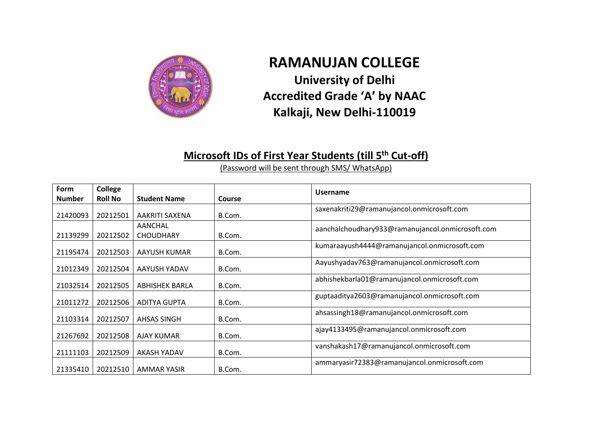

## **RAMANUJAN COLLEGE University of Delhi Accredited Grade 'A' by NAAC Kalkaji, New Delhi-110019**

## **Microsoft IDs of First Year Students (till 5th Cut-off)**

(Password will be sent through SMS/ WhatsApp)

| Form          | College        |                             |               | <b>Username</b>                                  |
|---------------|----------------|-----------------------------|---------------|--------------------------------------------------|
| <b>Number</b> | <b>Roll No</b> | <b>Student Name</b>         | <b>Course</b> |                                                  |
| 21420093      | 20212501       | AAKRITI SAXENA              | B.Com.        | saxenakriti29@ramanujancol.onmicrosoft.com       |
| 21139299      | 20212502       | AANCHAL<br><b>CHOUDHARY</b> | B.Com.        | aanchalchoudhary933@ramanujancol.onmicrosoft.com |
| 21195474      | 20212503       | AAYUSH KUMAR                | B.Com.        | kumaraayush4444@ramanujancol.onmicrosoft.com     |
| 21012349      | 20212504       | AAYUSH YADAV                | B.Com.        | Aayushyadav763@ramanujancol.onmicrosoft.com      |
| 21032514      | 20212505       | ABHISHEK BARLA              | B.Com.        | abhishekbarla01@ramanujancol.onmicrosoft.com     |
| 21011272      | 20212506       | ADITYA GUPTA                | B.Com.        | guptaaditya2603@ramanujancol.onmicrosoft.com     |
| 21103314      | 20212507       | AHSAS SINGH                 | B.Com.        | ahsassingh18@ramanujancol.onmicrosoft.com        |
| 21267692      | 20212508       | AJAY KUMAR                  | B.Com.        | ajay4133495@ramanujancol.onmicrosoft.com         |
| 21111103      | 20212509       | AKASH YADAV                 | B.Com.        | vanshakash17@ramanujancol.onmicrosoft.com        |
| 21335410      | 20212510       | AMMAR YASIR                 | B.Com.        | ammaryasir72383@ramanujancol.onmicrosoft.com     |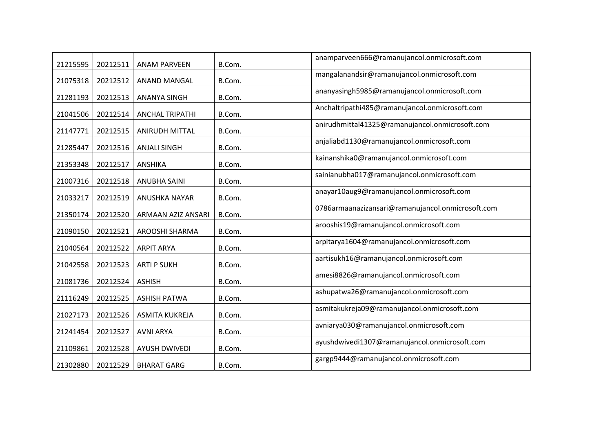| 21215595 | 20212511 | <b>ANAM PARVEEN</b>       | B.Com. | anamparveen666@ramanujancol.onmicrosoft.com       |
|----------|----------|---------------------------|--------|---------------------------------------------------|
| 21075318 | 20212512 | ANAND MANGAL              | B.Com. | mangalanandsir@ramanujancol.onmicrosoft.com       |
| 21281193 | 20212513 | <b>ANANYA SINGH</b>       | B.Com. | ananyasingh5985@ramanujancol.onmicrosoft.com      |
| 21041506 | 20212514 | <b>ANCHAL TRIPATHI</b>    | B.Com. | Anchaltripathi485@ramanujancol.onmicrosoft.com    |
| 21147771 | 20212515 | <b>ANIRUDH MITTAL</b>     | B.Com. | anirudhmittal41325@ramanujancol.onmicrosoft.com   |
| 21285447 | 20212516 | <b>ANJALI SINGH</b>       | B.Com. | anjaliabd1130@ramanujancol.onmicrosoft.com        |
| 21353348 | 20212517 | <b>ANSHIKA</b>            | B.Com. | kainanshika0@ramanujancol.onmicrosoft.com         |
| 21007316 | 20212518 | <b>ANUBHA SAINI</b>       | B.Com. | sainianubha017@ramanujancol.onmicrosoft.com       |
| 21033217 | 20212519 | ANUSHKA NAYAR             | B.Com. | anayar10aug9@ramanujancol.onmicrosoft.com         |
| 21350174 | 20212520 | <b>ARMAAN AZIZ ANSARI</b> | B.Com. | 0786armaanazizansari@ramanujancol.onmicrosoft.com |
| 21090150 | 20212521 | AROOSHI SHARMA            | B.Com. | arooshis19@ramanujancol.onmicrosoft.com           |
| 21040564 | 20212522 | <b>ARPIT ARYA</b>         | B.Com. | arpitarya1604@ramanujancol.onmicrosoft.com        |
| 21042558 | 20212523 | <b>ARTI P SUKH</b>        | B.Com. | aartisukh16@ramanujancol.onmicrosoft.com          |
| 21081736 | 20212524 | <b>ASHISH</b>             | B.Com. | amesi8826@ramanujancol.onmicrosoft.com            |
| 21116249 | 20212525 | <b>ASHISH PATWA</b>       | B.Com. | ashupatwa26@ramanujancol.onmicrosoft.com          |
| 21027173 | 20212526 | <b>ASMITA KUKREJA</b>     | B.Com. | asmitakukreja09@ramanujancol.onmicrosoft.com      |
| 21241454 | 20212527 | <b>AVNI ARYA</b>          | B.Com. | avniarya030@ramanujancol.onmicrosoft.com          |
| 21109861 | 20212528 | <b>AYUSH DWIVEDI</b>      | B.Com. | ayushdwivedi1307@ramanujancol.onmicrosoft.com     |
| 21302880 | 20212529 | <b>BHARAT GARG</b>        | B.Com. | gargp9444@ramanujancol.onmicrosoft.com            |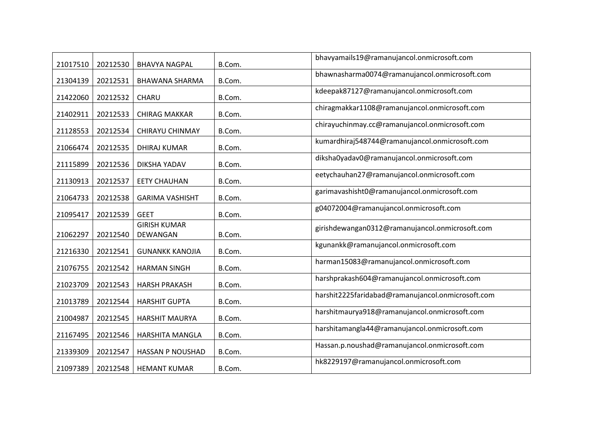| 21017510 | 20212530 | <b>BHAVYA NAGPAL</b>            | B.Com. | bhavyamails19@ramanujancol.onmicrosoft.com        |
|----------|----------|---------------------------------|--------|---------------------------------------------------|
| 21304139 | 20212531 | <b>BHAWANA SHARMA</b>           | B.Com. | bhawnasharma0074@ramanujancol.onmicrosoft.com     |
| 21422060 | 20212532 | CHARU                           | B.Com. | kdeepak87127@ramanujancol.onmicrosoft.com         |
| 21402911 | 20212533 | <b>CHIRAG MAKKAR</b>            | B.Com. | chiragmakkar1108@ramanujancol.onmicrosoft.com     |
| 21128553 | 20212534 | CHIRAYU CHINMAY                 | B.Com. | chirayuchinmay.cc@ramanujancol.onmicrosoft.com    |
| 21066474 | 20212535 | DHIRAJ KUMAR                    | B.Com. | kumardhiraj548744@ramanujancol.onmicrosoft.com    |
| 21115899 | 20212536 | DIKSHA YADAV                    | B.Com. | diksha0yadav0@ramanujancol.onmicrosoft.com        |
| 21130913 | 20212537 | <b>EETY CHAUHAN</b>             | B.Com. | eetychauhan27@ramanujancol.onmicrosoft.com        |
| 21064733 | 20212538 | <b>GARIMA VASHISHT</b>          | B.Com. | garimavashisht0@ramanujancol.onmicrosoft.com      |
| 21095417 | 20212539 | <b>GEET</b>                     | B.Com. | g04072004@ramanujancol.onmicrosoft.com            |
| 21062297 | 20212540 | <b>GIRISH KUMAR</b><br>DEWANGAN | B.Com. | girishdewangan0312@ramanujancol.onmicrosoft.com   |
| 21216330 | 20212541 | <b>GUNANKK KANOJIA</b>          | B.Com. | kgunankk@ramanujancol.onmicrosoft.com             |
| 21076755 | 20212542 | <b>HARMAN SINGH</b>             | B.Com. | harman15083@ramanujancol.onmicrosoft.com          |
| 21023709 | 20212543 | <b>HARSH PRAKASH</b>            | B.Com. | harshprakash604@ramanujancol.onmicrosoft.com      |
| 21013789 | 20212544 | <b>HARSHIT GUPTA</b>            | B.Com. | harshit2225faridabad@ramanujancol.onmicrosoft.com |
| 21004987 | 20212545 | <b>HARSHIT MAURYA</b>           | B.Com. | harshitmaurya918@ramanujancol.onmicrosoft.com     |
| 21167495 | 20212546 | HARSHITA MANGLA                 | B.Com. | harshitamangla44@ramanujancol.onmicrosoft.com     |
| 21339309 | 20212547 | <b>HASSAN P NOUSHAD</b>         | B.Com. | Hassan.p.noushad@ramanujancol.onmicrosoft.com     |
| 21097389 | 20212548 | <b>HEMANT KUMAR</b>             | B.Com. | hk8229197@ramanujancol.onmicrosoft.com            |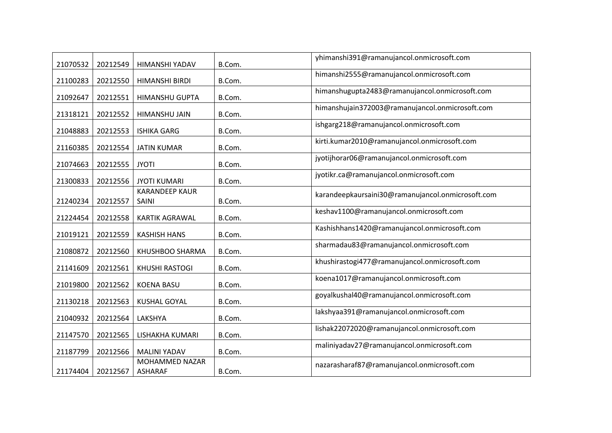| 21070532 | 20212549 | HIMANSHI YADAV                   | B.Com. | yhimanshi391@ramanujancol.onmicrosoft.com         |
|----------|----------|----------------------------------|--------|---------------------------------------------------|
| 21100283 | 20212550 | <b>HIMANSHI BIRDI</b>            | B.Com. | himanshi2555@ramanujancol.onmicrosoft.com         |
| 21092647 | 20212551 | HIMANSHU GUPTA                   | B.Com. | himanshugupta2483@ramanujancol.onmicrosoft.com    |
| 21318121 | 20212552 | HIMANSHU JAIN                    | B.Com. | himanshujain372003@ramanujancol.onmicrosoft.com   |
| 21048883 | 20212553 | <b>ISHIKA GARG</b>               | B.Com. | ishgarg218@ramanujancol.onmicrosoft.com           |
| 21160385 | 20212554 | <b>JATIN KUMAR</b>               | B.Com. | kirti.kumar2010@ramanujancol.onmicrosoft.com      |
| 21074663 | 20212555 | <b>JYOTI</b>                     | B.Com. | jyotijhorar06@ramanujancol.onmicrosoft.com        |
| 21300833 | 20212556 | <b>JYOTI KUMARI</b>              | B.Com. | jyotikr.ca@ramanujancol.onmicrosoft.com           |
| 21240234 | 20212557 | <b>KARANDEEP KAUR</b><br>SAINI   | B.Com. | karandeepkaursaini30@ramanujancol.onmicrosoft.com |
| 21224454 | 20212558 | <b>KARTIK AGRAWAL</b>            | B.Com. | keshav1100@ramanujancol.onmicrosoft.com           |
| 21019121 | 20212559 | <b>KASHISH HANS</b>              | B.Com. | Kashishhans1420@ramanujancol.onmicrosoft.com      |
| 21080872 | 20212560 | KHUSHBOO SHARMA                  | B.Com. | sharmadau83@ramanujancol.onmicrosoft.com          |
| 21141609 | 20212561 | <b>KHUSHI RASTOGI</b>            | B.Com. | khushirastogi477@ramanujancol.onmicrosoft.com     |
| 21019800 | 20212562 | <b>KOENA BASU</b>                | B.Com. | koena1017@ramanujancol.onmicrosoft.com            |
| 21130218 | 20212563 | <b>KUSHAL GOYAL</b>              | B.Com. | goyalkushal40@ramanujancol.onmicrosoft.com        |
| 21040932 | 20212564 | LAKSHYA                          | B.Com. | lakshyaa391@ramanujancol.onmicrosoft.com          |
| 21147570 | 20212565 | LISHAKHA KUMARI                  | B.Com. | lishak22072020@ramanujancol.onmicrosoft.com       |
| 21187799 | 20212566 | <b>MALINI YADAV</b>              | B.Com. | maliniyadav27@ramanujancol.onmicrosoft.com        |
| 21174404 | 20212567 | MOHAMMED NAZAR<br><b>ASHARAF</b> | B.Com. | nazarasharaf87@ramanujancol.onmicrosoft.com       |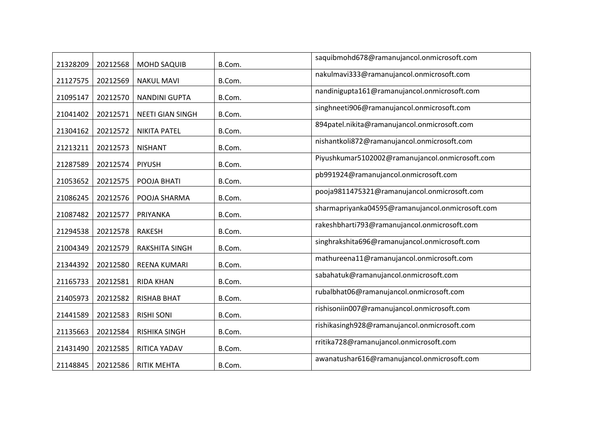| 21328209 | 20212568 | <b>MOHD SAQUIB</b>      | B.Com. | saquibmohd678@ramanujancol.onmicrosoft.com       |
|----------|----------|-------------------------|--------|--------------------------------------------------|
| 21127575 | 20212569 | <b>NAKUL MAVI</b>       | B.Com. | nakulmavi333@ramanujancol.onmicrosoft.com        |
| 21095147 | 20212570 | <b>NANDINI GUPTA</b>    | B.Com. | nandinigupta161@ramanujancol.onmicrosoft.com     |
| 21041402 | 20212571 | <b>NEETI GIAN SINGH</b> | B.Com. | singhneeti906@ramanujancol.onmicrosoft.com       |
| 21304162 | 20212572 | <b>NIKITA PATEL</b>     | B.Com. | 894patel.nikita@ramanujancol.onmicrosoft.com     |
| 21213211 | 20212573 | <b>NISHANT</b>          | B.Com. | nishantkoli872@ramanujancol.onmicrosoft.com      |
| 21287589 | 20212574 | <b>PIYUSH</b>           | B.Com. | Piyushkumar5102002@ramanujancol.onmicrosoft.com  |
| 21053652 | 20212575 | POOJA BHATI             | B.Com. | pb991924@ramanujancol.onmicrosoft.com            |
| 21086245 | 20212576 | POOJA SHARMA            | B.Com. | pooja9811475321@ramanujancol.onmicrosoft.com     |
| 21087482 | 20212577 | PRIYANKA                | B.Com. | sharmapriyanka04595@ramanujancol.onmicrosoft.com |
| 21294538 | 20212578 | <b>RAKESH</b>           | B.Com. | rakeshbharti793@ramanujancol.onmicrosoft.com     |
| 21004349 | 20212579 | <b>RAKSHITA SINGH</b>   | B.Com. | singhrakshita696@ramanujancol.onmicrosoft.com    |
| 21344392 | 20212580 | <b>REENA KUMARI</b>     | B.Com. | mathureena11@ramanujancol.onmicrosoft.com        |
| 21165733 | 20212581 | <b>RIDA KHAN</b>        | B.Com. | sabahatuk@ramanujancol.onmicrosoft.com           |
| 21405973 | 20212582 | <b>RISHAB BHAT</b>      | B.Com. | rubalbhat06@ramanujancol.onmicrosoft.com         |
| 21441589 | 20212583 | <b>RISHI SONI</b>       | B.Com. | rishisoniin007@ramanujancol.onmicrosoft.com      |
| 21135663 | 20212584 | <b>RISHIKA SINGH</b>    | B.Com. | rishikasingh928@ramanujancol.onmicrosoft.com     |
| 21431490 | 20212585 | RITICA YADAV            | B.Com. | rritika728@ramanujancol.onmicrosoft.com          |
| 21148845 | 20212586 | <b>RITIK MEHTA</b>      | B.Com. | awanatushar616@ramanujancol.onmicrosoft.com      |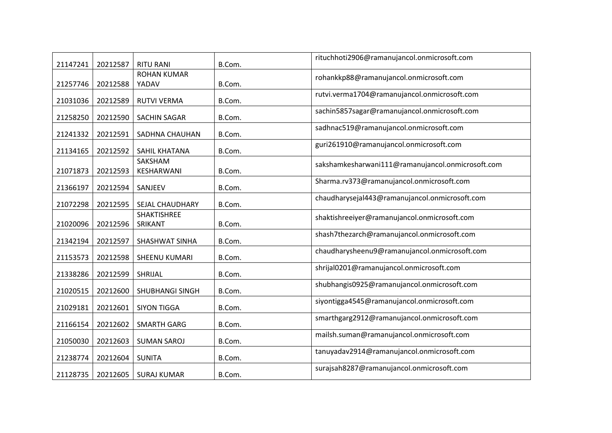| 21147241             | 20212587             | <b>RITU RANI</b>            | B.Com.           | rituchhoti2906@ramanujancol.onmicrosoft.com       |
|----------------------|----------------------|-----------------------------|------------------|---------------------------------------------------|
|                      |                      | <b>ROHAN KUMAR</b><br>YADAV |                  | rohankkp88@ramanujancol.onmicrosoft.com           |
| 21257746<br>21031036 | 20212588<br>20212589 | RUTVI VERMA                 | B.Com.<br>B.Com. | rutvi.verma1704@ramanujancol.onmicrosoft.com      |
|                      |                      |                             |                  | sachin5857sagar@ramanujancol.onmicrosoft.com      |
| 21258250             | 20212590             | <b>SACHIN SAGAR</b>         | B.Com.           | sadhnac519@ramanujancol.onmicrosoft.com           |
| 21241332             | 20212591             | SADHNA CHAUHAN              | B.Com.           | guri261910@ramanujancol.onmicrosoft.com           |
| 21134165             | 20212592             | SAHIL KHATANA<br>SAKSHAM    | B.Com.           | sakshamkesharwani111@ramanujancol.onmicrosoft.com |
| 21071873             | 20212593             | KESHARWANI                  | B.Com.           |                                                   |
| 21366197             | 20212594             | SANJEEV                     | B.Com.           | Sharma.rv373@ramanujancol.onmicrosoft.com         |
| 21072298             | 20212595             | SEJAL CHAUDHARY             | B.Com.           | chaudharysejal443@ramanujancol.onmicrosoft.com    |
| 21020096             | 20212596             | SHAKTISHREE<br>SRIKANT      | B.Com.           | shaktishreeiyer@ramanujancol.onmicrosoft.com      |
| 21342194             | 20212597             | SHASHWAT SINHA              | B.Com.           | shash7thezarch@ramanujancol.onmicrosoft.com       |
| 21153573             | 20212598             | SHEENU KUMARI               | B.Com.           | chaudharysheenu9@ramanujancol.onmicrosoft.com     |
| 21338286             | 20212599             | SHRIJAL                     | B.Com.           | shrijal0201@ramanujancol.onmicrosoft.com          |
| 21020515             | 20212600             | SHUBHANGI SINGH             | B.Com.           | shubhangis0925@ramanujancol.onmicrosoft.com       |
| 21029181             | 20212601             | <b>SIYON TIGGA</b>          | B.Com.           | siyontigga4545@ramanujancol.onmicrosoft.com       |
| 21166154             | 20212602             | <b>SMARTH GARG</b>          | B.Com.           | smarthgarg2912@ramanujancol.onmicrosoft.com       |
| 21050030             | 20212603             | <b>SUMAN SAROJ</b>          | B.Com.           | mailsh.suman@ramanujancol.onmicrosoft.com         |
| 21238774             | 20212604             | <b>SUNITA</b>               | B.Com.           | tanuyadav2914@ramanujancol.onmicrosoft.com        |
| 21128735             | 20212605             | <b>SURAJ KUMAR</b>          | B.Com.           | surajsah8287@ramanujancol.onmicrosoft.com         |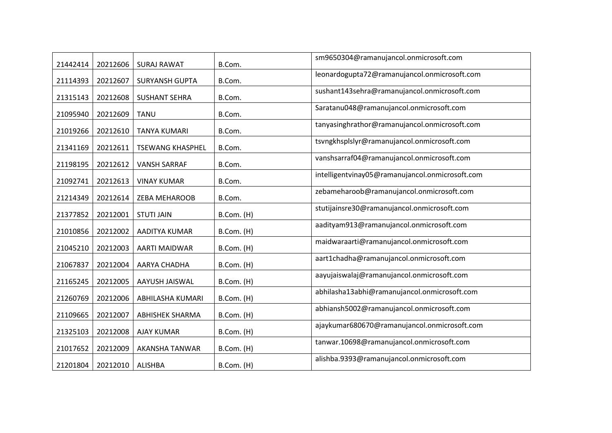| 21442414 | 20212606 | <b>SURAJ RAWAT</b>      | B.Com.     | sm9650304@ramanujancol.onmicrosoft.com          |
|----------|----------|-------------------------|------------|-------------------------------------------------|
| 21114393 | 20212607 | <b>SURYANSH GUPTA</b>   | B.Com.     | leonardogupta72@ramanujancol.onmicrosoft.com    |
| 21315143 | 20212608 | <b>SUSHANT SEHRA</b>    | B.Com.     | sushant143sehra@ramanujancol.onmicrosoft.com    |
| 21095940 | 20212609 | <b>TANU</b>             | B.Com.     | Saratanu048@ramanujancol.onmicrosoft.com        |
| 21019266 | 20212610 | <b>TANYA KUMARI</b>     | B.Com.     | tanyasinghrathor@ramanujancol.onmicrosoft.com   |
| 21341169 | 20212611 | <b>TSEWANG KHASPHEL</b> | B.Com.     | tsvngkhsplslyr@ramanujancol.onmicrosoft.com     |
| 21198195 | 20212612 | <b>VANSH SARRAF</b>     | B.Com.     | vanshsarraf04@ramanujancol.onmicrosoft.com      |
| 21092741 | 20212613 | <b>VINAY KUMAR</b>      | B.Com.     | intelligentvinay05@ramanujancol.onmicrosoft.com |
| 21214349 | 20212614 | ZEBA MEHAROOB           | B.Com.     | zebameharoob@ramanujancol.onmicrosoft.com       |
| 21377852 | 20212001 | <b>STUTI JAIN</b>       | B.Com. (H) | stutijainsre30@ramanujancol.onmicrosoft.com     |
| 21010856 | 20212002 | AADITYA KUMAR           | B.Com. (H) | aadityam913@ramanujancol.onmicrosoft.com        |
| 21045210 | 20212003 | <b>AARTI MAIDWAR</b>    | B.Com. (H) | maidwaraarti@ramanujancol.onmicrosoft.com       |
| 21067837 | 20212004 | AARYA CHADHA            | B.Com. (H) | aart1chadha@ramanujancol.onmicrosoft.com        |
| 21165245 | 20212005 | AAYUSH JAISWAL          | B.Com. (H) | aayujaiswalaj@ramanujancol.onmicrosoft.com      |
| 21260769 | 20212006 | ABHILASHA KUMARI        | B.Com. (H) | abhilasha13abhi@ramanujancol.onmicrosoft.com    |
| 21109665 | 20212007 | <b>ABHISHEK SHARMA</b>  | B.Com. (H) | abhiansh5002@ramanujancol.onmicrosoft.com       |
| 21325103 | 20212008 | <b>AJAY KUMAR</b>       | B.Com. (H) | ajaykumar680670@ramanujancol.onmicrosoft.com    |
| 21017652 | 20212009 | AKANSHA TANWAR          | B.Com. (H) | tanwar.10698@ramanujancol.onmicrosoft.com       |
| 21201804 | 20212010 | <b>ALISHBA</b>          | B.Com. (H) | alishba.9393@ramanujancol.onmicrosoft.com       |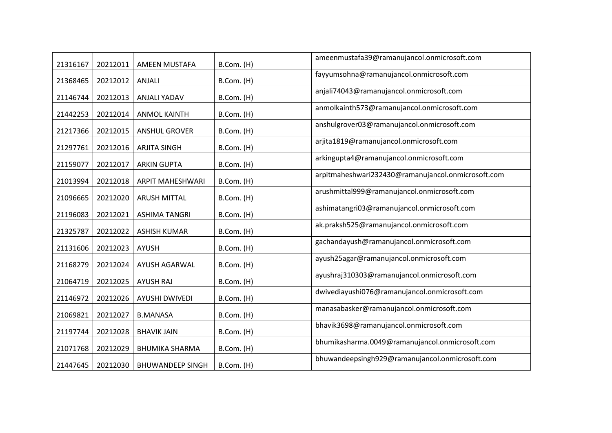| 21316167 | 20212011 | AMEEN MUSTAFA           | B.Com. (H) | ameenmustafa39@ramanujancol.onmicrosoft.com        |
|----------|----------|-------------------------|------------|----------------------------------------------------|
| 21368465 | 20212012 | ANJALI                  | B.Com. (H) | fayyumsohna@ramanujancol.onmicrosoft.com           |
| 21146744 | 20212013 | ANJALI YADAV            | B.Com. (H) | anjali74043@ramanujancol.onmicrosoft.com           |
| 21442253 | 20212014 | <b>ANMOL KAINTH</b>     | B.Com. (H) | anmolkainth573@ramanujancol.onmicrosoft.com        |
| 21217366 | 20212015 | <b>ANSHUL GROVER</b>    | B.Com. (H) | anshulgrover03@ramanujancol.onmicrosoft.com        |
| 21297761 | 20212016 | <b>ARJITA SINGH</b>     | B.Com. (H) | arjita1819@ramanujancol.onmicrosoft.com            |
| 21159077 | 20212017 | <b>ARKIN GUPTA</b>      | B.Com. (H) | arkingupta4@ramanujancol.onmicrosoft.com           |
| 21013994 | 20212018 | <b>ARPIT MAHESHWARI</b> | B.Com. (H) | arpitmaheshwari232430@ramanujancol.onmicrosoft.com |
| 21096665 | 20212020 | <b>ARUSH MITTAL</b>     | B.Com. (H) | arushmittal999@ramanujancol.onmicrosoft.com        |
| 21196083 | 20212021 | <b>ASHIMA TANGRI</b>    | B.Com. (H) | ashimatangri03@ramanujancol.onmicrosoft.com        |
| 21325787 | 20212022 | <b>ASHISH KUMAR</b>     | B.Com. (H) | ak.praksh525@ramanujancol.onmicrosoft.com          |
| 21131606 | 20212023 | <b>AYUSH</b>            | B.Com. (H) | gachandayush@ramanujancol.onmicrosoft.com          |
| 21168279 | 20212024 | AYUSH AGARWAL           | B.Com. (H) | ayush25agar@ramanujancol.onmicrosoft.com           |
| 21064719 | 20212025 | <b>AYUSH RAJ</b>        | B.Com. (H) | ayushraj310303@ramanujancol.onmicrosoft.com        |
| 21146972 | 20212026 | <b>AYUSHI DWIVEDI</b>   | B.Com. (H) | dwivediayushi076@ramanujancol.onmicrosoft.com      |
| 21069821 | 20212027 | <b>B.MANASA</b>         | B.Com. (H) | manasabasker@ramanujancol.onmicrosoft.com          |
| 21197744 | 20212028 | <b>BHAVIK JAIN</b>      | B.Com. (H) | bhavik3698@ramanujancol.onmicrosoft.com            |
| 21071768 | 20212029 | <b>BHUMIKA SHARMA</b>   | B.Com. (H) | bhumikasharma.0049@ramanujancol.onmicrosoft.com    |
| 21447645 | 20212030 | <b>BHUWANDEEP SINGH</b> | B.Com. (H) | bhuwandeepsingh929@ramanujancol.onmicrosoft.com    |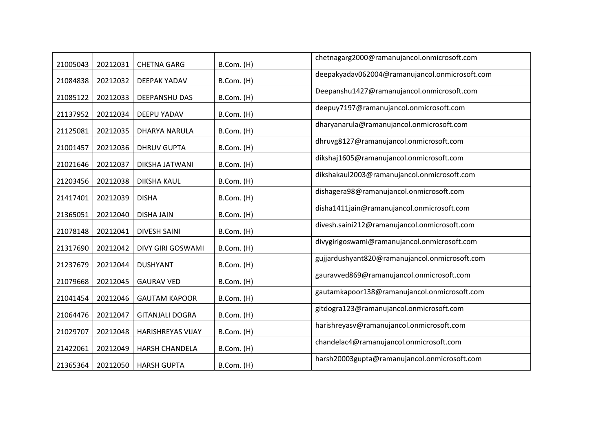| 21005043 | 20212031 | <b>CHETNA GARG</b>       | B.Com. (H) | chetnagarg2000@ramanujancol.onmicrosoft.com    |
|----------|----------|--------------------------|------------|------------------------------------------------|
| 21084838 | 20212032 | DEEPAK YADAV             | B.Com. (H) | deepakyadav062004@ramanujancol.onmicrosoft.com |
| 21085122 | 20212033 | DEEPANSHU DAS            | B.Com. (H) | Deepanshu1427@ramanujancol.onmicrosoft.com     |
| 21137952 | 20212034 | DEEPU YADAV              | B.Com. (H) | deepuy7197@ramanujancol.onmicrosoft.com        |
| 21125081 | 20212035 | DHARYA NARULA            | B.Com. (H) | dharyanarula@ramanujancol.onmicrosoft.com      |
| 21001457 | 20212036 | <b>DHRUV GUPTA</b>       | B.Com. (H) | dhruvg8127@ramanujancol.onmicrosoft.com        |
| 21021646 | 20212037 | DIKSHA JATWANI           | B.Com. (H) | dikshaj1605@ramanujancol.onmicrosoft.com       |
| 21203456 | 20212038 | <b>DIKSHA KAUL</b>       | B.Com. (H) | dikshakaul2003@ramanujancol.onmicrosoft.com    |
| 21417401 | 20212039 | <b>DISHA</b>             | B.Com. (H) | dishagera98@ramanujancol.onmicrosoft.com       |
| 21365051 | 20212040 | <b>DISHA JAIN</b>        | B.Com. (H) | disha1411jain@ramanujancol.onmicrosoft.com     |
| 21078148 | 20212041 | <b>DIVESH SAINI</b>      | B.Com. (H) | divesh.saini212@ramanujancol.onmicrosoft.com   |
| 21317690 | 20212042 | DIVY GIRI GOSWAMI        | B.Com. (H) | divygirigoswami@ramanujancol.onmicrosoft.com   |
| 21237679 | 20212044 | <b>DUSHYANT</b>          | B.Com. (H) | gujjardushyant820@ramanujancol.onmicrosoft.com |
| 21079668 | 20212045 | <b>GAURAV VED</b>        | B.Com. (H) | gauravved869@ramanujancol.onmicrosoft.com      |
| 21041454 | 20212046 | <b>GAUTAM KAPOOR</b>     | B.Com. (H) | gautamkapoor138@ramanujancol.onmicrosoft.com   |
| 21064476 | 20212047 | <b>GITANJALI DOGRA</b>   | B.Com. (H) | gitdogra123@ramanujancol.onmicrosoft.com       |
| 21029707 | 20212048 | <b>HARISHREYAS VIJAY</b> | B.Com. (H) | harishreyasv@ramanujancol.onmicrosoft.com      |
| 21422061 | 20212049 | HARSH CHANDELA           | B.Com. (H) | chandelac4@ramanujancol.onmicrosoft.com        |
| 21365364 | 20212050 | <b>HARSH GUPTA</b>       | B.Com. (H) | harsh20003gupta@ramanujancol.onmicrosoft.com   |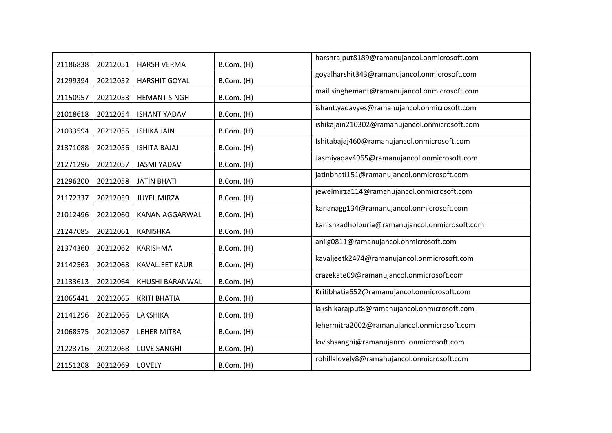| 21186838 | 20212051 | <b>HARSH VERMA</b>    | B.Com. (H) | harshrajput8189@ramanujancol.onmicrosoft.com   |
|----------|----------|-----------------------|------------|------------------------------------------------|
| 21299394 | 20212052 | <b>HARSHIT GOYAL</b>  | B.Com. (H) | goyalharshit343@ramanujancol.onmicrosoft.com   |
| 21150957 | 20212053 | <b>HEMANT SINGH</b>   | B.Com. (H) | mail.singhemant@ramanujancol.onmicrosoft.com   |
| 21018618 | 20212054 | <b>ISHANT YADAV</b>   | B.Com. (H) | ishant.yadavyes@ramanujancol.onmicrosoft.com   |
| 21033594 | 20212055 | <b>ISHIKA JAIN</b>    | B.Com. (H) | ishikajain210302@ramanujancol.onmicrosoft.com  |
| 21371088 | 20212056 | <b>ISHITA BAJAJ</b>   | B.Com. (H) | Ishitabajaj460@ramanujancol.onmicrosoft.com    |
| 21271296 | 20212057 | <b>JASMI YADAV</b>    | B.Com. (H) | Jasmiyadav4965@ramanujancol.onmicrosoft.com    |
| 21296200 | 20212058 | <b>JATIN BHATI</b>    | B.Com. (H) | jatinbhati151@ramanujancol.onmicrosoft.com     |
| 21172337 | 20212059 | <b>JUYEL MIRZA</b>    | B.Com. (H) | jewelmirza114@ramanujancol.onmicrosoft.com     |
| 21012496 | 20212060 | KANAN AGGARWAL        | B.Com. (H) | kananagg134@ramanujancol.onmicrosoft.com       |
| 21247085 | 20212061 | <b>KANISHKA</b>       | B.Com. (H) | kanishkadholpuria@ramanujancol.onmicrosoft.com |
| 21374360 | 20212062 | <b>KARISHMA</b>       | B.Com. (H) | anilg0811@ramanujancol.onmicrosoft.com         |
| 21142563 | 20212063 | <b>KAVALJEET KAUR</b> | B.Com. (H) | kavaljeetk2474@ramanujancol.onmicrosoft.com    |
| 21133613 | 20212064 | KHUSHI BARANWAL       | B.Com. (H) | crazekate09@ramanujancol.onmicrosoft.com       |
| 21065441 | 20212065 | <b>KRITI BHATIA</b>   | B.Com. (H) | Kritibhatia652@ramanujancol.onmicrosoft.com    |
| 21141296 | 20212066 | LAKSHIKA              | B.Com. (H) | lakshikarajput8@ramanujancol.onmicrosoft.com   |
| 21068575 | 20212067 | <b>LEHER MITRA</b>    | B.Com. (H) | lehermitra2002@ramanujancol.onmicrosoft.com    |
| 21223716 | 20212068 | <b>LOVE SANGHI</b>    | B.Com. (H) | lovishsanghi@ramanujancol.onmicrosoft.com      |
| 21151208 | 20212069 | LOVELY                | B.Com. (H) | rohillalovely8@ramanujancol.onmicrosoft.com    |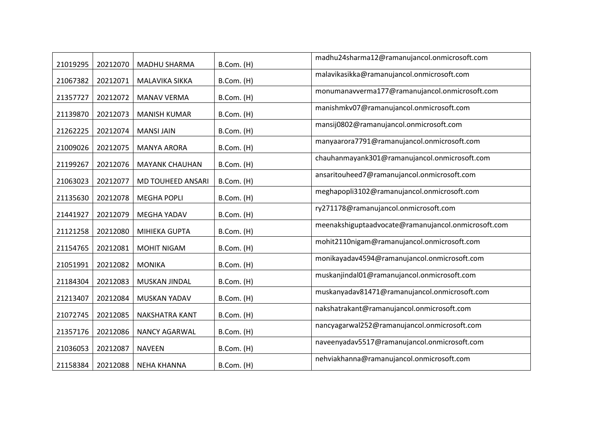| 21019295 | 20212070 | <b>MADHU SHARMA</b>   | B.Com. (H) | madhu24sharma12@ramanujancol.onmicrosoft.com        |
|----------|----------|-----------------------|------------|-----------------------------------------------------|
| 21067382 | 20212071 | MALAVIKA SIKKA        | B.Com. (H) | malavikasikka@ramanujancol.onmicrosoft.com          |
| 21357727 | 20212072 | <b>MANAV VERMA</b>    | B.Com. (H) | monumanavverma177@ramanujancol.onmicrosoft.com      |
| 21139870 | 20212073 | <b>MANISH KUMAR</b>   | B.Com. (H) | manishmkv07@ramanujancol.onmicrosoft.com            |
| 21262225 | 20212074 | <b>MANSI JAIN</b>     | B.Com. (H) | mansij0802@ramanujancol.onmicrosoft.com             |
| 21009026 | 20212075 | <b>MANYA ARORA</b>    | B.Com. (H) | manyaarora7791@ramanujancol.onmicrosoft.com         |
| 21199267 | 20212076 | <b>MAYANK CHAUHAN</b> | B.Com. (H) | chauhanmayank301@ramanujancol.onmicrosoft.com       |
| 21063023 | 20212077 | MD TOUHEED ANSARI     | B.Com. (H) | ansaritouheed7@ramanujancol.onmicrosoft.com         |
| 21135630 | 20212078 | <b>MEGHA POPLI</b>    | B.Com. (H) | meghapopli3102@ramanujancol.onmicrosoft.com         |
| 21441927 | 20212079 | <b>MEGHA YADAV</b>    | B.Com. (H) | ry271178@ramanujancol.onmicrosoft.com               |
| 21121258 | 20212080 | MIHIEKA GUPTA         | B.Com. (H) | meenakshiguptaadvocate@ramanujancol.onmicrosoft.com |
| 21154765 | 20212081 | <b>MOHIT NIGAM</b>    | B.Com. (H) | mohit2110nigam@ramanujancol.onmicrosoft.com         |
| 21051991 | 20212082 | <b>MONIKA</b>         | B.Com. (H) | monikayadav4594@ramanujancol.onmicrosoft.com        |
| 21184304 | 20212083 | MUSKAN JINDAL         | B.Com. (H) | muskanjindal01@ramanujancol.onmicrosoft.com         |
| 21213407 | 20212084 | MUSKAN YADAV          | B.Com. (H) | muskanyadav81471@ramanujancol.onmicrosoft.com       |
| 21072745 | 20212085 | NAKSHATRA KANT        | B.Com. (H) | nakshatrakant@ramanujancol.onmicrosoft.com          |
| 21357176 | 20212086 | NANCY AGARWAL         | B.Com. (H) | nancyagarwal252@ramanujancol.onmicrosoft.com        |
| 21036053 | 20212087 | <b>NAVEEN</b>         | B.Com. (H) | naveenyadav5517@ramanujancol.onmicrosoft.com        |
| 21158384 | 20212088 | <b>NEHA KHANNA</b>    | B.Com. (H) | nehviakhanna@ramanujancol.onmicrosoft.com           |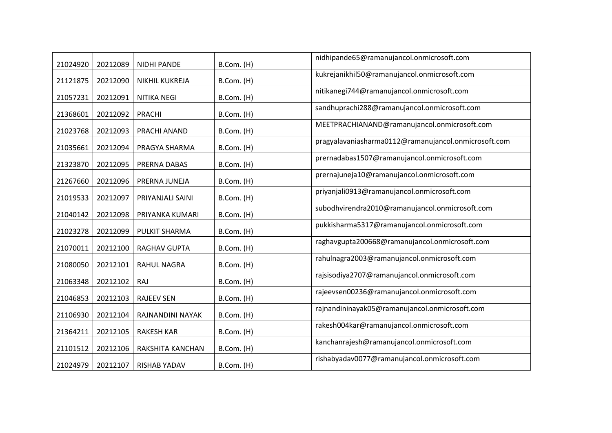| 21024920 | 20212089 | <b>NIDHI PANDE</b> | B.Com. (H) | nidhipande65@ramanujancol.onmicrosoft.com            |
|----------|----------|--------------------|------------|------------------------------------------------------|
| 21121875 | 20212090 | NIKHIL KUKREJA     | B.Com. (H) | kukrejanikhil50@ramanujancol.onmicrosoft.com         |
| 21057231 | 20212091 | NITIKA NEGI        | B.Com. (H) | nitikanegi744@ramanujancol.onmicrosoft.com           |
| 21368601 | 20212092 | <b>PRACHI</b>      | B.Com. (H) | sandhuprachi288@ramanujancol.onmicrosoft.com         |
| 21023768 | 20212093 | PRACHI ANAND       | B.Com. (H) | MEETPRACHIANAND@ramanujancol.onmicrosoft.com         |
| 21035661 | 20212094 | PRAGYA SHARMA      | B.Com. (H) | pragyalavaniasharma0112@ramanujancol.onmicrosoft.com |
| 21323870 | 20212095 | PRERNA DABAS       | B.Com. (H) | prernadabas1507@ramanujancol.onmicrosoft.com         |
| 21267660 | 20212096 | PRERNA JUNEJA      | B.Com. (H) | prernajuneja10@ramanujancol.onmicrosoft.com          |
| 21019533 | 20212097 | PRIYANJALI SAINI   | B.Com. (H) | priyanjali0913@ramanujancol.onmicrosoft.com          |
| 21040142 | 20212098 | PRIYANKA KUMARI    | B.Com. (H) | subodhvirendra2010@ramanujancol.onmicrosoft.com      |
| 21023278 | 20212099 | PULKIT SHARMA      | B.Com. (H) | pukkisharma5317@ramanujancol.onmicrosoft.com         |
| 21070011 | 20212100 | RAGHAV GUPTA       | B.Com. (H) | raghavgupta200668@ramanujancol.onmicrosoft.com       |
| 21080050 | 20212101 | RAHUL NAGRA        | B.Com. (H) | rahulnagra2003@ramanujancol.onmicrosoft.com          |
| 21063348 | 20212102 | RAJ                | B.Com. (H) | rajsisodiya2707@ramanujancol.onmicrosoft.com         |
| 21046853 | 20212103 | <b>RAJEEV SEN</b>  | B.Com. (H) | rajeevsen00236@ramanujancol.onmicrosoft.com          |
| 21106930 | 20212104 | RAJNANDINI NAYAK   | B.Com. (H) | rajnandininayak05@ramanujancol.onmicrosoft.com       |
| 21364211 | 20212105 | <b>RAKESH KAR</b>  | B.Com. (H) | rakesh004kar@ramanujancol.onmicrosoft.com            |
| 21101512 | 20212106 | RAKSHITA KANCHAN   | B.Com. (H) | kanchanrajesh@ramanujancol.onmicrosoft.com           |
| 21024979 | 20212107 | RISHAB YADAV       | B.Com. (H) | rishabyadav0077@ramanujancol.onmicrosoft.com         |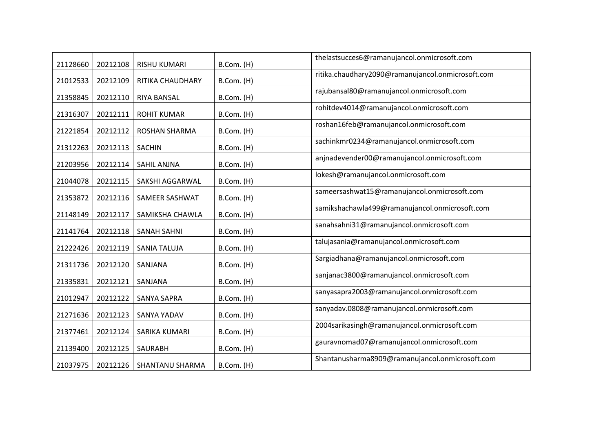| 21128660 | 20212108 | RISHU KUMARI        | B.Com. (H) | thelastsucces6@ramanujancol.onmicrosoft.com       |
|----------|----------|---------------------|------------|---------------------------------------------------|
| 21012533 | 20212109 | RITIKA CHAUDHARY    | B.Com. (H) | ritika.chaudhary2090@ramanujancol.onmicrosoft.com |
| 21358845 | 20212110 | RIYA BANSAL         | B.Com. (H) | rajubansal80@ramanujancol.onmicrosoft.com         |
| 21316307 | 20212111 | <b>ROHIT KUMAR</b>  | B.Com. (H) | rohitdev4014@ramanujancol.onmicrosoft.com         |
| 21221854 | 20212112 | ROSHAN SHARMA       | B.Com. (H) | roshan16feb@ramanujancol.onmicrosoft.com          |
| 21312263 | 20212113 | <b>SACHIN</b>       | B.Com. (H) | sachinkmr0234@ramanujancol.onmicrosoft.com        |
| 21203956 | 20212114 | SAHIL ANJNA         | B.Com. (H) | anjnadevender00@ramanujancol.onmicrosoft.com      |
| 21044078 | 20212115 | SAKSHI AGGARWAL     | B.Com. (H) | lokesh@ramanujancol.onmicrosoft.com               |
| 21353872 | 20212116 | SAMEER SASHWAT      | B.Com. (H) | sameersashwat15@ramanujancol.onmicrosoft.com      |
| 21148149 | 20212117 | SAMIKSHA CHAWLA     | B.Com. (H) | samikshachawla499@ramanujancol.onmicrosoft.com    |
| 21141764 | 20212118 | <b>SANAH SAHNI</b>  | B.Com. (H) | sanahsahni31@ramanujancol.onmicrosoft.com         |
| 21222426 | 20212119 | <b>SANIA TALUJA</b> | B.Com. (H) | talujasania@ramanujancol.onmicrosoft.com          |
| 21311736 | 20212120 | SANJANA             | B.Com. (H) | Sargiadhana@ramanujancol.onmicrosoft.com          |
| 21335831 | 20212121 | SANJANA             | B.Com. (H) | sanjanac3800@ramanujancol.onmicrosoft.com         |
| 21012947 | 20212122 | <b>SANYA SAPRA</b>  | B.Com. (H) | sanyasapra2003@ramanujancol.onmicrosoft.com       |
| 21271636 | 20212123 | SANYA YADAV         | B.Com. (H) | sanyadav.0808@ramanujancol.onmicrosoft.com        |
| 21377461 | 20212124 | SARIKA KUMARI       | B.Com. (H) | 2004sarikasingh@ramanujancol.onmicrosoft.com      |
| 21139400 | 20212125 | <b>SAURABH</b>      | B.Com. (H) | gauravnomad07@ramanujancol.onmicrosoft.com        |
| 21037975 | 20212126 | SHANTANU SHARMA     | B.Com. (H) | Shantanusharma8909@ramanujancol.onmicrosoft.com   |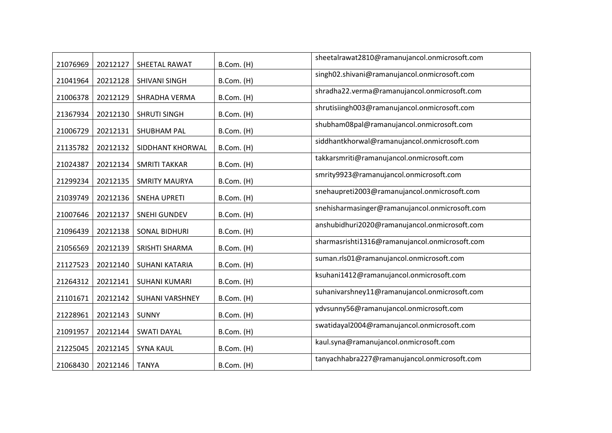| 21076969 | 20212127 | SHEETAL RAWAT        | B.Com. (H) | sheetalrawat2810@ramanujancol.onmicrosoft.com  |
|----------|----------|----------------------|------------|------------------------------------------------|
| 21041964 | 20212128 | SHIVANI SINGH        | B.Com. (H) | singh02.shivani@ramanujancol.onmicrosoft.com   |
| 21006378 | 20212129 | SHRADHA VERMA        | B.Com. (H) | shradha22.verma@ramanujancol.onmicrosoft.com   |
| 21367934 | 20212130 | <b>SHRUTI SINGH</b>  | B.Com. (H) | shrutisiingh003@ramanujancol.onmicrosoft.com   |
| 21006729 | 20212131 | SHUBHAM PAL          | B.Com. (H) | shubham08pal@ramanujancol.onmicrosoft.com      |
| 21135782 | 20212132 | SIDDHANT KHORWAL     | B.Com. (H) | siddhantkhorwal@ramanujancol.onmicrosoft.com   |
| 21024387 | 20212134 | <b>SMRITI TAKKAR</b> | B.Com. (H) | takkarsmriti@ramanujancol.onmicrosoft.com      |
| 21299234 | 20212135 | <b>SMRITY MAURYA</b> | B.Com. (H) | smrity9923@ramanujancol.onmicrosoft.com        |
| 21039749 | 20212136 | <b>SNEHA UPRETI</b>  | B.Com. (H) | snehaupreti2003@ramanujancol.onmicrosoft.com   |
| 21007646 | 20212137 | <b>SNEHI GUNDEV</b>  | B.Com. (H) | snehisharmasinger@ramanujancol.onmicrosoft.com |
| 21096439 | 20212138 | <b>SONAL BIDHURI</b> | B.Com. (H) | anshubidhuri2020@ramanujancol.onmicrosoft.com  |
| 21056569 | 20212139 | SRISHTI SHARMA       | B.Com. (H) | sharmasrishti1316@ramanujancol.onmicrosoft.com |
| 21127523 | 20212140 | SUHANI KATARIA       | B.Com. (H) | suman.rls01@ramanujancol.onmicrosoft.com       |
| 21264312 | 20212141 | <b>SUHANI KUMARI</b> | B.Com. (H) | ksuhani1412@ramanujancol.onmicrosoft.com       |
| 21101671 | 20212142 | SUHANI VARSHNEY      | B.Com. (H) | suhanivarshney11@ramanujancol.onmicrosoft.com  |
| 21228961 | 20212143 | <b>SUNNY</b>         | B.Com. (H) | ydvsunny56@ramanujancol.onmicrosoft.com        |
| 21091957 | 20212144 | <b>SWATI DAYAL</b>   | B.Com. (H) | swatidayal2004@ramanujancol.onmicrosoft.com    |
| 21225045 | 20212145 | <b>SYNA KAUL</b>     | B.Com. (H) | kaul.syna@ramanujancol.onmicrosoft.com         |
| 21068430 | 20212146 | <b>TANYA</b>         | B.Com. (H) | tanyachhabra227@ramanujancol.onmicrosoft.com   |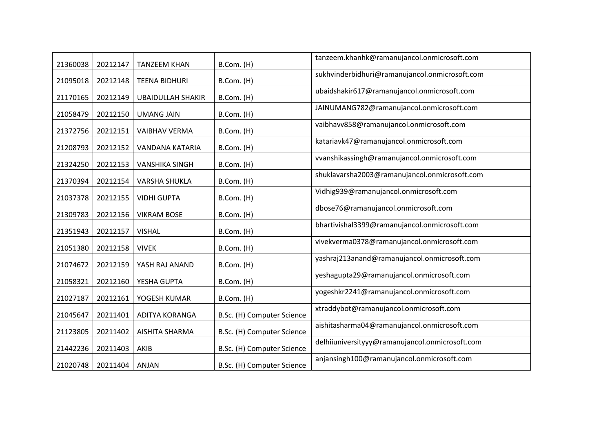| 21360038 | 20212147 | <b>TANZEEM KHAN</b>      | B.Com. (H)                 | tanzeem.khanhk@ramanujancol.onmicrosoft.com     |
|----------|----------|--------------------------|----------------------------|-------------------------------------------------|
| 21095018 | 20212148 | <b>TEENA BIDHURI</b>     | B.Com. (H)                 | sukhvinderbidhuri@ramanujancol.onmicrosoft.com  |
| 21170165 | 20212149 | <b>UBAIDULLAH SHAKIR</b> | B.Com. (H)                 | ubaidshakir617@ramanujancol.onmicrosoft.com     |
| 21058479 | 20212150 | <b>UMANG JAIN</b>        | B.Com. (H)                 | JAINUMANG782@ramanujancol.onmicrosoft.com       |
| 21372756 | 20212151 | <b>VAIBHAV VERMA</b>     | B.Com. (H)                 | vaibhavv858@ramanujancol.onmicrosoft.com        |
| 21208793 | 20212152 | VANDANA KATARIA          | B.Com. (H)                 | katariavk47@ramanujancol.onmicrosoft.com        |
| 21324250 | 20212153 | <b>VANSHIKA SINGH</b>    | B.Com. (H)                 | vvanshikassingh@ramanujancol.onmicrosoft.com    |
| 21370394 | 20212154 | <b>VARSHA SHUKLA</b>     | B.Com. (H)                 | shuklavarsha2003@ramanujancol.onmicrosoft.com   |
| 21037378 | 20212155 | <b>VIDHI GUPTA</b>       | B.Com. (H)                 | Vidhig939@ramanujancol.onmicrosoft.com          |
| 21309783 | 20212156 | <b>VIKRAM BOSE</b>       | B.Com. (H)                 | dbose76@ramanujancol.onmicrosoft.com            |
| 21351943 | 20212157 | <b>VISHAL</b>            | B.Com. (H)                 | bhartivishal3399@ramanujancol.onmicrosoft.com   |
| 21051380 | 20212158 | <b>VIVEK</b>             | B.Com. (H)                 | vivekverma0378@ramanujancol.onmicrosoft.com     |
| 21074672 | 20212159 | YASH RAJ ANAND           | B.Com. (H)                 | yashraj213anand@ramanujancol.onmicrosoft.com    |
| 21058321 | 20212160 | YESHA GUPTA              | B.Com. (H)                 | yeshagupta29@ramanujancol.onmicrosoft.com       |
| 21027187 | 20212161 | YOGESH KUMAR             | B.Com. (H)                 | yogeshkr2241@ramanujancol.onmicrosoft.com       |
| 21045647 | 20211401 | <b>ADITYA KORANGA</b>    | B.Sc. (H) Computer Science | xtraddybot@ramanujancol.onmicrosoft.com         |
| 21123805 | 20211402 | <b>AISHITA SHARMA</b>    | B.Sc. (H) Computer Science | aishitasharma04@ramanujancol.onmicrosoft.com    |
| 21442236 | 20211403 | AKIB                     | B.Sc. (H) Computer Science | delhiiuniversityyy@ramanujancol.onmicrosoft.com |
| 21020748 | 20211404 | <b>ANJAN</b>             | B.Sc. (H) Computer Science | anjansingh100@ramanujancol.onmicrosoft.com      |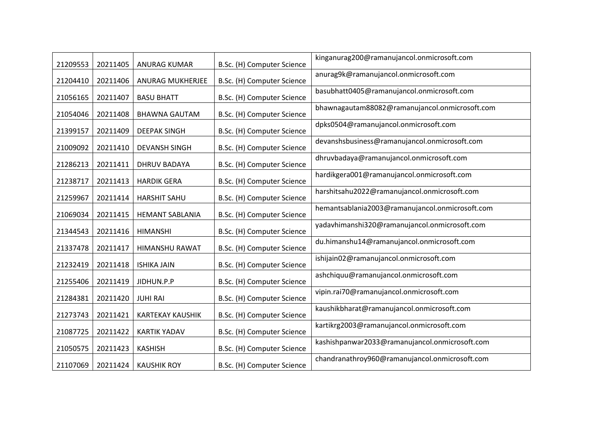| 21209553 | 20211405 | ANURAG KUMAR            | B.Sc. (H) Computer Science | kinganurag200@ramanujancol.onmicrosoft.com      |
|----------|----------|-------------------------|----------------------------|-------------------------------------------------|
| 21204410 | 20211406 | ANURAG MUKHERJEE        | B.Sc. (H) Computer Science | anurag9k@ramanujancol.onmicrosoft.com           |
| 21056165 | 20211407 | <b>BASU BHATT</b>       | B.Sc. (H) Computer Science | basubhatt0405@ramanujancol.onmicrosoft.com      |
| 21054046 | 20211408 | <b>BHAWNA GAUTAM</b>    | B.Sc. (H) Computer Science | bhawnagautam88082@ramanujancol.onmicrosoft.com  |
| 21399157 | 20211409 | <b>DEEPAK SINGH</b>     | B.Sc. (H) Computer Science | dpks0504@ramanujancol.onmicrosoft.com           |
| 21009092 | 20211410 | <b>DEVANSH SINGH</b>    | B.Sc. (H) Computer Science | devanshsbusiness@ramanujancol.onmicrosoft.com   |
| 21286213 | 20211411 | <b>DHRUV BADAYA</b>     | B.Sc. (H) Computer Science | dhruvbadaya@ramanujancol.onmicrosoft.com        |
| 21238717 | 20211413 | <b>HARDIK GERA</b>      | B.Sc. (H) Computer Science | hardikgera001@ramanujancol.onmicrosoft.com      |
| 21259967 | 20211414 | <b>HARSHIT SAHU</b>     | B.Sc. (H) Computer Science | harshitsahu2022@ramanujancol.onmicrosoft.com    |
| 21069034 | 20211415 | <b>HEMANT SABLANIA</b>  | B.Sc. (H) Computer Science | hemantsablania2003@ramanujancol.onmicrosoft.com |
| 21344543 | 20211416 | <b>HIMANSHI</b>         | B.Sc. (H) Computer Science | yadavhimanshi320@ramanujancol.onmicrosoft.com   |
| 21337478 | 20211417 | HIMANSHU RAWAT          | B.Sc. (H) Computer Science | du.himanshu14@ramanujancol.onmicrosoft.com      |
| 21232419 | 20211418 | <b>ISHIKA JAIN</b>      | B.Sc. (H) Computer Science | ishijain02@ramanujancol.onmicrosoft.com         |
| 21255406 | 20211419 | JIDHUN.P.P              | B.Sc. (H) Computer Science | ashchiquu@ramanujancol.onmicrosoft.com          |
| 21284381 | 20211420 | <b>JUHI RAI</b>         | B.Sc. (H) Computer Science | vipin.rai70@ramanujancol.onmicrosoft.com        |
| 21273743 | 20211421 | <b>KARTEKAY KAUSHIK</b> | B.Sc. (H) Computer Science | kaushikbharat@ramanujancol.onmicrosoft.com      |
| 21087725 | 20211422 | <b>KARTIK YADAV</b>     | B.Sc. (H) Computer Science | kartikrg2003@ramanujancol.onmicrosoft.com       |
| 21050575 | 20211423 | <b>KASHISH</b>          | B.Sc. (H) Computer Science | kashishpanwar2033@ramanujancol.onmicrosoft.com  |
| 21107069 | 20211424 | <b>KAUSHIK ROY</b>      | B.Sc. (H) Computer Science | chandranathroy960@ramanujancol.onmicrosoft.com  |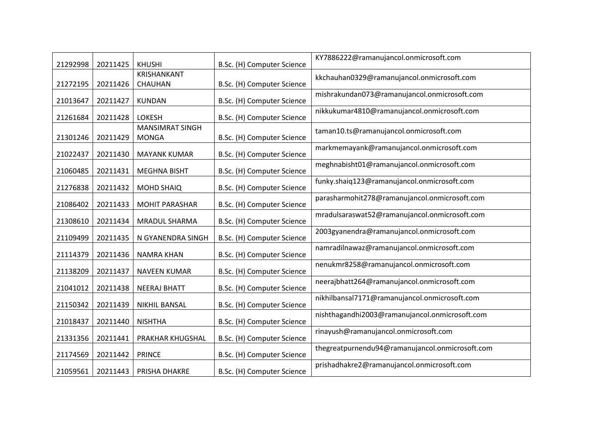| 21292998 | 20211425 | <b>KHUSHI</b>                          | B.Sc. (H) Computer Science | KY7886222@ramanujancol.onmicrosoft.com          |
|----------|----------|----------------------------------------|----------------------------|-------------------------------------------------|
|          |          | KRISHANKANT                            |                            | kkchauhan0329@ramanujancol.onmicrosoft.com      |
| 21272195 | 20211426 | CHAUHAN                                | B.Sc. (H) Computer Science |                                                 |
| 21013647 | 20211427 | <b>KUNDAN</b>                          | B.Sc. (H) Computer Science | mishrakundan073@ramanujancol.onmicrosoft.com    |
| 21261684 | 20211428 | <b>LOKESH</b>                          | B.Sc. (H) Computer Science | nikkukumar4810@ramanujancol.onmicrosoft.com     |
| 21301246 | 20211429 | <b>MANSIMRAT SINGH</b><br><b>MONGA</b> | B.Sc. (H) Computer Science | taman10.ts@ramanujancol.onmicrosoft.com         |
| 21022437 | 20211430 | <b>MAYANK KUMAR</b>                    | B.Sc. (H) Computer Science | markmemayank@ramanujancol.onmicrosoft.com       |
| 21060485 | 20211431 | <b>MEGHNA BISHT</b>                    | B.Sc. (H) Computer Science | meghnabisht01@ramanujancol.onmicrosoft.com      |
| 21276838 | 20211432 | <b>MOHD SHAIQ</b>                      | B.Sc. (H) Computer Science | funky.shaiq123@ramanujancol.onmicrosoft.com     |
| 21086402 | 20211433 | <b>MOHIT PARASHAR</b>                  | B.Sc. (H) Computer Science | parasharmohit278@ramanujancol.onmicrosoft.com   |
| 21308610 | 20211434 | MRADUL SHARMA                          | B.Sc. (H) Computer Science | mradulsaraswat52@ramanujancol.onmicrosoft.com   |
| 21109499 | 20211435 | N GYANENDRA SINGH                      | B.Sc. (H) Computer Science | 2003gyanendra@ramanujancol.onmicrosoft.com      |
| 21114379 | 20211436 | <b>NAMRA KHAN</b>                      | B.Sc. (H) Computer Science | namradilnawaz@ramanujancol.onmicrosoft.com      |
| 21138209 | 20211437 | <b>NAVEEN KUMAR</b>                    | B.Sc. (H) Computer Science | nenukmr8258@ramanujancol.onmicrosoft.com        |
| 21041012 | 20211438 | <b>NEERAJ BHATT</b>                    | B.Sc. (H) Computer Science | neerajbhatt264@ramanujancol.onmicrosoft.com     |
| 21150342 | 20211439 | NIKHIL BANSAL                          | B.Sc. (H) Computer Science | nikhilbansal7171@ramanujancol.onmicrosoft.com   |
| 21018437 | 20211440 | <b>NISHTHA</b>                         | B.Sc. (H) Computer Science | nishthagandhi2003@ramanujancol.onmicrosoft.com  |
| 21331356 | 20211441 | PRAKHAR KHUGSHAL                       | B.Sc. (H) Computer Science | rinayush@ramanujancol.onmicrosoft.com           |
| 21174569 | 20211442 | <b>PRINCE</b>                          | B.Sc. (H) Computer Science | thegreatpurnendu94@ramanujancol.onmicrosoft.com |
| 21059561 | 20211443 | PRISHA DHAKRE                          | B.Sc. (H) Computer Science | prishadhakre2@ramanujancol.onmicrosoft.com      |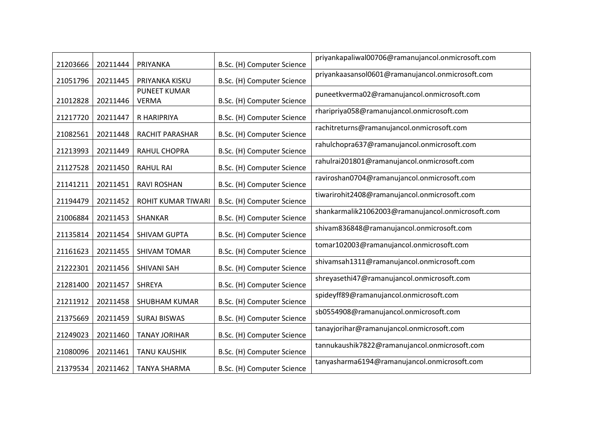| 21203666 | 20211444 | PRIYANKA                            | B.Sc. (H) Computer Science | priyankapaliwal00706@ramanujancol.onmicrosoft.com |
|----------|----------|-------------------------------------|----------------------------|---------------------------------------------------|
| 21051796 | 20211445 | PRIYANKA KISKU                      | B.Sc. (H) Computer Science | priyankaasansol0601@ramanujancol.onmicrosoft.com  |
| 21012828 | 20211446 | <b>PUNEET KUMAR</b><br><b>VERMA</b> | B.Sc. (H) Computer Science | puneetkverma02@ramanujancol.onmicrosoft.com       |
| 21217720 | 20211447 | R HARIPRIYA                         | B.Sc. (H) Computer Science | rharipriya058@ramanujancol.onmicrosoft.com        |
| 21082561 | 20211448 | <b>RACHIT PARASHAR</b>              | B.Sc. (H) Computer Science | rachitreturns@ramanujancol.onmicrosoft.com        |
| 21213993 | 20211449 | RAHUL CHOPRA                        | B.Sc. (H) Computer Science | rahulchopra637@ramanujancol.onmicrosoft.com       |
| 21127528 | 20211450 | <b>RAHUL RAI</b>                    | B.Sc. (H) Computer Science | rahulrai201801@ramanujancol.onmicrosoft.com       |
| 21141211 | 20211451 | <b>RAVI ROSHAN</b>                  | B.Sc. (H) Computer Science | raviroshan0704@ramanujancol.onmicrosoft.com       |
| 21194479 | 20211452 | ROHIT KUMAR TIWARI                  | B.Sc. (H) Computer Science | tiwarirohit2408@ramanujancol.onmicrosoft.com      |
| 21006884 | 20211453 | SHANKAR                             | B.Sc. (H) Computer Science | shankarmalik21062003@ramanujancol.onmicrosoft.com |
| 21135814 | 20211454 | SHIVAM GUPTA                        | B.Sc. (H) Computer Science | shivam836848@ramanujancol.onmicrosoft.com         |
| 21161623 | 20211455 | <b>SHIVAM TOMAR</b>                 | B.Sc. (H) Computer Science | tomar102003@ramanujancol.onmicrosoft.com          |
| 21222301 | 20211456 | <b>SHIVANI SAH</b>                  | B.Sc. (H) Computer Science | shivamsah1311@ramanujancol.onmicrosoft.com        |
| 21281400 | 20211457 | <b>SHREYA</b>                       | B.Sc. (H) Computer Science | shreyasethi47@ramanujancol.onmicrosoft.com        |
| 21211912 | 20211458 | SHUBHAM KUMAR                       | B.Sc. (H) Computer Science | spideyff89@ramanujancol.onmicrosoft.com           |
| 21375669 | 20211459 | <b>SURAJ BISWAS</b>                 | B.Sc. (H) Computer Science | sb0554908@ramanujancol.onmicrosoft.com            |
| 21249023 | 20211460 | <b>TANAY JORIHAR</b>                | B.Sc. (H) Computer Science | tanayjorihar@ramanujancol.onmicrosoft.com         |
| 21080096 | 20211461 | <b>TANU KAUSHIK</b>                 | B.Sc. (H) Computer Science | tannukaushik7822@ramanujancol.onmicrosoft.com     |
| 21379534 | 20211462 | <b>TANYA SHARMA</b>                 | B.Sc. (H) Computer Science | tanyasharma6194@ramanujancol.onmicrosoft.com      |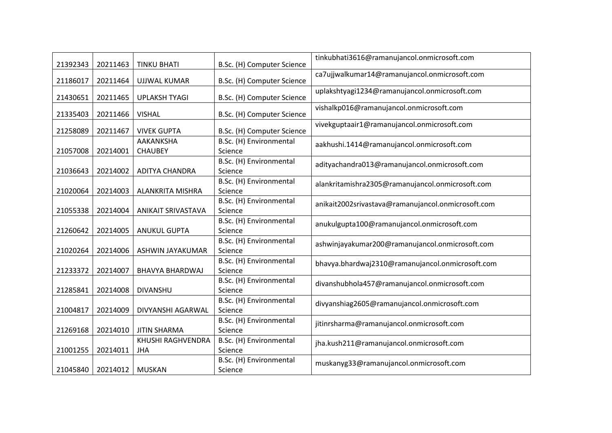| 21392343 | 20211463 | <b>TINKU BHATI</b>                 | B.Sc. (H) Computer Science         | tinkubhati3616@ramanujancol.onmicrosoft.com        |
|----------|----------|------------------------------------|------------------------------------|----------------------------------------------------|
| 21186017 | 20211464 | <b>UJJWAL KUMAR</b>                | B.Sc. (H) Computer Science         | ca7ujjwalkumar14@ramanujancol.onmicrosoft.com      |
| 21430651 | 20211465 | <b>UPLAKSH TYAGI</b>               | B.Sc. (H) Computer Science         | uplakshtyagi1234@ramanujancol.onmicrosoft.com      |
| 21335403 | 20211466 | <b>VISHAL</b>                      | B.Sc. (H) Computer Science         | vishalkp016@ramanujancol.onmicrosoft.com           |
| 21258089 | 20211467 | <b>VIVEK GUPTA</b>                 | B.Sc. (H) Computer Science         | vivekguptaair1@ramanujancol.onmicrosoft.com        |
| 21057008 | 20214001 | <b>AAKANKSHA</b><br><b>CHAUBEY</b> | B.Sc. (H) Environmental<br>Science | aakhushi.1414@ramanujancol.onmicrosoft.com         |
| 21036643 | 20214002 | <b>ADITYA CHANDRA</b>              | B.Sc. (H) Environmental<br>Science | adityachandra013@ramanujancol.onmicrosoft.com      |
| 21020064 | 20214003 | ALANKRITA MISHRA                   | B.Sc. (H) Environmental<br>Science | alankritamishra2305@ramanujancol.onmicrosoft.com   |
| 21055338 | 20214004 | <b>ANIKAIT SRIVASTAVA</b>          | B.Sc. (H) Environmental<br>Science | anikait2002srivastava@ramanujancol.onmicrosoft.com |
| 21260642 | 20214005 | <b>ANUKUL GUPTA</b>                | B.Sc. (H) Environmental<br>Science | anukulgupta100@ramanujancol.onmicrosoft.com        |
| 21020264 | 20214006 | ASHWIN JAYAKUMAR                   | B.Sc. (H) Environmental<br>Science | ashwinjayakumar200@ramanujancol.onmicrosoft.com    |
| 21233372 | 20214007 | <b>BHAVYA BHARDWAJ</b>             | B.Sc. (H) Environmental<br>Science | bhavya.bhardwaj2310@ramanujancol.onmicrosoft.com   |
| 21285841 | 20214008 | <b>DIVANSHU</b>                    | B.Sc. (H) Environmental<br>Science | divanshubhola457@ramanujancol.onmicrosoft.com      |
| 21004817 | 20214009 | DIVYANSHI AGARWAL                  | B.Sc. (H) Environmental<br>Science | divyanshiag2605@ramanujancol.onmicrosoft.com       |
| 21269168 | 20214010 | <b>JITIN SHARMA</b>                | B.Sc. (H) Environmental<br>Science | jitinrsharma@ramanujancol.onmicrosoft.com          |
| 21001255 | 20214011 | KHUSHI RAGHVENDRA<br><b>JHA</b>    | B.Sc. (H) Environmental<br>Science | jha.kush211@ramanujancol.onmicrosoft.com           |
| 21045840 | 20214012 | <b>MUSKAN</b>                      | B.Sc. (H) Environmental<br>Science | muskanyg33@ramanujancol.onmicrosoft.com            |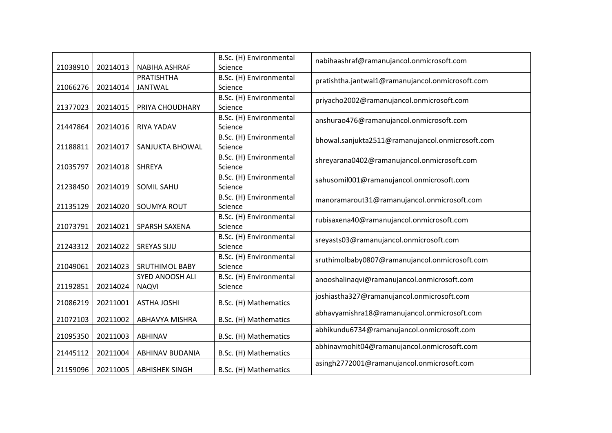|          |          |                        | B.Sc. (H) Environmental | nabihaashraf@ramanujancol.onmicrosoft.com        |
|----------|----------|------------------------|-------------------------|--------------------------------------------------|
| 21038910 | 20214013 | <b>NABIHA ASHRAF</b>   | Science                 |                                                  |
|          |          | <b>PRATISHTHA</b>      | B.Sc. (H) Environmental | pratishtha.jantwal1@ramanujancol.onmicrosoft.com |
| 21066276 | 20214014 | <b>JANTWAL</b>         | Science                 |                                                  |
|          |          |                        | B.Sc. (H) Environmental | priyacho2002@ramanujancol.onmicrosoft.com        |
| 21377023 | 20214015 | PRIYA CHOUDHARY        | Science                 |                                                  |
|          |          |                        | B.Sc. (H) Environmental | anshurao476@ramanujancol.onmicrosoft.com         |
| 21447864 | 20214016 | <b>RIYA YADAV</b>      | Science                 |                                                  |
|          |          |                        | B.Sc. (H) Environmental | bhowal.sanjukta2511@ramanujancol.onmicrosoft.com |
| 21188811 | 20214017 | SANJUKTA BHOWAL        | Science                 |                                                  |
|          |          |                        | B.Sc. (H) Environmental | shreyarana0402@ramanujancol.onmicrosoft.com      |
| 21035797 | 20214018 | <b>SHREYA</b>          | Science                 |                                                  |
|          |          |                        | B.Sc. (H) Environmental | sahusomil001@ramanujancol.onmicrosoft.com        |
| 21238450 | 20214019 | SOMIL SAHU             | Science                 |                                                  |
|          |          |                        | B.Sc. (H) Environmental | manoramarout31@ramanujancol.onmicrosoft.com      |
| 21135129 | 20214020 | <b>SOUMYA ROUT</b>     | Science                 |                                                  |
|          |          |                        | B.Sc. (H) Environmental | rubisaxena40@ramanujancol.onmicrosoft.com        |
| 21073791 | 20214021 | <b>SPARSH SAXENA</b>   | Science                 |                                                  |
|          |          |                        | B.Sc. (H) Environmental | sreyasts03@ramanujancol.onmicrosoft.com          |
| 21243312 | 20214022 | <b>SREYAS SIJU</b>     | Science                 |                                                  |
|          |          |                        | B.Sc. (H) Environmental | sruthimolbaby0807@ramanujancol.onmicrosoft.com   |
| 21049061 | 20214023 | <b>SRUTHIMOL BABY</b>  | Science                 |                                                  |
|          |          | SYED ANOOSH ALI        | B.Sc. (H) Environmental | anooshalinaqvi@ramanujancol.onmicrosoft.com      |
| 21192851 | 20214024 | <b>NAQVI</b>           | Science                 |                                                  |
|          |          |                        |                         | joshiastha327@ramanujancol.onmicrosoft.com       |
| 21086219 | 20211001 | <b>ASTHA JOSHI</b>     | B.Sc. (H) Mathematics   |                                                  |
| 21072103 | 20211002 | ABHAVYA MISHRA         | B.Sc. (H) Mathematics   | abhavyamishra18@ramanujancol.onmicrosoft.com     |
|          |          |                        |                         | abhikundu6734@ramanujancol.onmicrosoft.com       |
| 21095350 | 20211003 | <b>ABHINAV</b>         | B.Sc. (H) Mathematics   |                                                  |
|          |          |                        |                         | abhinavmohit04@ramanujancol.onmicrosoft.com      |
| 21445112 | 20211004 | <b>ABHINAV BUDANIA</b> | B.Sc. (H) Mathematics   |                                                  |
| 21159096 | 20211005 | <b>ABHISHEK SINGH</b>  | B.Sc. (H) Mathematics   | asingh2772001@ramanujancol.onmicrosoft.com       |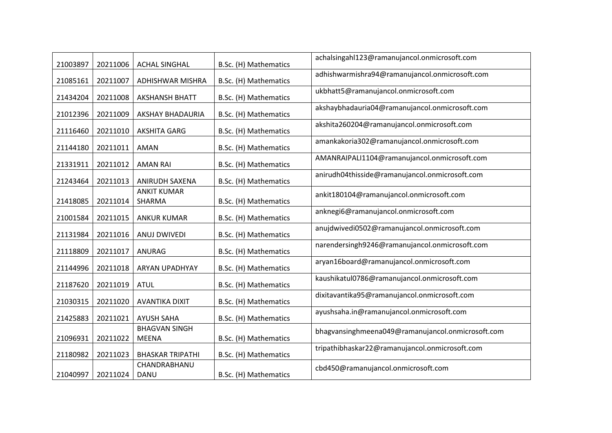| 21003897 | 20211006 | <b>ACHAL SINGHAL</b>                 | B.Sc. (H) Mathematics | achalsingahl123@ramanujancol.onmicrosoft.com      |
|----------|----------|--------------------------------------|-----------------------|---------------------------------------------------|
| 21085161 | 20211007 | ADHISHWAR MISHRA                     | B.Sc. (H) Mathematics | adhishwarmishra94@ramanujancol.onmicrosoft.com    |
| 21434204 | 20211008 | <b>AKSHANSH BHATT</b>                | B.Sc. (H) Mathematics | ukbhatt5@ramanujancol.onmicrosoft.com             |
| 21012396 | 20211009 | <b>AKSHAY BHADAURIA</b>              | B.Sc. (H) Mathematics | akshaybhadauria04@ramanujancol.onmicrosoft.com    |
| 21116460 | 20211010 | <b>AKSHITA GARG</b>                  | B.Sc. (H) Mathematics | akshita260204@ramanujancol.onmicrosoft.com        |
| 21144180 | 20211011 | <b>AMAN</b>                          | B.Sc. (H) Mathematics | amankakoria302@ramanujancol.onmicrosoft.com       |
| 21331911 | 20211012 | <b>AMAN RAI</b>                      | B.Sc. (H) Mathematics | AMANRAIPALI1104@ramanujancol.onmicrosoft.com      |
| 21243464 | 20211013 | <b>ANIRUDH SAXENA</b>                | B.Sc. (H) Mathematics | anirudh04thisside@ramanujancol.onmicrosoft.com    |
| 21418085 | 20211014 | <b>ANKIT KUMAR</b><br>SHARMA         | B.Sc. (H) Mathematics | ankit180104@ramanujancol.onmicrosoft.com          |
| 21001584 | 20211015 | <b>ANKUR KUMAR</b>                   | B.Sc. (H) Mathematics | anknegi6@ramanujancol.onmicrosoft.com             |
| 21131984 | 20211016 | ANUJ DWIVEDI                         | B.Sc. (H) Mathematics | anujdwivedi0502@ramanujancol.onmicrosoft.com      |
| 21118809 | 20211017 | ANURAG                               | B.Sc. (H) Mathematics | narendersingh9246@ramanujancol.onmicrosoft.com    |
| 21144996 | 20211018 | ARYAN UPADHYAY                       | B.Sc. (H) Mathematics | aryan16board@ramanujancol.onmicrosoft.com         |
| 21187620 | 20211019 | <b>ATUL</b>                          | B.Sc. (H) Mathematics | kaushikatul0786@ramanujancol.onmicrosoft.com      |
| 21030315 | 20211020 | <b>AVANTIKA DIXIT</b>                | B.Sc. (H) Mathematics | dixitavantika95@ramanujancol.onmicrosoft.com      |
| 21425883 | 20211021 | <b>AYUSH SAHA</b>                    | B.Sc. (H) Mathematics | ayushsaha.in@ramanujancol.onmicrosoft.com         |
| 21096931 | 20211022 | <b>BHAGVAN SINGH</b><br><b>MEENA</b> | B.Sc. (H) Mathematics | bhagvansinghmeena049@ramanujancol.onmicrosoft.com |
| 21180982 | 20211023 | <b>BHASKAR TRIPATHI</b>              | B.Sc. (H) Mathematics | tripathibhaskar22@ramanujancol.onmicrosoft.com    |
| 21040997 | 20211024 | CHANDRABHANU<br>DANU                 | B.Sc. (H) Mathematics | cbd450@ramanujancol.onmicrosoft.com               |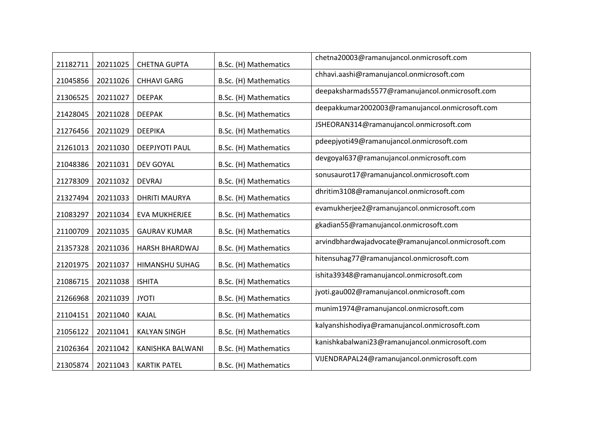| 21182711 | 20211025 | <b>CHETNA GUPTA</b>   | B.Sc. (H) Mathematics | chetna20003@ramanujancol.onmicrosoft.com            |
|----------|----------|-----------------------|-----------------------|-----------------------------------------------------|
| 21045856 | 20211026 | <b>CHHAVI GARG</b>    | B.Sc. (H) Mathematics | chhavi.aashi@ramanujancol.onmicrosoft.com           |
| 21306525 | 20211027 | <b>DEEPAK</b>         | B.Sc. (H) Mathematics | deepaksharmads5577@ramanujancol.onmicrosoft.com     |
| 21428045 | 20211028 | <b>DEEPAK</b>         | B.Sc. (H) Mathematics | deepakkumar2002003@ramanujancol.onmicrosoft.com     |
| 21276456 | 20211029 | <b>DEEPIKA</b>        | B.Sc. (H) Mathematics | JSHEORAN314@ramanujancol.onmicrosoft.com            |
| 21261013 | 20211030 | DEEPJYOTI PAUL        | B.Sc. (H) Mathematics | pdeepjyoti49@ramanujancol.onmicrosoft.com           |
| 21048386 | 20211031 | <b>DEV GOYAL</b>      | B.Sc. (H) Mathematics | devgoyal637@ramanujancol.onmicrosoft.com            |
| 21278309 | 20211032 | <b>DEVRAJ</b>         | B.Sc. (H) Mathematics | sonusaurot17@ramanujancol.onmicrosoft.com           |
| 21327494 | 20211033 | <b>DHRITI MAURYA</b>  | B.Sc. (H) Mathematics | dhritim3108@ramanujancol.onmicrosoft.com            |
| 21083297 | 20211034 | EVA MUKHERJEE         | B.Sc. (H) Mathematics | evamukherjee2@ramanujancol.onmicrosoft.com          |
| 21100709 | 20211035 | <b>GAURAV KUMAR</b>   | B.Sc. (H) Mathematics | gkadian55@ramanujancol.onmicrosoft.com              |
| 21357328 | 20211036 | <b>HARSH BHARDWAJ</b> | B.Sc. (H) Mathematics | arvindbhardwajadvocate@ramanujancol.onmicrosoft.com |
| 21201975 | 20211037 | HIMANSHU SUHAG        | B.Sc. (H) Mathematics | hitensuhag77@ramanujancol.onmicrosoft.com           |
| 21086715 | 20211038 | <b>ISHITA</b>         | B.Sc. (H) Mathematics | ishita39348@ramanujancol.onmicrosoft.com            |
| 21266968 | 20211039 | <b>JYOTI</b>          | B.Sc. (H) Mathematics | jyoti.gau002@ramanujancol.onmicrosoft.com           |
| 21104151 | 20211040 | KAJAL                 | B.Sc. (H) Mathematics | munim1974@ramanujancol.onmicrosoft.com              |
| 21056122 | 20211041 | <b>KALYAN SINGH</b>   | B.Sc. (H) Mathematics | kalyanshishodiya@ramanujancol.onmicrosoft.com       |
| 21026364 | 20211042 | KANISHKA BALWANI      | B.Sc. (H) Mathematics | kanishkabalwani23@ramanujancol.onmicrosoft.com      |
| 21305874 | 20211043 | <b>KARTIK PATEL</b>   | B.Sc. (H) Mathematics | VIJENDRAPAL24@ramanujancol.onmicrosoft.com          |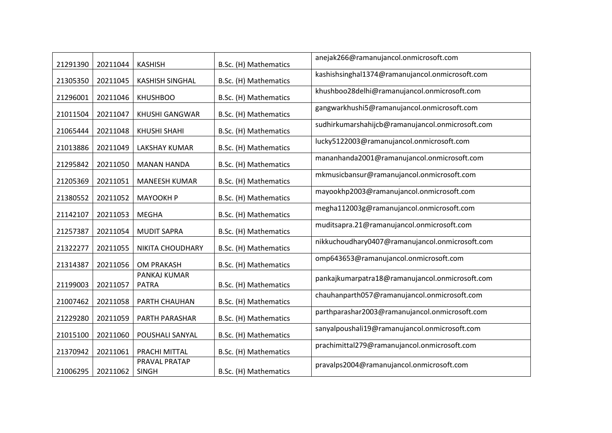| 21291390 | 20211044 | <b>KASHISH</b>                | B.Sc. (H) Mathematics | anejak266@ramanujancol.onmicrosoft.com           |
|----------|----------|-------------------------------|-----------------------|--------------------------------------------------|
| 21305350 | 20211045 | <b>KASHISH SINGHAL</b>        | B.Sc. (H) Mathematics | kashishsinghal1374@ramanujancol.onmicrosoft.com  |
| 21296001 | 20211046 | <b>KHUSHBOO</b>               | B.Sc. (H) Mathematics | khushboo28delhi@ramanujancol.onmicrosoft.com     |
| 21011504 | 20211047 | <b>KHUSHI GANGWAR</b>         | B.Sc. (H) Mathematics | gangwarkhushi5@ramanujancol.onmicrosoft.com      |
| 21065444 | 20211048 | <b>KHUSHI SHAHI</b>           | B.Sc. (H) Mathematics | sudhirkumarshahijcb@ramanujancol.onmicrosoft.com |
| 21013886 | 20211049 | <b>LAKSHAY KUMAR</b>          | B.Sc. (H) Mathematics | lucky5122003@ramanujancol.onmicrosoft.com        |
| 21295842 | 20211050 | <b>MANAN HANDA</b>            | B.Sc. (H) Mathematics | mananhanda2001@ramanujancol.onmicrosoft.com      |
| 21205369 | 20211051 | <b>MANEESH KUMAR</b>          | B.Sc. (H) Mathematics | mkmusicbansur@ramanujancol.onmicrosoft.com       |
| 21380552 | 20211052 | <b>MAYOOKH P</b>              | B.Sc. (H) Mathematics | mayookhp2003@ramanujancol.onmicrosoft.com        |
| 21142107 | 20211053 | <b>MEGHA</b>                  | B.Sc. (H) Mathematics | megha112003g@ramanujancol.onmicrosoft.com        |
| 21257387 | 20211054 | <b>MUDIT SAPRA</b>            | B.Sc. (H) Mathematics | muditsapra.21@ramanujancol.onmicrosoft.com       |
| 21322277 | 20211055 | NIKITA CHOUDHARY              | B.Sc. (H) Mathematics | nikkuchoudhary0407@ramanujancol.onmicrosoft.com  |
| 21314387 | 20211056 | OM PRAKASH                    | B.Sc. (H) Mathematics | omp643653@ramanujancol.onmicrosoft.com           |
| 21199003 | 20211057 | PANKAJ KUMAR<br><b>PATRA</b>  | B.Sc. (H) Mathematics | pankajkumarpatra18@ramanujancol.onmicrosoft.com  |
| 21007462 | 20211058 | PARTH CHAUHAN                 | B.Sc. (H) Mathematics | chauhanparth057@ramanujancol.onmicrosoft.com     |
| 21229280 | 20211059 | PARTH PARASHAR                | B.Sc. (H) Mathematics | parthparashar2003@ramanujancol.onmicrosoft.com   |
| 21015100 | 20211060 | POUSHALI SANYAL               | B.Sc. (H) Mathematics | sanyalpoushali19@ramanujancol.onmicrosoft.com    |
| 21370942 | 20211061 | PRACHI MITTAL                 | B.Sc. (H) Mathematics | prachimittal279@ramanujancol.onmicrosoft.com     |
| 21006295 | 20211062 | PRAVAL PRATAP<br><b>SINGH</b> | B.Sc. (H) Mathematics | pravalps2004@ramanujancol.onmicrosoft.com        |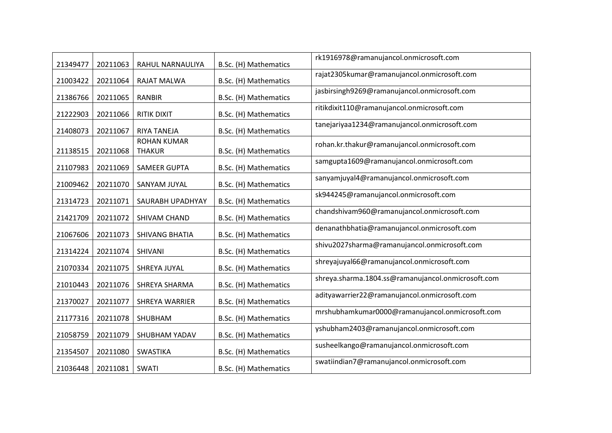| 21349477 | 20211063 | RAHUL NARNAULIYA                    | B.Sc. (H) Mathematics | rk1916978@ramanujancol.onmicrosoft.com             |
|----------|----------|-------------------------------------|-----------------------|----------------------------------------------------|
| 21003422 | 20211064 | RAJAT MALWA                         | B.Sc. (H) Mathematics | rajat2305kumar@ramanujancol.onmicrosoft.com        |
| 21386766 | 20211065 | <b>RANBIR</b>                       | B.Sc. (H) Mathematics | jasbirsingh9269@ramanujancol.onmicrosoft.com       |
| 21222903 | 20211066 | <b>RITIK DIXIT</b>                  | B.Sc. (H) Mathematics | ritikdixit110@ramanujancol.onmicrosoft.com         |
| 21408073 | 20211067 | <b>RIYA TANEJA</b>                  | B.Sc. (H) Mathematics | tanejariyaa1234@ramanujancol.onmicrosoft.com       |
| 21138515 | 20211068 | <b>ROHAN KUMAR</b><br><b>THAKUR</b> | B.Sc. (H) Mathematics | rohan.kr.thakur@ramanujancol.onmicrosoft.com       |
| 21107983 | 20211069 | <b>SAMEER GUPTA</b>                 | B.Sc. (H) Mathematics | samgupta1609@ramanujancol.onmicrosoft.com          |
| 21009462 | 20211070 | SANYAM JUYAL                        | B.Sc. (H) Mathematics | sanyamjuyal4@ramanujancol.onmicrosoft.com          |
| 21314723 | 20211071 | SAURABH UPADHYAY                    | B.Sc. (H) Mathematics | sk944245@ramanujancol.onmicrosoft.com              |
| 21421709 | 20211072 | SHIVAM CHAND                        | B.Sc. (H) Mathematics | chandshivam960@ramanujancol.onmicrosoft.com        |
| 21067606 | 20211073 | <b>SHIVANG BHATIA</b>               | B.Sc. (H) Mathematics | denanathbhatia@ramanujancol.onmicrosoft.com        |
| 21314224 | 20211074 | SHIVANI                             | B.Sc. (H) Mathematics | shivu2027sharma@ramanujancol.onmicrosoft.com       |
| 21070334 | 20211075 | SHREYA JUYAL                        | B.Sc. (H) Mathematics | shreyajuyal66@ramanujancol.onmicrosoft.com         |
| 21010443 | 20211076 | SHREYA SHARMA                       | B.Sc. (H) Mathematics | shreya.sharma.1804.ss@ramanujancol.onmicrosoft.com |
| 21370027 | 20211077 | SHREYA WARRIER                      | B.Sc. (H) Mathematics | adityawarrier22@ramanujancol.onmicrosoft.com       |
| 21177316 | 20211078 | SHUBHAM                             | B.Sc. (H) Mathematics | mrshubhamkumar0000@ramanujancol.onmicrosoft.com    |
| 21058759 | 20211079 | SHUBHAM YADAV                       | B.Sc. (H) Mathematics | yshubham2403@ramanujancol.onmicrosoft.com          |
| 21354507 | 20211080 | <b>SWASTIKA</b>                     | B.Sc. (H) Mathematics | susheelkango@ramanujancol.onmicrosoft.com          |
| 21036448 | 20211081 | <b>SWATI</b>                        | B.Sc. (H) Mathematics | swatiindian7@ramanujancol.onmicrosoft.com          |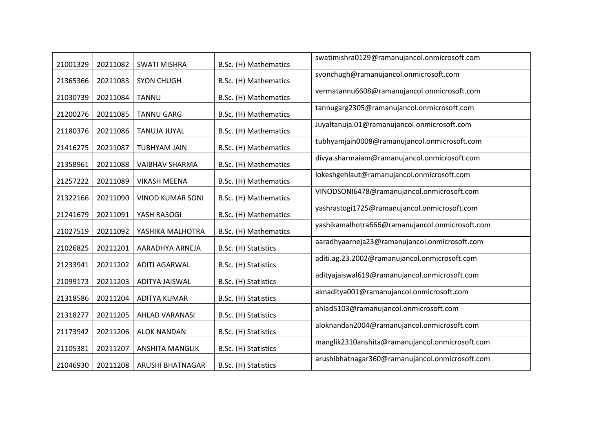| 21001329 | 20211082 | <b>SWATI MISHRA</b>     | B.Sc. (H) Mathematics | swatimishra0129@ramanujancol.onmicrosoft.com    |
|----------|----------|-------------------------|-----------------------|-------------------------------------------------|
| 21365366 | 20211083 | <b>SYON CHUGH</b>       | B.Sc. (H) Mathematics | syonchugh@ramanujancol.onmicrosoft.com          |
| 21030739 | 20211084 | <b>TANNU</b>            | B.Sc. (H) Mathematics | vermatannu6608@ramanujancol.onmicrosoft.com     |
| 21200276 | 20211085 | <b>TANNU GARG</b>       | B.Sc. (H) Mathematics | tannugarg2305@ramanujancol.onmicrosoft.com      |
| 21180376 | 20211086 | <b>TANUJA JUYAL</b>     | B.Sc. (H) Mathematics | Juyaltanuja.01@ramanujancol.onmicrosoft.com     |
| 21416275 | 20211087 | <b>TUBHYAM JAIN</b>     | B.Sc. (H) Mathematics | tubhyamjain0008@ramanujancol.onmicrosoft.com    |
| 21358961 | 20211088 | VAIBHAV SHARMA          | B.Sc. (H) Mathematics | divya.sharmaiam@ramanujancol.onmicrosoft.com    |
| 21257222 | 20211089 | <b>VIKASH MEENA</b>     | B.Sc. (H) Mathematics | lokeshgehlaut@ramanujancol.onmicrosoft.com      |
| 21322166 | 20211090 | <b>VINOD KUMAR SONI</b> | B.Sc. (H) Mathematics | VINODSONI6478@ramanujancol.onmicrosoft.com      |
| 21241679 | 20211091 | YASH RA3OGI             | B.Sc. (H) Mathematics | yashrastogi1725@ramanujancol.onmicrosoft.com    |
| 21027519 | 20211092 | YASHIKA MALHOTRA        | B.Sc. (H) Mathematics | yashikamalhotra666@ramanujancol.onmicrosoft.com |
| 21026825 | 20211201 | AARADHYA ARNEJA         | B.Sc. (H) Statistics  | aaradhyaarneja23@ramanujancol.onmicrosoft.com   |
| 21233941 | 20211202 | <b>ADITI AGARWAL</b>    | B.Sc. (H) Statistics  | aditi.ag.23.2002@ramanujancol.onmicrosoft.com   |
| 21099173 | 20211203 | <b>ADITYA JAISWAL</b>   | B.Sc. (H) Statistics  | adityajaiswal619@ramanujancol.onmicrosoft.com   |
| 21318586 | 20211204 | <b>ADITYA KUMAR</b>     | B.Sc. (H) Statistics  | aknaditya001@ramanujancol.onmicrosoft.com       |
| 21318277 | 20211205 | <b>AHLAD VARANASI</b>   | B.Sc. (H) Statistics  | ahlad5103@ramanujancol.onmicrosoft.com          |
| 21173942 | 20211206 | <b>ALOK NANDAN</b>      | B.Sc. (H) Statistics  | aloknandan2004@ramanujancol.onmicrosoft.com     |
| 21105381 | 20211207 | <b>ANSHITA MANGLIK</b>  | B.Sc. (H) Statistics  | manglik2310anshita@ramanujancol.onmicrosoft.com |
| 21046930 | 20211208 | ARUSHI BHATNAGAR        | B.Sc. (H) Statistics  | arushibhatnagar360@ramanujancol.onmicrosoft.com |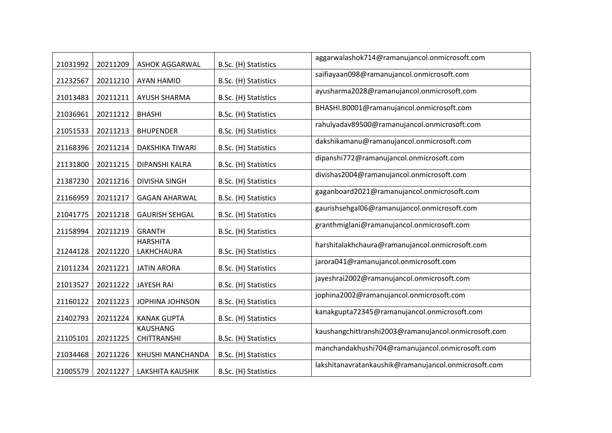| 21031992 | 20211209 | <b>ASHOK AGGARWAL</b>                 | B.Sc. (H) Statistics | aggarwalashok714@ramanujancol.onmicrosoft.com        |
|----------|----------|---------------------------------------|----------------------|------------------------------------------------------|
| 21232567 | 20211210 | <b>AYAN HAMID</b>                     | B.Sc. (H) Statistics | saifiayaan098@ramanujancol.onmicrosoft.com           |
| 21013483 | 20211211 | <b>AYUSH SHARMA</b>                   | B.Sc. (H) Statistics | ayusharma2028@ramanujancol.onmicrosoft.com           |
| 21036961 | 20211212 | <b>BHASHI</b>                         | B.Sc. (H) Statistics | BHASHI.B0001@ramanujancol.onmicrosoft.com            |
| 21051533 | 20211213 | <b>BHUPENDER</b>                      | B.Sc. (H) Statistics | rahulyadav89500@ramanujancol.onmicrosoft.com         |
| 21168396 | 20211214 | DAKSHIKA TIWARI                       | B.Sc. (H) Statistics | dakshikamanu@ramanujancol.onmicrosoft.com            |
| 21131800 | 20211215 | DIPANSHI KALRA                        | B.Sc. (H) Statistics | dipanshi772@ramanujancol.onmicrosoft.com             |
| 21387230 | 20211216 | <b>DIVISHA SINGH</b>                  | B.Sc. (H) Statistics | divishas2004@ramanujancol.onmicrosoft.com            |
| 21166959 | 20211217 | <b>GAGAN AHARWAL</b>                  | B.Sc. (H) Statistics | gaganboard2021@ramanujancol.onmicrosoft.com          |
| 21041775 | 20211218 | <b>GAURISH SEHGAL</b>                 | B.Sc. (H) Statistics | gaurishsehgal06@ramanujancol.onmicrosoft.com         |
| 21158994 | 20211219 | <b>GRANTH</b>                         | B.Sc. (H) Statistics | granthmiglani@ramanujancol.onmicrosoft.com           |
|          |          | <b>HARSHITA</b>                       |                      | harshitalakhchaura@ramanujancol.onmicrosoft.com      |
| 21244128 | 20211220 | LAKHCHAURA                            | B.Sc. (H) Statistics | jarora041@ramanujancol.onmicrosoft.com               |
| 21011234 | 20211221 | <b>JATIN ARORA</b>                    | B.Sc. (H) Statistics | jayeshrai2002@ramanujancol.onmicrosoft.com           |
| 21013527 | 20211222 | <b>JAYESH RAI</b>                     | B.Sc. (H) Statistics | jophina2002@ramanujancol.onmicrosoft.com             |
| 21160122 | 20211223 | JOPHINA JOHNSON                       | B.Sc. (H) Statistics | kanakgupta72345@ramanujancol.onmicrosoft.com         |
| 21402793 | 20211224 | <b>KANAK GUPTA</b><br><b>KAUSHANG</b> | B.Sc. (H) Statistics | kaushangchittranshi2003@ramanujancol.onmicrosoft.com |
| 21105101 | 20211225 | <b>CHITTRANSHI</b>                    | B.Sc. (H) Statistics |                                                      |
| 21034468 | 20211226 | KHUSHI MANCHANDA                      | B.Sc. (H) Statistics | manchandakhushi704@ramanujancol.onmicrosoft.com      |
| 21005579 | 20211227 | <b>LAKSHITA KAUSHIK</b>               | B.Sc. (H) Statistics | lakshitanavratankaushik@ramanujancol.onmicrosoft.com |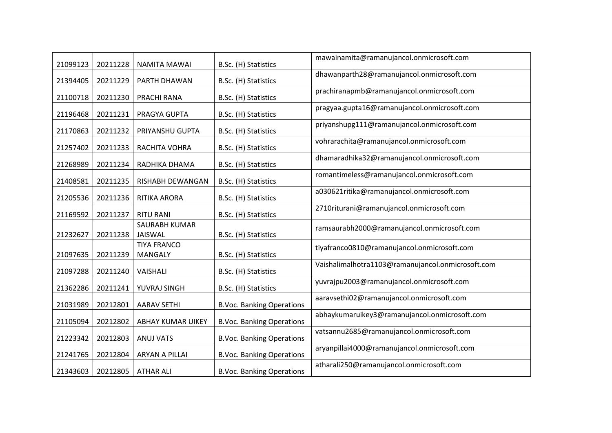| 21099123 | 20211228 | NAMITA MAWAI                         | B.Sc. (H) Statistics             | mawainamita@ramanujancol.onmicrosoft.com          |
|----------|----------|--------------------------------------|----------------------------------|---------------------------------------------------|
| 21394405 | 20211229 | PARTH DHAWAN                         | B.Sc. (H) Statistics             | dhawanparth28@ramanujancol.onmicrosoft.com        |
| 21100718 | 20211230 | PRACHI RANA                          | B.Sc. (H) Statistics             | prachiranapmb@ramanujancol.onmicrosoft.com        |
| 21196468 | 20211231 | PRAGYA GUPTA                         | B.Sc. (H) Statistics             | pragyaa.gupta16@ramanujancol.onmicrosoft.com      |
| 21170863 | 20211232 | PRIYANSHU GUPTA                      | B.Sc. (H) Statistics             | priyanshupg111@ramanujancol.onmicrosoft.com       |
| 21257402 | 20211233 | RACHITA VOHRA                        | B.Sc. (H) Statistics             | vohrarachita@ramanujancol.onmicrosoft.com         |
| 21268989 | 20211234 | RADHIKA DHAMA                        | B.Sc. (H) Statistics             | dhamaradhika32@ramanujancol.onmicrosoft.com       |
| 21408581 | 20211235 | RISHABH DEWANGAN                     | B.Sc. (H) Statistics             | romantimeless@ramanujancol.onmicrosoft.com        |
| 21205536 | 20211236 | RITIKA ARORA                         | B.Sc. (H) Statistics             | a030621ritika@ramanujancol.onmicrosoft.com        |
| 21169592 | 20211237 | <b>RITU RANI</b>                     | B.Sc. (H) Statistics             | 2710riturani@ramanujancol.onmicrosoft.com         |
| 21232627 | 20211238 | <b>SAURABH KUMAR</b><br>JAISWAL      | B.Sc. (H) Statistics             | ramsaurabh2000@ramanujancol.onmicrosoft.com       |
| 21097635 | 20211239 | <b>TIYA FRANCO</b><br><b>MANGALY</b> | B.Sc. (H) Statistics             | tiyafranco0810@ramanujancol.onmicrosoft.com       |
| 21097288 | 20211240 | VAISHALI                             | B.Sc. (H) Statistics             | Vaishalimalhotra1103@ramanujancol.onmicrosoft.com |
| 21362286 | 20211241 | YUVRAJ SINGH                         | B.Sc. (H) Statistics             | yuvrajpu2003@ramanujancol.onmicrosoft.com         |
| 21031989 | 20212801 | <b>AARAV SETHI</b>                   | <b>B.Voc. Banking Operations</b> | aaravsethi02@ramanujancol.onmicrosoft.com         |
| 21105094 | 20212802 | <b>ABHAY KUMAR UIKEY</b>             | <b>B.Voc. Banking Operations</b> | abhaykumaruikey3@ramanujancol.onmicrosoft.com     |
| 21223342 | 20212803 | <b>ANUJ VATS</b>                     | <b>B.Voc. Banking Operations</b> | vatsannu2685@ramanujancol.onmicrosoft.com         |
| 21241765 | 20212804 | ARYAN A PILLAI                       | <b>B.Voc. Banking Operations</b> | aryanpillai4000@ramanujancol.onmicrosoft.com      |
| 21343603 | 20212805 | <b>ATHAR ALI</b>                     | <b>B.Voc. Banking Operations</b> | atharali250@ramanujancol.onmicrosoft.com          |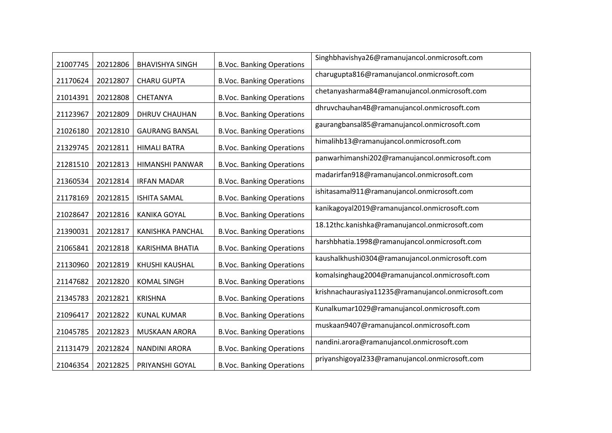| 21007745 | 20212806 | <b>BHAVISHYA SINGH</b> | <b>B.Voc. Banking Operations</b> | Singhbhavishya26@ramanujancol.onmicrosoft.com       |
|----------|----------|------------------------|----------------------------------|-----------------------------------------------------|
| 21170624 | 20212807 | <b>CHARU GUPTA</b>     | <b>B.Voc. Banking Operations</b> | charugupta816@ramanujancol.onmicrosoft.com          |
| 21014391 | 20212808 | CHETANYA               | <b>B.Voc. Banking Operations</b> | chetanyasharma84@ramanujancol.onmicrosoft.com       |
| 21123967 | 20212809 | DHRUV CHAUHAN          | <b>B.Voc. Banking Operations</b> | dhruvchauhan4B@ramanujancol.onmicrosoft.com         |
| 21026180 | 20212810 | <b>GAURANG BANSAL</b>  | <b>B.Voc. Banking Operations</b> | gaurangbansal85@ramanujancol.onmicrosoft.com        |
| 21329745 | 20212811 | <b>HIMALI BATRA</b>    | <b>B.Voc. Banking Operations</b> | himalihb13@ramanujancol.onmicrosoft.com             |
| 21281510 | 20212813 | HIMANSHI PANWAR        | <b>B.Voc. Banking Operations</b> | panwarhimanshi202@ramanujancol.onmicrosoft.com      |
| 21360534 | 20212814 | <b>IRFAN MADAR</b>     | <b>B.Voc. Banking Operations</b> | madarirfan918@ramanujancol.onmicrosoft.com          |
| 21178169 | 20212815 | <b>ISHITA SAMAL</b>    | <b>B.Voc. Banking Operations</b> | ishitasamal911@ramanujancol.onmicrosoft.com         |
| 21028647 | 20212816 | <b>KANIKA GOYAL</b>    | <b>B.Voc. Banking Operations</b> | kanikagoyal2019@ramanujancol.onmicrosoft.com        |
| 21390031 | 20212817 | KANISHKA PANCHAL       | <b>B.Voc. Banking Operations</b> | 18.12thc.kanishka@ramanujancol.onmicrosoft.com      |
| 21065841 | 20212818 | <b>KARISHMA BHATIA</b> | <b>B.Voc. Banking Operations</b> | harshbhatia.1998@ramanujancol.onmicrosoft.com       |
| 21130960 | 20212819 | KHUSHI KAUSHAL         | <b>B.Voc. Banking Operations</b> | kaushalkhushi0304@ramanujancol.onmicrosoft.com      |
| 21147682 | 20212820 | <b>KOMAL SINGH</b>     | <b>B.Voc. Banking Operations</b> | komalsinghaug2004@ramanujancol.onmicrosoft.com      |
| 21345783 | 20212821 | <b>KRISHNA</b>         | <b>B.Voc. Banking Operations</b> | krishnachaurasiya11235@ramanujancol.onmicrosoft.com |
| 21096417 | 20212822 | <b>KUNAL KUMAR</b>     | <b>B.Voc. Banking Operations</b> | Kunalkumar1029@ramanujancol.onmicrosoft.com         |
| 21045785 | 20212823 | MUSKAAN ARORA          | <b>B.Voc. Banking Operations</b> | muskaan9407@ramanujancol.onmicrosoft.com            |
| 21131479 | 20212824 | <b>NANDINI ARORA</b>   | <b>B.Voc. Banking Operations</b> | nandini.arora@ramanujancol.onmicrosoft.com          |
| 21046354 | 20212825 | PRIYANSHI GOYAL        | <b>B.Voc. Banking Operations</b> | priyanshigoyal233@ramanujancol.onmicrosoft.com      |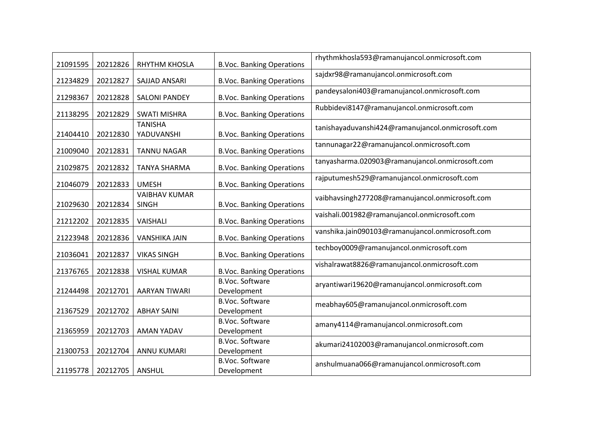| 21091595 | 20212826 | <b>RHYTHM KHOSLA</b>                 | <b>B.Voc. Banking Operations</b>      | rhythmkhosla593@ramanujancol.onmicrosoft.com      |
|----------|----------|--------------------------------------|---------------------------------------|---------------------------------------------------|
| 21234829 | 20212827 | SAJJAD ANSARI                        | <b>B.Voc. Banking Operations</b>      | sajdxr98@ramanujancol.onmicrosoft.com             |
| 21298367 | 20212828 | <b>SALONI PANDEY</b>                 | <b>B.Voc. Banking Operations</b>      | pandeysaloni403@ramanujancol.onmicrosoft.com      |
| 21138295 | 20212829 | <b>SWATI MISHRA</b>                  | <b>B.Voc. Banking Operations</b>      | Rubbidevi8147@ramanujancol.onmicrosoft.com        |
| 21404410 | 20212830 | <b>TANISHA</b><br>YADUVANSHI         | <b>B.Voc. Banking Operations</b>      | tanishayaduvanshi424@ramanujancol.onmicrosoft.com |
| 21009040 | 20212831 | <b>TANNU NAGAR</b>                   | <b>B.Voc. Banking Operations</b>      | tannunagar22@ramanujancol.onmicrosoft.com         |
| 21029875 | 20212832 | <b>TANYA SHARMA</b>                  | <b>B.Voc. Banking Operations</b>      | tanyasharma.020903@ramanujancol.onmicrosoft.com   |
| 21046079 | 20212833 | <b>UMESH</b>                         | <b>B.Voc. Banking Operations</b>      | rajputumesh529@ramanujancol.onmicrosoft.com       |
| 21029630 | 20212834 | <b>VAIBHAV KUMAR</b><br><b>SINGH</b> | <b>B.Voc. Banking Operations</b>      | vaibhavsingh277208@ramanujancol.onmicrosoft.com   |
| 21212202 | 20212835 | VAISHALI                             | <b>B.Voc. Banking Operations</b>      | vaishali.001982@ramanujancol.onmicrosoft.com      |
| 21223948 | 20212836 | <b>VANSHIKA JAIN</b>                 | <b>B.Voc. Banking Operations</b>      | vanshika.jain090103@ramanujancol.onmicrosoft.com  |
| 21036041 | 20212837 | <b>VIKAS SINGH</b>                   | <b>B.Voc. Banking Operations</b>      | techboy0009@ramanujancol.onmicrosoft.com          |
| 21376765 | 20212838 | <b>VISHAL KUMAR</b>                  | <b>B.Voc. Banking Operations</b>      | vishalrawat8826@ramanujancol.onmicrosoft.com      |
| 21244498 | 20212701 | <b>AARYAN TIWARI</b>                 | <b>B.Voc. Software</b><br>Development | aryantiwari19620@ramanujancol.onmicrosoft.com     |
| 21367529 | 20212702 | <b>ABHAY SAINI</b>                   | <b>B.Voc. Software</b><br>Development | meabhay605@ramanujancol.onmicrosoft.com           |
| 21365959 | 20212703 | <b>AMAN YADAV</b>                    | <b>B.Voc. Software</b><br>Development | amany4114@ramanujancol.onmicrosoft.com            |
| 21300753 | 20212704 | <b>ANNU KUMARI</b>                   | <b>B.Voc. Software</b><br>Development | akumari24102003@ramanujancol.onmicrosoft.com      |
| 21195778 | 20212705 | <b>ANSHUL</b>                        | <b>B.Voc. Software</b><br>Development | anshulmuana066@ramanujancol.onmicrosoft.com       |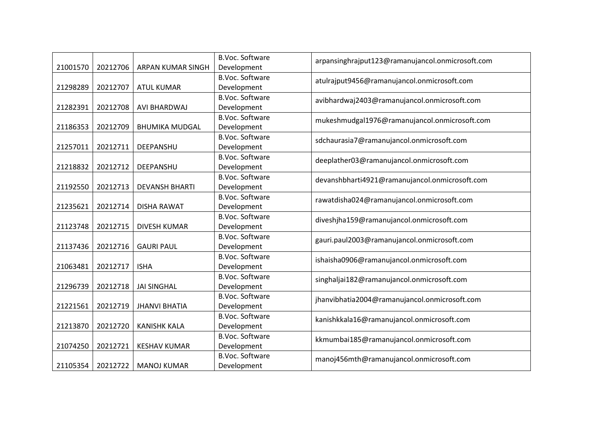| 21001570 | 20212706 | <b>ARPAN KUMAR SINGH</b> | <b>B.Voc. Software</b><br>Development | arpansinghrajput123@ramanujancol.onmicrosoft.com |
|----------|----------|--------------------------|---------------------------------------|--------------------------------------------------|
|          |          |                          | <b>B.Voc. Software</b>                | atulrajput9456@ramanujancol.onmicrosoft.com      |
| 21298289 | 20212707 | <b>ATUL KUMAR</b>        | Development                           |                                                  |
|          |          |                          | <b>B.Voc. Software</b>                | avibhardwaj2403@ramanujancol.onmicrosoft.com     |
| 21282391 | 20212708 | AVI BHARDWAJ             | Development                           |                                                  |
|          |          |                          | <b>B.Voc. Software</b>                | mukeshmudgal1976@ramanujancol.onmicrosoft.com    |
| 21186353 | 20212709 | <b>BHUMIKA MUDGAL</b>    | Development                           |                                                  |
|          |          |                          | <b>B.Voc. Software</b>                | sdchaurasia7@ramanujancol.onmicrosoft.com        |
| 21257011 | 20212711 | DEEPANSHU                | Development                           |                                                  |
|          |          |                          | <b>B.Voc. Software</b>                | deeplather03@ramanujancol.onmicrosoft.com        |
| 21218832 | 20212712 | DEEPANSHU                | Development                           |                                                  |
|          |          |                          | <b>B.Voc. Software</b>                | devanshbharti4921@ramanujancol.onmicrosoft.com   |
| 21192550 | 20212713 | <b>DEVANSH BHARTI</b>    | Development                           |                                                  |
|          |          |                          | <b>B.Voc. Software</b>                | rawatdisha024@ramanujancol.onmicrosoft.com       |
| 21235621 | 20212714 | <b>DISHA RAWAT</b>       | Development                           |                                                  |
|          |          |                          | <b>B.Voc. Software</b>                | diveshjha159@ramanujancol.onmicrosoft.com        |
| 21123748 | 20212715 | <b>DIVESH KUMAR</b>      | Development                           |                                                  |
|          |          |                          | <b>B.Voc. Software</b>                | gauri.paul2003@ramanujancol.onmicrosoft.com      |
| 21137436 | 20212716 | <b>GAURI PAUL</b>        | Development                           |                                                  |
|          |          |                          | <b>B.Voc. Software</b>                | ishaisha0906@ramanujancol.onmicrosoft.com        |
| 21063481 | 20212717 | <b>ISHA</b>              | Development                           |                                                  |
|          |          |                          | <b>B.Voc. Software</b>                | singhaljai182@ramanujancol.onmicrosoft.com       |
| 21296739 | 20212718 | <b>JAI SINGHAL</b>       | Development                           |                                                  |
|          |          |                          | <b>B.Voc. Software</b>                | jhanvibhatia2004@ramanujancol.onmicrosoft.com    |
| 21221561 | 20212719 | <b>JHANVI BHATIA</b>     | Development                           |                                                  |
|          |          |                          | <b>B.Voc. Software</b>                | kanishkkala16@ramanujancol.onmicrosoft.com       |
| 21213870 | 20212720 | <b>KANISHK KALA</b>      | Development                           |                                                  |
|          |          |                          | <b>B.Voc. Software</b>                | kkmumbai185@ramanujancol.onmicrosoft.com         |
| 21074250 | 20212721 | <b>KESHAV KUMAR</b>      | Development                           |                                                  |
|          |          |                          | <b>B.Voc. Software</b>                | manoj456mth@ramanujancol.onmicrosoft.com         |
| 21105354 | 20212722 | <b>MANOJ KUMAR</b>       | Development                           |                                                  |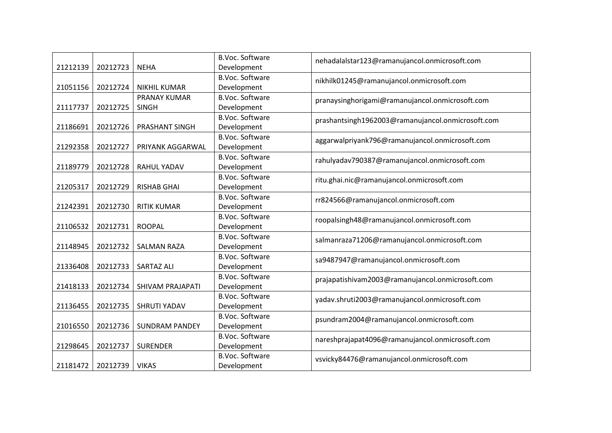|          |          |                         | <b>B.Voc. Software</b> | nehadalalstar123@ramanujancol.onmicrosoft.com     |
|----------|----------|-------------------------|------------------------|---------------------------------------------------|
| 21212139 | 20212723 | <b>NEHA</b>             | Development            |                                                   |
|          |          |                         | <b>B.Voc. Software</b> | nikhilk01245@ramanujancol.onmicrosoft.com         |
| 21051156 | 20212724 | <b>NIKHIL KUMAR</b>     | Development            |                                                   |
|          |          | PRANAY KUMAR            | <b>B.Voc. Software</b> | pranaysinghorigami@ramanujancol.onmicrosoft.com   |
| 21117737 | 20212725 | <b>SINGH</b>            | Development            |                                                   |
|          |          |                         | <b>B.Voc. Software</b> | prashantsingh1962003@ramanujancol.onmicrosoft.com |
| 21186691 | 20212726 | <b>PRASHANT SINGH</b>   | Development            |                                                   |
|          |          |                         | <b>B.Voc. Software</b> | aggarwalpriyank796@ramanujancol.onmicrosoft.com   |
| 21292358 | 20212727 | PRIYANK AGGARWAL        | Development            |                                                   |
|          |          |                         | <b>B.Voc. Software</b> | rahulyadav790387@ramanujancol.onmicrosoft.com     |
| 21189779 | 20212728 | <b>RAHUL YADAV</b>      | Development            |                                                   |
|          |          |                         | <b>B.Voc. Software</b> | ritu.ghai.nic@ramanujancol.onmicrosoft.com        |
| 21205317 | 20212729 | <b>RISHAB GHAI</b>      | Development            |                                                   |
|          |          |                         | <b>B.Voc. Software</b> | rr824566@ramanujancol.onmicrosoft.com             |
| 21242391 | 20212730 | <b>RITIK KUMAR</b>      | Development            |                                                   |
|          |          |                         | <b>B.Voc. Software</b> | roopalsingh48@ramanujancol.onmicrosoft.com        |
| 21106532 | 20212731 | <b>ROOPAL</b>           | Development            |                                                   |
|          |          |                         | <b>B.Voc. Software</b> | salmanraza71206@ramanujancol.onmicrosoft.com      |
| 21148945 | 20212732 | <b>SALMAN RAZA</b>      | Development            |                                                   |
|          |          |                         | <b>B.Voc. Software</b> | sa9487947@ramanujancol.onmicrosoft.com            |
| 21336408 | 20212733 | <b>SARTAZ ALI</b>       | Development            |                                                   |
|          |          |                         | <b>B.Voc. Software</b> | prajapatishivam2003@ramanujancol.onmicrosoft.com  |
| 21418133 | 20212734 | <b>SHIVAM PRAJAPATI</b> | Development            |                                                   |
|          |          |                         | <b>B.Voc. Software</b> | yadav.shruti2003@ramanujancol.onmicrosoft.com     |
| 21136455 | 20212735 | SHRUTI YADAV            | Development            |                                                   |
|          |          |                         | <b>B.Voc. Software</b> | psundram2004@ramanujancol.onmicrosoft.com         |
| 21016550 | 20212736 | <b>SUNDRAM PANDEY</b>   | Development            |                                                   |
|          |          |                         | <b>B.Voc. Software</b> | nareshprajapat4096@ramanujancol.onmicrosoft.com   |
| 21298645 | 20212737 | <b>SURENDER</b>         | Development            |                                                   |
|          |          |                         | <b>B.Voc. Software</b> | vsvicky84476@ramanujancol.onmicrosoft.com         |
| 21181472 | 20212739 | <b>VIKAS</b>            | Development            |                                                   |
|          |          |                         |                        |                                                   |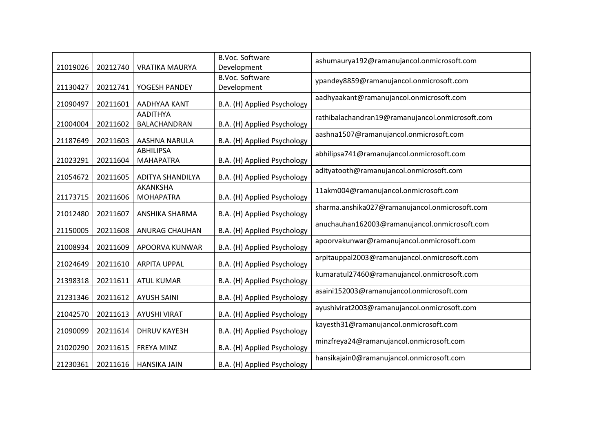| 21019026 | 20212740 | <b>VRATIKA MAURYA</b>                | <b>B.Voc. Software</b><br>Development | ashumaurya192@ramanujancol.onmicrosoft.com       |
|----------|----------|--------------------------------------|---------------------------------------|--------------------------------------------------|
| 21130427 | 20212741 | YOGESH PANDEY                        | <b>B.Voc. Software</b><br>Development | ypandey8859@ramanujancol.onmicrosoft.com         |
| 21090497 | 20211601 | AADHYAA KANT                         | B.A. (H) Applied Psychology           | aadhyaakant@ramanujancol.onmicrosoft.com         |
| 21004004 | 20211602 | <b>AADITHYA</b><br>BALACHANDRAN      | B.A. (H) Applied Psychology           | rathibalachandran19@ramanujancol.onmicrosoft.com |
| 21187649 | 20211603 | AASHNA NARULA                        | B.A. (H) Applied Psychology           | aashna1507@ramanujancol.onmicrosoft.com          |
| 21023291 | 20211604 | <b>ABHILIPSA</b><br><b>MAHAPATRA</b> | B.A. (H) Applied Psychology           | abhilipsa741@ramanujancol.onmicrosoft.com        |
| 21054672 | 20211605 | <b>ADITYA SHANDILYA</b>              | B.A. (H) Applied Psychology           | adityatooth@ramanujancol.onmicrosoft.com         |
| 21173715 | 20211606 | AKANKSHA<br><b>MOHAPATRA</b>         | B.A. (H) Applied Psychology           | 11akm004@ramanujancol.onmicrosoft.com            |
| 21012480 | 20211607 | ANSHIKA SHARMA                       | B.A. (H) Applied Psychology           | sharma.anshika027@ramanujancol.onmicrosoft.com   |
| 21150005 | 20211608 | ANURAG CHAUHAN                       | B.A. (H) Applied Psychology           | anuchauhan162003@ramanujancol.onmicrosoft.com    |
| 21008934 | 20211609 | APOORVA KUNWAR                       | B.A. (H) Applied Psychology           | apoorvakunwar@ramanujancol.onmicrosoft.com       |
| 21024649 | 20211610 | <b>ARPITA UPPAL</b>                  | B.A. (H) Applied Psychology           | arpitauppal2003@ramanujancol.onmicrosoft.com     |
| 21398318 | 20211611 | <b>ATUL KUMAR</b>                    | B.A. (H) Applied Psychology           | kumaratul27460@ramanujancol.onmicrosoft.com      |
| 21231346 | 20211612 | <b>AYUSH SAINI</b>                   | B.A. (H) Applied Psychology           | asaini152003@ramanujancol.onmicrosoft.com        |
| 21042570 | 20211613 | <b>AYUSHI VIRAT</b>                  | B.A. (H) Applied Psychology           | ayushivirat2003@ramanujancol.onmicrosoft.com     |
| 21090099 | 20211614 | <b>DHRUV KAYE3H</b>                  | B.A. (H) Applied Psychology           | kayesth31@ramanujancol.onmicrosoft.com           |
| 21020290 | 20211615 | <b>FREYA MINZ</b>                    | B.A. (H) Applied Psychology           | minzfreya24@ramanujancol.onmicrosoft.com         |
| 21230361 | 20211616 | <b>HANSIKA JAIN</b>                  | B.A. (H) Applied Psychology           | hansikajain0@ramanujancol.onmicrosoft.com        |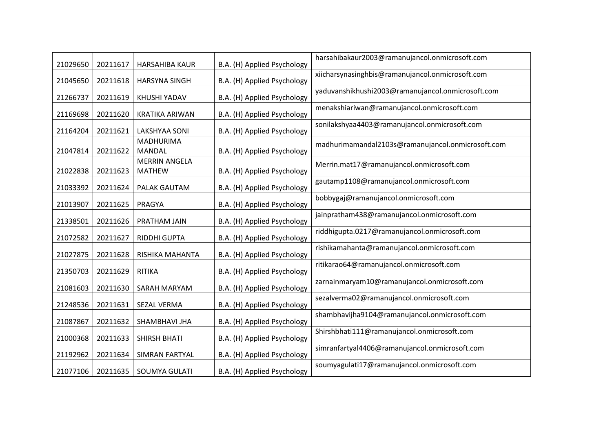| 21029650 | 20211617 | HARSAHIBA KAUR                        | B.A. (H) Applied Psychology | harsahibakaur2003@ramanujancol.onmicrosoft.com    |
|----------|----------|---------------------------------------|-----------------------------|---------------------------------------------------|
| 21045650 | 20211618 | <b>HARSYNA SINGH</b>                  | B.A. (H) Applied Psychology | xiicharsynasinghbis@ramanujancol.onmicrosoft.com  |
| 21266737 | 20211619 | KHUSHI YADAV                          | B.A. (H) Applied Psychology | yaduvanshikhushi2003@ramanujancol.onmicrosoft.com |
| 21169698 | 20211620 | <b>KRATIKA ARIWAN</b>                 | B.A. (H) Applied Psychology | menakshiariwan@ramanujancol.onmicrosoft.com       |
| 21164204 | 20211621 | <b>LAKSHYAA SONI</b>                  | B.A. (H) Applied Psychology | sonilakshyaa4403@ramanujancol.onmicrosoft.com     |
| 21047814 | 20211622 | <b>MADHURIMA</b><br><b>MANDAL</b>     | B.A. (H) Applied Psychology | madhurimamandal2103s@ramanujancol.onmicrosoft.com |
| 21022838 | 20211623 | <b>MERRIN ANGELA</b><br><b>MATHEW</b> | B.A. (H) Applied Psychology | Merrin.mat17@ramanujancol.onmicrosoft.com         |
| 21033392 | 20211624 | PALAK GAUTAM                          | B.A. (H) Applied Psychology | gautamp1108@ramanujancol.onmicrosoft.com          |
| 21013907 | 20211625 | PRAGYA                                | B.A. (H) Applied Psychology | bobbygaj@ramanujancol.onmicrosoft.com             |
| 21338501 | 20211626 | PRATHAM JAIN                          | B.A. (H) Applied Psychology | jainpratham438@ramanujancol.onmicrosoft.com       |
| 21072582 | 20211627 | RIDDHI GUPTA                          | B.A. (H) Applied Psychology | riddhigupta.0217@ramanujancol.onmicrosoft.com     |
| 21027875 | 20211628 | RISHIKA MAHANTA                       | B.A. (H) Applied Psychology | rishikamahanta@ramanujancol.onmicrosoft.com       |
| 21350703 | 20211629 | <b>RITIKA</b>                         | B.A. (H) Applied Psychology | ritikarao64@ramanujancol.onmicrosoft.com          |
| 21081603 | 20211630 | SARAH MARYAM                          | B.A. (H) Applied Psychology | zarnainmaryam10@ramanujancol.onmicrosoft.com      |
| 21248536 | 20211631 | <b>SEZAL VERMA</b>                    | B.A. (H) Applied Psychology | sezalverma02@ramanujancol.onmicrosoft.com         |
| 21087867 | 20211632 | SHAMBHAVI JHA                         | B.A. (H) Applied Psychology | shambhavijha9104@ramanujancol.onmicrosoft.com     |
| 21000368 | 20211633 | SHIRSH BHATI                          | B.A. (H) Applied Psychology | Shirshbhati111@ramanujancol.onmicrosoft.com       |
| 21192962 | 20211634 | SIMRAN FARTYAL                        | B.A. (H) Applied Psychology | simranfartyal4406@ramanujancol.onmicrosoft.com    |
| 21077106 | 20211635 | SOUMYA GULATI                         | B.A. (H) Applied Psychology | soumyagulati17@ramanujancol.onmicrosoft.com       |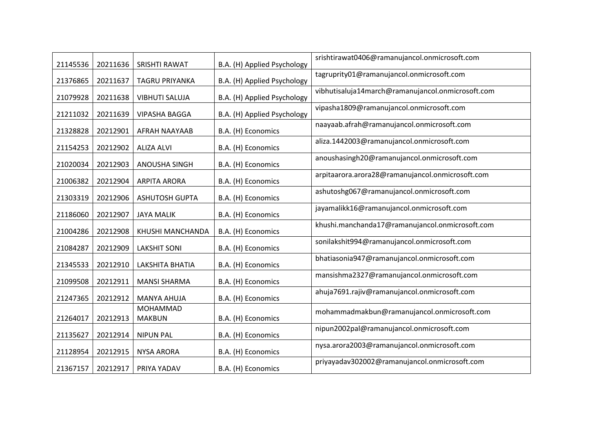| 21145536 | 20211636 | SRISHTI RAWAT         | B.A. (H) Applied Psychology | srishtirawat0406@ramanujancol.onmicrosoft.com     |
|----------|----------|-----------------------|-----------------------------|---------------------------------------------------|
| 21376865 | 20211637 | TAGRU PRIYANKA        | B.A. (H) Applied Psychology | tagruprity01@ramanujancol.onmicrosoft.com         |
| 21079928 | 20211638 | <b>VIBHUTI SALUJA</b> | B.A. (H) Applied Psychology | vibhutisaluja14march@ramanujancol.onmicrosoft.com |
| 21211032 | 20211639 | <b>VIPASHA BAGGA</b>  | B.A. (H) Applied Psychology | vipasha1809@ramanujancol.onmicrosoft.com          |
| 21328828 | 20212901 | AFRAH NAAYAAB         | B.A. (H) Economics          | naayaab.afrah@ramanujancol.onmicrosoft.com        |
| 21154253 | 20212902 | <b>ALIZA ALVI</b>     | B.A. (H) Economics          | aliza.1442003@ramanujancol.onmicrosoft.com        |
| 21020034 | 20212903 | ANOUSHA SINGH         | B.A. (H) Economics          | anoushasingh20@ramanujancol.onmicrosoft.com       |
| 21006382 | 20212904 | <b>ARPITA ARORA</b>   | B.A. (H) Economics          | arpitaarora.arora28@ramanujancol.onmicrosoft.com  |
| 21303319 | 20212906 | <b>ASHUTOSH GUPTA</b> | B.A. (H) Economics          | ashutoshg067@ramanujancol.onmicrosoft.com         |
| 21186060 | 20212907 | <b>JAYA MALIK</b>     | B.A. (H) Economics          | jayamalikk16@ramanujancol.onmicrosoft.com         |
| 21004286 | 20212908 | KHUSHI MANCHANDA      | B.A. (H) Economics          | khushi.manchanda17@ramanujancol.onmicrosoft.com   |
| 21084287 | 20212909 | <b>LAKSHIT SONI</b>   | B.A. (H) Economics          | sonilakshit994@ramanujancol.onmicrosoft.com       |
| 21345533 | 20212910 | LAKSHITA BHATIA       | B.A. (H) Economics          | bhatiasonia947@ramanujancol.onmicrosoft.com       |
| 21099508 | 20212911 | <b>MANSI SHARMA</b>   | B.A. (H) Economics          | mansishma2327@ramanujancol.onmicrosoft.com        |
| 21247365 | 20212912 | <b>MANYA AHUJA</b>    | B.A. (H) Economics          | ahuja7691.rajiv@ramanujancol.onmicrosoft.com      |
| 21264017 |          | <b>MOHAMMAD</b>       |                             | mohammadmakbun@ramanujancol.onmicrosoft.com       |
|          | 20212913 | <b>MAKBUN</b>         | B.A. (H) Economics          | nipun2002pal@ramanujancol.onmicrosoft.com         |
| 21135627 | 20212914 | <b>NIPUN PAL</b>      | B.A. (H) Economics          | nysa.arora2003@ramanujancol.onmicrosoft.com       |
| 21128954 | 20212915 | <b>NYSA ARORA</b>     | B.A. (H) Economics          | priyayadav302002@ramanujancol.onmicrosoft.com     |
| 21367157 | 20212917 | PRIYA YADAV           | B.A. (H) Economics          |                                                   |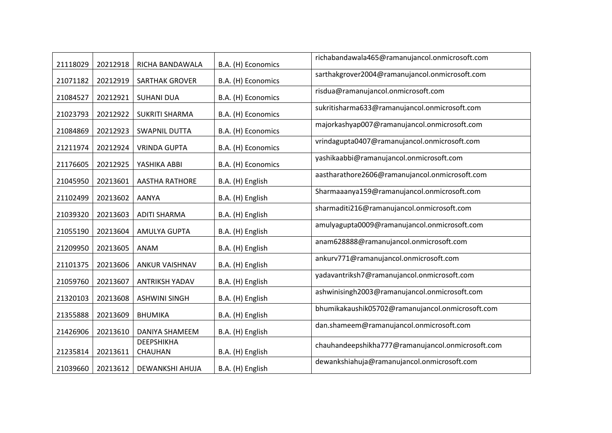| 21118029 | 20212918 | RICHA BANDAWALA              | B.A. (H) Economics | richabandawala465@ramanujancol.onmicrosoft.com    |
|----------|----------|------------------------------|--------------------|---------------------------------------------------|
| 21071182 | 20212919 | SARTHAK GROVER               | B.A. (H) Economics | sarthakgrover2004@ramanujancol.onmicrosoft.com    |
| 21084527 | 20212921 | <b>SUHANI DUA</b>            | B.A. (H) Economics | risdua@ramanujancol.onmicrosoft.com               |
| 21023793 | 20212922 | <b>SUKRITI SHARMA</b>        | B.A. (H) Economics | sukritisharma633@ramanujancol.onmicrosoft.com     |
| 21084869 | 20212923 | <b>SWAPNIL DUTTA</b>         | B.A. (H) Economics | majorkashyap007@ramanujancol.onmicrosoft.com      |
| 21211974 | 20212924 | <b>VRINDA GUPTA</b>          | B.A. (H) Economics | vrindagupta0407@ramanujancol.onmicrosoft.com      |
| 21176605 | 20212925 | YASHIKA ABBI                 | B.A. (H) Economics | yashikaabbi@ramanujancol.onmicrosoft.com          |
| 21045950 | 20213601 | <b>AASTHA RATHORE</b>        | B.A. (H) English   | aastharathore2606@ramanujancol.onmicrosoft.com    |
| 21102499 | 20213602 | <b>AANYA</b>                 | B.A. (H) English   | Sharmaaanya159@ramanujancol.onmicrosoft.com       |
| 21039320 | 20213603 | <b>ADITI SHARMA</b>          | B.A. (H) English   | sharmaditi216@ramanujancol.onmicrosoft.com        |
| 21055190 | 20213604 | AMULYA GUPTA                 | B.A. (H) English   | amulyagupta0009@ramanujancol.onmicrosoft.com      |
| 21209950 | 20213605 | ANAM                         | B.A. (H) English   | anam628888@ramanujancol.onmicrosoft.com           |
| 21101375 | 20213606 | <b>ANKUR VAISHNAV</b>        | B.A. (H) English   | ankurv771@ramanujancol.onmicrosoft.com            |
| 21059760 | 20213607 | <b>ANTRIKSH YADAV</b>        | B.A. (H) English   | yadavantriksh7@ramanujancol.onmicrosoft.com       |
| 21320103 | 20213608 | <b>ASHWINI SINGH</b>         | B.A. (H) English   | ashwinisingh2003@ramanujancol.onmicrosoft.com     |
| 21355888 | 20213609 | <b>BHUMIKA</b>               | B.A. (H) English   | bhumikakaushik05702@ramanujancol.onmicrosoft.com  |
| 21426906 | 20213610 | DANIYA SHAMEEM               | B.A. (H) English   | dan.shameem@ramanujancol.onmicrosoft.com          |
| 21235814 | 20213611 | <b>DEEPSHIKHA</b><br>CHAUHAN | B.A. (H) English   | chauhandeepshikha777@ramanujancol.onmicrosoft.com |
| 21039660 | 20213612 | DEWANKSHI AHUJA              | B.A. (H) English   | dewankshiahuja@ramanujancol.onmicrosoft.com       |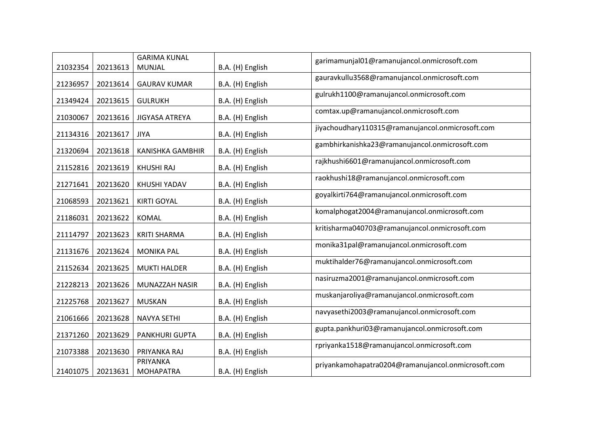| 21032354 | 20213613 | <b>GARIMA KUNAL</b><br><b>MUNJAL</b> | B.A. (H) English | garimamunjal01@ramanujancol.onmicrosoft.com        |
|----------|----------|--------------------------------------|------------------|----------------------------------------------------|
| 21236957 | 20213614 | <b>GAURAV KUMAR</b>                  | B.A. (H) English | gauravkullu3568@ramanujancol.onmicrosoft.com       |
| 21349424 | 20213615 | <b>GULRUKH</b>                       | B.A. (H) English | gulrukh1100@ramanujancol.onmicrosoft.com           |
| 21030067 | 20213616 | <b>JIGYASA ATREYA</b>                | B.A. (H) English | comtax.up@ramanujancol.onmicrosoft.com             |
| 21134316 | 20213617 | <b>JIYA</b>                          | B.A. (H) English | jiyachoudhary110315@ramanujancol.onmicrosoft.com   |
| 21320694 | 20213618 | <b>KANISHKA GAMBHIR</b>              | B.A. (H) English | gambhirkanishka23@ramanujancol.onmicrosoft.com     |
| 21152816 | 20213619 | <b>KHUSHI RAJ</b>                    | B.A. (H) English | rajkhushi6601@ramanujancol.onmicrosoft.com         |
| 21271641 | 20213620 | KHUSHI YADAV                         | B.A. (H) English | raokhushi18@ramanujancol.onmicrosoft.com           |
| 21068593 | 20213621 | <b>KIRTI GOYAL</b>                   | B.A. (H) English | goyalkirti764@ramanujancol.onmicrosoft.com         |
| 21186031 | 20213622 | KOMAL                                | B.A. (H) English | komalphogat2004@ramanujancol.onmicrosoft.com       |
| 21114797 | 20213623 | <b>KRITI SHARMA</b>                  | B.A. (H) English | kritisharma040703@ramanujancol.onmicrosoft.com     |
| 21131676 | 20213624 | <b>MONIKA PAL</b>                    | B.A. (H) English | monika31pal@ramanujancol.onmicrosoft.com           |
| 21152634 | 20213625 | <b>MUKTI HALDER</b>                  | B.A. (H) English | muktihalder76@ramanujancol.onmicrosoft.com         |
| 21228213 | 20213626 | MUNAZZAH NASIR                       | B.A. (H) English | nasiruzma2001@ramanujancol.onmicrosoft.com         |
| 21225768 | 20213627 | <b>MUSKAN</b>                        | B.A. (H) English | muskanjaroliya@ramanujancol.onmicrosoft.com        |
| 21061666 | 20213628 | <b>NAVYA SETHI</b>                   | B.A. (H) English | navyasethi2003@ramanujancol.onmicrosoft.com        |
| 21371260 | 20213629 | <b>PANKHURI GUPTA</b>                | B.A. (H) English | gupta.pankhuri03@ramanujancol.onmicrosoft.com      |
| 21073388 | 20213630 | PRIYANKA RAJ                         | B.A. (H) English | rpriyanka1518@ramanujancol.onmicrosoft.com         |
| 21401075 | 20213631 | PRIYANKA<br><b>MOHAPATRA</b>         | B.A. (H) English | priyankamohapatra0204@ramanujancol.onmicrosoft.com |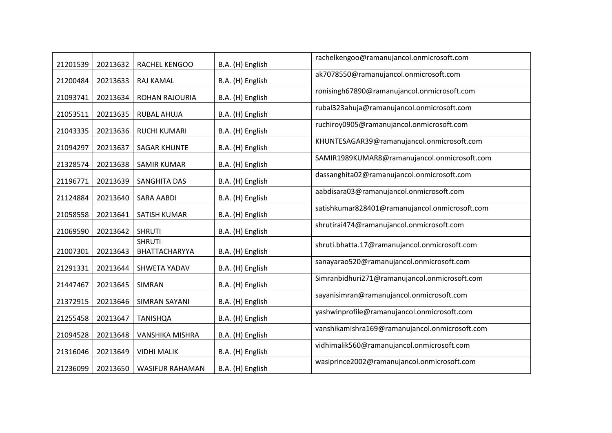| 21201539 | 20213632 | RACHEL KENGOO                  | B.A. (H) English | rachelkengoo@ramanujancol.onmicrosoft.com      |
|----------|----------|--------------------------------|------------------|------------------------------------------------|
| 21200484 | 20213633 | RAJ KAMAL                      | B.A. (H) English | ak7078550@ramanujancol.onmicrosoft.com         |
| 21093741 | 20213634 | ROHAN RAJOURIA                 | B.A. (H) English | ronisingh67890@ramanujancol.onmicrosoft.com    |
| 21053511 | 20213635 | RUBAL AHUJA                    | B.A. (H) English | rubal323ahuja@ramanujancol.onmicrosoft.com     |
| 21043335 | 20213636 | <b>RUCHI KUMARI</b>            | B.A. (H) English | ruchiroy0905@ramanujancol.onmicrosoft.com      |
| 21094297 | 20213637 | <b>SAGAR KHUNTE</b>            | B.A. (H) English | KHUNTESAGAR39@ramanujancol.onmicrosoft.com     |
| 21328574 | 20213638 | <b>SAMIR KUMAR</b>             | B.A. (H) English | SAMIR1989KUMAR8@ramanujancol.onmicrosoft.com   |
| 21196771 | 20213639 | SANGHITA DAS                   | B.A. (H) English | dassanghita02@ramanujancol.onmicrosoft.com     |
| 21124884 | 20213640 | <b>SARA AABDI</b>              | B.A. (H) English | aabdisara03@ramanujancol.onmicrosoft.com       |
| 21058558 | 20213641 | <b>SATISH KUMAR</b>            | B.A. (H) English | satishkumar828401@ramanujancol.onmicrosoft.com |
| 21069590 | 20213642 | <b>SHRUTI</b>                  | B.A. (H) English | shrutirai474@ramanujancol.onmicrosoft.com      |
| 21007301 | 20213643 | <b>SHRUTI</b><br>BHATTACHARYYA | B.A. (H) English | shruti.bhatta.17@ramanujancol.onmicrosoft.com  |
| 21291331 | 20213644 | SHWETA YADAV                   | B.A. (H) English | sanayarao520@ramanujancol.onmicrosoft.com      |
| 21447467 | 20213645 | SIMRAN                         | B.A. (H) English | Simranbidhuri271@ramanujancol.onmicrosoft.com  |
| 21372915 | 20213646 | SIMRAN SAYANI                  | B.A. (H) English | sayanisimran@ramanujancol.onmicrosoft.com      |
| 21255458 | 20213647 | <b>TANISHQA</b>                | B.A. (H) English | yashwinprofile@ramanujancol.onmicrosoft.com    |
| 21094528 | 20213648 | <b>VANSHIKA MISHRA</b>         | B.A. (H) English | vanshikamishra169@ramanujancol.onmicrosoft.com |
| 21316046 | 20213649 | <b>VIDHI MALIK</b>             | B.A. (H) English | vidhimalik560@ramanujancol.onmicrosoft.com     |
| 21236099 | 20213650 | <b>WASIFUR RAHAMAN</b>         | B.A. (H) English | wasiprince2002@ramanujancol.onmicrosoft.com    |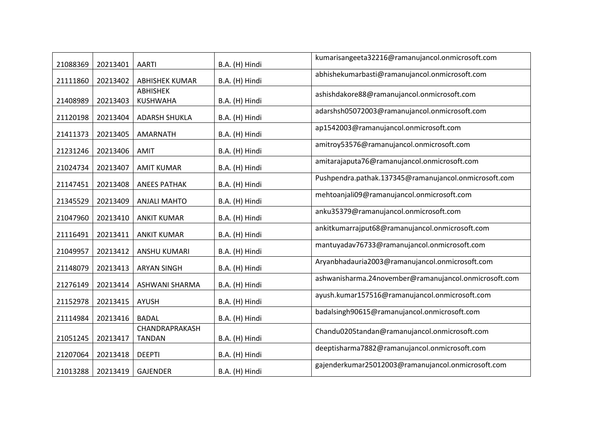| 21088369 | 20213401 | <b>AARTI</b>                    | B.A. (H) Hindi | kumarisangeeta32216@ramanujancol.onmicrosoft.com      |
|----------|----------|---------------------------------|----------------|-------------------------------------------------------|
| 21111860 | 20213402 | <b>ABHISHEK KUMAR</b>           | B.A. (H) Hindi | abhishekumarbasti@ramanujancol.onmicrosoft.com        |
| 21408989 | 20213403 | ABHISHEK<br>KUSHWAHA            | B.A. (H) Hindi | ashishdakore88@ramanujancol.onmicrosoft.com           |
| 21120198 | 20213404 | <b>ADARSH SHUKLA</b>            | B.A. (H) Hindi | adarshsh05072003@ramanujancol.onmicrosoft.com         |
| 21411373 | 20213405 | AMARNATH                        | B.A. (H) Hindi | ap1542003@ramanujancol.onmicrosoft.com                |
| 21231246 | 20213406 | <b>AMIT</b>                     | B.A. (H) Hindi | amitroy53576@ramanujancol.onmicrosoft.com             |
| 21024734 | 20213407 | <b>AMIT KUMAR</b>               | B.A. (H) Hindi | amitarajaputa76@ramanujancol.onmicrosoft.com          |
| 21147451 | 20213408 | <b>ANEES PATHAK</b>             | B.A. (H) Hindi | Pushpendra.pathak.137345@ramanujancol.onmicrosoft.com |
| 21345529 | 20213409 | <b>ANJALI MAHTO</b>             | B.A. (H) Hindi | mehtoanjali09@ramanujancol.onmicrosoft.com            |
| 21047960 | 20213410 | <b>ANKIT KUMAR</b>              | B.A. (H) Hindi | anku35379@ramanujancol.onmicrosoft.com                |
| 21116491 | 20213411 | <b>ANKIT KUMAR</b>              | B.A. (H) Hindi | ankitkumarrajput68@ramanujancol.onmicrosoft.com       |
| 21049957 | 20213412 | ANSHU KUMARI                    | B.A. (H) Hindi | mantuyadav76733@ramanujancol.onmicrosoft.com          |
| 21148079 | 20213413 | <b>ARYAN SINGH</b>              | B.A. (H) Hindi | Aryanbhadauria2003@ramanujancol.onmicrosoft.com       |
| 21276149 | 20213414 | <b>ASHWANI SHARMA</b>           | B.A. (H) Hindi | ashwanisharma.24november@ramanujancol.onmicrosoft.com |
| 21152978 | 20213415 | <b>AYUSH</b>                    | B.A. (H) Hindi | ayush.kumar157516@ramanujancol.onmicrosoft.com        |
| 21114984 | 20213416 | <b>BADAL</b>                    | B.A. (H) Hindi | badalsingh90615@ramanujancol.onmicrosoft.com          |
| 21051245 | 20213417 | CHANDRAPRAKASH<br><b>TANDAN</b> | B.A. (H) Hindi | Chandu0205tandan@ramanujancol.onmicrosoft.com         |
| 21207064 | 20213418 | <b>DEEPTI</b>                   | B.A. (H) Hindi | deeptisharma7882@ramanujancol.onmicrosoft.com         |
| 21013288 | 20213419 | <b>GAJENDER</b>                 | B.A. (H) Hindi | gajenderkumar25012003@ramanujancol.onmicrosoft.com    |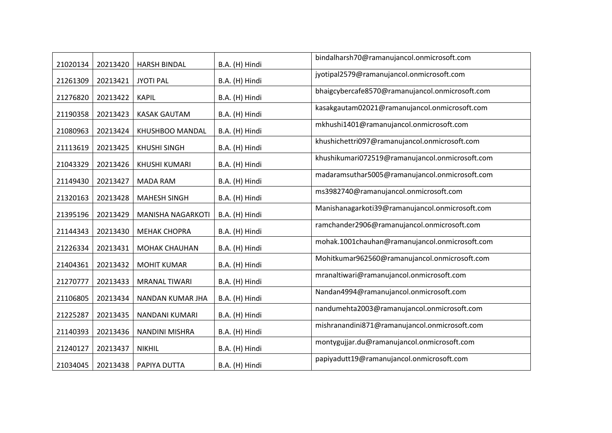| 21020134 | 20213420 | <b>HARSH BINDAL</b>  | B.A. (H) Hindi | bindalharsh70@ramanujancol.onmicrosoft.com      |
|----------|----------|----------------------|----------------|-------------------------------------------------|
| 21261309 | 20213421 | <b>JYOTI PAL</b>     | B.A. (H) Hindi | jyotipal2579@ramanujancol.onmicrosoft.com       |
| 21276820 | 20213422 | <b>KAPIL</b>         | B.A. (H) Hindi | bhaigcybercafe8570@ramanujancol.onmicrosoft.com |
| 21190358 | 20213423 | <b>KASAK GAUTAM</b>  | B.A. (H) Hindi | kasakgautam02021@ramanujancol.onmicrosoft.com   |
| 21080963 | 20213424 | KHUSHBOO MANDAL      | B.A. (H) Hindi | mkhushi1401@ramanujancol.onmicrosoft.com        |
| 21113619 | 20213425 | <b>KHUSHI SINGH</b>  | B.A. (H) Hindi | khushichettri097@ramanujancol.onmicrosoft.com   |
| 21043329 | 20213426 | KHUSHI KUMARI        | B.A. (H) Hindi | khushikumari072519@ramanujancol.onmicrosoft.com |
| 21149430 | 20213427 | <b>MADA RAM</b>      | B.A. (H) Hindi | madaramsuthar5005@ramanujancol.onmicrosoft.com  |
| 21320163 | 20213428 | <b>MAHESH SINGH</b>  | B.A. (H) Hindi | ms3982740@ramanujancol.onmicrosoft.com          |
| 21395196 | 20213429 | MANISHA NAGARKOTI    | B.A. (H) Hindi | Manishanagarkoti39@ramanujancol.onmicrosoft.com |
| 21144343 | 20213430 | <b>MEHAK CHOPRA</b>  | B.A. (H) Hindi | ramchander2906@ramanujancol.onmicrosoft.com     |
| 21226334 | 20213431 | MOHAK CHAUHAN        | B.A. (H) Hindi | mohak.1001chauhan@ramanujancol.onmicrosoft.com  |
| 21404361 | 20213432 | <b>MOHIT KUMAR</b>   | B.A. (H) Hindi | Mohitkumar962560@ramanujancol.onmicrosoft.com   |
| 21270777 | 20213433 | <b>MRANAL TIWARI</b> | B.A. (H) Hindi | mranaltiwari@ramanujancol.onmicrosoft.com       |
| 21106805 | 20213434 | NANDAN KUMAR JHA     | B.A. (H) Hindi | Nandan4994@ramanujancol.onmicrosoft.com         |
| 21225287 | 20213435 | NANDANI KUMARI       | B.A. (H) Hindi | nandumehta2003@ramanujancol.onmicrosoft.com     |
| 21140393 | 20213436 | NANDINI MISHRA       | B.A. (H) Hindi | mishranandini871@ramanujancol.onmicrosoft.com   |
| 21240127 | 20213437 | <b>NIKHIL</b>        | B.A. (H) Hindi | montygujjar.du@ramanujancol.onmicrosoft.com     |
| 21034045 | 20213438 | PAPIYA DUTTA         | B.A. (H) Hindi | papiyadutt19@ramanujancol.onmicrosoft.com       |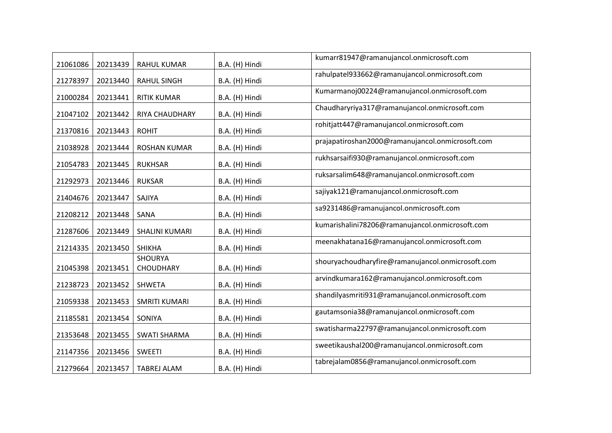| 21061086 | 20213439 | <b>RAHUL KUMAR</b>                 | B.A. (H) Hindi | kumarr81947@ramanujancol.onmicrosoft.com          |
|----------|----------|------------------------------------|----------------|---------------------------------------------------|
| 21278397 | 20213440 | <b>RAHUL SINGH</b>                 | B.A. (H) Hindi | rahulpatel933662@ramanujancol.onmicrosoft.com     |
| 21000284 | 20213441 | <b>RITIK KUMAR</b>                 | B.A. (H) Hindi | Kumarmanoj00224@ramanujancol.onmicrosoft.com      |
| 21047102 | 20213442 | RIYA CHAUDHARY                     | B.A. (H) Hindi | Chaudharyriya317@ramanujancol.onmicrosoft.com     |
| 21370816 | 20213443 | <b>ROHIT</b>                       | B.A. (H) Hindi | rohitjatt447@ramanujancol.onmicrosoft.com         |
| 21038928 | 20213444 | <b>ROSHAN KUMAR</b>                | B.A. (H) Hindi | prajapatiroshan2000@ramanujancol.onmicrosoft.com  |
| 21054783 | 20213445 | <b>RUKHSAR</b>                     | B.A. (H) Hindi | rukhsarsaifi930@ramanujancol.onmicrosoft.com      |
| 21292973 | 20213446 | <b>RUKSAR</b>                      | B.A. (H) Hindi | ruksarsalim648@ramanujancol.onmicrosoft.com       |
| 21404676 | 20213447 | SAJIYA                             | B.A. (H) Hindi | sajiyak121@ramanujancol.onmicrosoft.com           |
| 21208212 | 20213448 | SANA                               | B.A. (H) Hindi | sa9231486@ramanujancol.onmicrosoft.com            |
| 21287606 | 20213449 | SHALINI KUMARI                     | B.A. (H) Hindi | kumarishalini78206@ramanujancol.onmicrosoft.com   |
| 21214335 | 20213450 | <b>SHIKHA</b>                      | B.A. (H) Hindi | meenakhatana16@ramanujancol.onmicrosoft.com       |
| 21045398 | 20213451 | <b>SHOURYA</b><br><b>CHOUDHARY</b> | B.A. (H) Hindi | shouryachoudharyfire@ramanujancol.onmicrosoft.com |
| 21238723 | 20213452 | SHWETA                             | B.A. (H) Hindi | arvindkumara162@ramanujancol.onmicrosoft.com      |
| 21059338 | 20213453 | <b>SMRITI KUMARI</b>               | B.A. (H) Hindi | shandilyasmriti931@ramanujancol.onmicrosoft.com   |
| 21185581 | 20213454 | SONIYA                             | B.A. (H) Hindi | gautamsonia38@ramanujancol.onmicrosoft.com        |
| 21353648 | 20213455 | <b>SWATI SHARMA</b>                | B.A. (H) Hindi | swatisharma22797@ramanujancol.onmicrosoft.com     |
| 21147356 | 20213456 | <b>SWEETI</b>                      | B.A. (H) Hindi | sweetikaushal200@ramanujancol.onmicrosoft.com     |
| 21279664 | 20213457 | <b>TABREJ ALAM</b>                 | B.A. (H) Hindi | tabrejalam0856@ramanujancol.onmicrosoft.com       |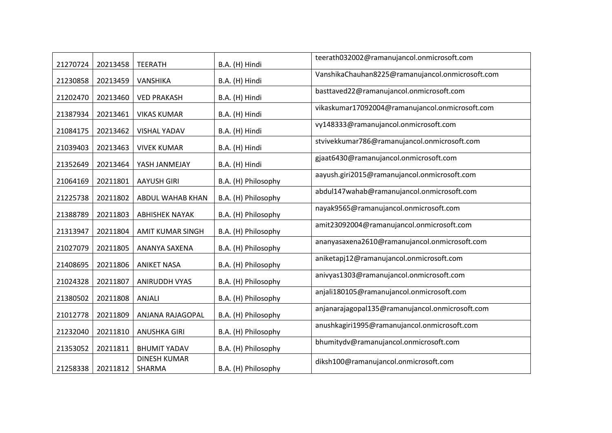| 21270724 | 20213458 | <b>TEERATH</b>                | B.A. (H) Hindi      | teerath032002@ramanujancol.onmicrosoft.com       |
|----------|----------|-------------------------------|---------------------|--------------------------------------------------|
| 21230858 | 20213459 | VANSHIKA                      | B.A. (H) Hindi      | VanshikaChauhan8225@ramanujancol.onmicrosoft.com |
| 21202470 | 20213460 | <b>VED PRAKASH</b>            | B.A. (H) Hindi      | basttaved22@ramanujancol.onmicrosoft.com         |
| 21387934 | 20213461 | <b>VIKAS KUMAR</b>            | B.A. (H) Hindi      | vikaskumar17092004@ramanujancol.onmicrosoft.com  |
| 21084175 | 20213462 | <b>VISHAL YADAV</b>           | B.A. (H) Hindi      | vy148333@ramanujancol.onmicrosoft.com            |
| 21039403 | 20213463 | <b>VIVEK KUMAR</b>            | B.A. (H) Hindi      | stvivekkumar786@ramanujancol.onmicrosoft.com     |
| 21352649 | 20213464 | YASH JANMEJAY                 | B.A. (H) Hindi      | gjaat6430@ramanujancol.onmicrosoft.com           |
| 21064169 | 20211801 | <b>AAYUSH GIRI</b>            | B.A. (H) Philosophy | aayush.giri2015@ramanujancol.onmicrosoft.com     |
| 21225738 | 20211802 | ABDUL WAHAB KHAN              | B.A. (H) Philosophy | abdul147wahab@ramanujancol.onmicrosoft.com       |
| 21388789 | 20211803 | <b>ABHISHEK NAYAK</b>         | B.A. (H) Philosophy | nayak9565@ramanujancol.onmicrosoft.com           |
| 21313947 | 20211804 | <b>AMIT KUMAR SINGH</b>       | B.A. (H) Philosophy | amit23092004@ramanujancol.onmicrosoft.com        |
| 21027079 | 20211805 | ANANYA SAXENA                 | B.A. (H) Philosophy | ananyasaxena2610@ramanujancol.onmicrosoft.com    |
| 21408695 | 20211806 | <b>ANIKET NASA</b>            | B.A. (H) Philosophy | aniketapj12@ramanujancol.onmicrosoft.com         |
| 21024328 | 20211807 | <b>ANIRUDDH VYAS</b>          | B.A. (H) Philosophy | anivyas1303@ramanujancol.onmicrosoft.com         |
| 21380502 | 20211808 | ANJALI                        | B.A. (H) Philosophy | anjali180105@ramanujancol.onmicrosoft.com        |
| 21012778 | 20211809 | ANJANA RAJAGOPAL              | B.A. (H) Philosophy | anjanarajagopal135@ramanujancol.onmicrosoft.com  |
| 21232040 | 20211810 | <b>ANUSHKA GIRI</b>           | B.A. (H) Philosophy | anushkagiri1995@ramanujancol.onmicrosoft.com     |
| 21353052 | 20211811 | <b>BHUMIT YADAV</b>           | B.A. (H) Philosophy | bhumitydv@ramanujancol.onmicrosoft.com           |
| 21258338 | 20211812 | <b>DINESH KUMAR</b><br>SHARMA | B.A. (H) Philosophy | diksh100@ramanujancol.onmicrosoft.com            |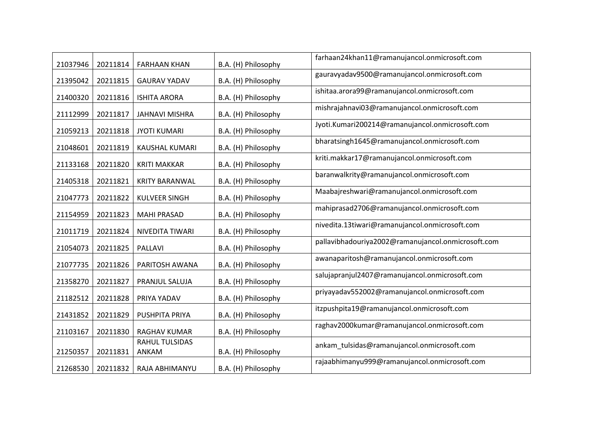| 21037946 | 20211814 | <b>FARHAAN KHAN</b>            | B.A. (H) Philosophy | farhaan24khan11@ramanujancol.onmicrosoft.com       |
|----------|----------|--------------------------------|---------------------|----------------------------------------------------|
| 21395042 | 20211815 | <b>GAURAV YADAV</b>            | B.A. (H) Philosophy | gauravyadav9500@ramanujancol.onmicrosoft.com       |
| 21400320 | 20211816 | <b>ISHITA ARORA</b>            | B.A. (H) Philosophy | ishitaa.arora99@ramanujancol.onmicrosoft.com       |
| 21112999 | 20211817 | <b>JAHNAVI MISHRA</b>          | B.A. (H) Philosophy | mishrajahnavi03@ramanujancol.onmicrosoft.com       |
| 21059213 | 20211818 | <b>JYOTI KUMARI</b>            | B.A. (H) Philosophy | Jyoti.Kumari200214@ramanujancol.onmicrosoft.com    |
| 21048601 | 20211819 | KAUSHAL KUMARI                 | B.A. (H) Philosophy | bharatsingh1645@ramanujancol.onmicrosoft.com       |
| 21133168 | 20211820 | <b>KRITI MAKKAR</b>            | B.A. (H) Philosophy | kriti.makkar17@ramanujancol.onmicrosoft.com        |
| 21405318 | 20211821 | <b>KRITY BARANWAL</b>          | B.A. (H) Philosophy | baranwalkrity@ramanujancol.onmicrosoft.com         |
| 21047773 | 20211822 | <b>KULVEER SINGH</b>           | B.A. (H) Philosophy | Maabajreshwari@ramanujancol.onmicrosoft.com        |
| 21154959 | 20211823 | <b>MAHI PRASAD</b>             | B.A. (H) Philosophy | mahiprasad2706@ramanujancol.onmicrosoft.com        |
| 21011719 | 20211824 | NIVEDITA TIWARI                | B.A. (H) Philosophy | nivedita.13tiwari@ramanujancol.onmicrosoft.com     |
| 21054073 | 20211825 | <b>PALLAVI</b>                 | B.A. (H) Philosophy | pallavibhadouriya2002@ramanujancol.onmicrosoft.com |
| 21077735 | 20211826 | PARITOSH AWANA                 | B.A. (H) Philosophy | awanaparitosh@ramanujancol.onmicrosoft.com         |
| 21358270 | 20211827 | PRANJUL SALUJA                 | B.A. (H) Philosophy | salujapranjul2407@ramanujancol.onmicrosoft.com     |
| 21182512 | 20211828 | PRIYA YADAV                    | B.A. (H) Philosophy | priyayadav552002@ramanujancol.onmicrosoft.com      |
| 21431852 | 20211829 | PUSHPITA PRIYA                 | B.A. (H) Philosophy | itzpushpita19@ramanujancol.onmicrosoft.com         |
| 21103167 | 20211830 | RAGHAV KUMAR                   | B.A. (H) Philosophy | raghav2000kumar@ramanujancol.onmicrosoft.com       |
| 21250357 | 20211831 | <b>RAHUL TULSIDAS</b><br>ANKAM | B.A. (H) Philosophy | ankam_tulsidas@ramanujancol.onmicrosoft.com        |
| 21268530 | 20211832 | RAJA ABHIMANYU                 | B.A. (H) Philosophy | rajaabhimanyu999@ramanujancol.onmicrosoft.com      |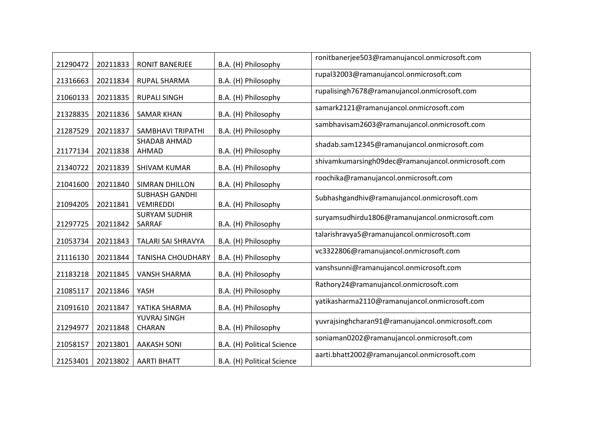| 21290472 | 20211833 | RONIT BANERJEE                            | B.A. (H) Philosophy        | ronitbanerjee503@ramanujancol.onmicrosoft.com      |
|----------|----------|-------------------------------------------|----------------------------|----------------------------------------------------|
| 21316663 | 20211834 | RUPAL SHARMA                              | B.A. (H) Philosophy        | rupal32003@ramanujancol.onmicrosoft.com            |
| 21060133 | 20211835 | <b>RUPALI SINGH</b>                       | B.A. (H) Philosophy        | rupalisingh7678@ramanujancol.onmicrosoft.com       |
| 21328835 | 20211836 | <b>SAMAR KHAN</b>                         | B.A. (H) Philosophy        | samark2121@ramanujancol.onmicrosoft.com            |
| 21287529 | 20211837 | SAMBHAVI TRIPATHI                         | B.A. (H) Philosophy        | sambhavisam2603@ramanujancol.onmicrosoft.com       |
| 21177134 | 20211838 | SHADAB AHMAD<br>AHMAD                     | B.A. (H) Philosophy        | shadab.sam12345@ramanujancol.onmicrosoft.com       |
| 21340722 | 20211839 | <b>SHIVAM KUMAR</b>                       | B.A. (H) Philosophy        | shivamkumarsingh09dec@ramanujancol.onmicrosoft.com |
| 21041600 | 20211840 | <b>SIMRAN DHILLON</b>                     | B.A. (H) Philosophy        | roochika@ramanujancol.onmicrosoft.com              |
| 21094205 | 20211841 | <b>SUBHASH GANDHI</b><br><b>VEMIREDDI</b> | B.A. (H) Philosophy        | Subhashgandhiv@ramanujancol.onmicrosoft.com        |
| 21297725 | 20211842 | <b>SURYAM SUDHIR</b><br>SARRAF            | B.A. (H) Philosophy        | suryamsudhirdu1806@ramanujancol.onmicrosoft.com    |
| 21053734 | 20211843 | TALARI SAI SHRAVYA                        | B.A. (H) Philosophy        | talarishravya5@ramanujancol.onmicrosoft.com        |
| 21116130 | 20211844 | <b>TANISHA CHOUDHARY</b>                  | B.A. (H) Philosophy        | vc3322806@ramanujancol.onmicrosoft.com             |
| 21183218 | 20211845 | <b>VANSH SHARMA</b>                       | B.A. (H) Philosophy        | vanshsunni@ramanujancol.onmicrosoft.com            |
| 21085117 | 20211846 | YASH                                      | B.A. (H) Philosophy        | Rathory24@ramanujancol.onmicrosoft.com             |
| 21091610 | 20211847 | YATIKA SHARMA                             | B.A. (H) Philosophy        | yatikasharma2110@ramanujancol.onmicrosoft.com      |
| 21294977 | 20211848 | YUVRAJ SINGH<br>CHARAN                    | B.A. (H) Philosophy        | yuvrajsinghcharan91@ramanujancol.onmicrosoft.com   |
| 21058157 | 20213801 | <b>AAKASH SONI</b>                        | B.A. (H) Political Science | soniaman0202@ramanujancol.onmicrosoft.com          |
| 21253401 | 20213802 | <b>AARTI BHATT</b>                        | B.A. (H) Political Science | aarti.bhatt2002@ramanujancol.onmicrosoft.com       |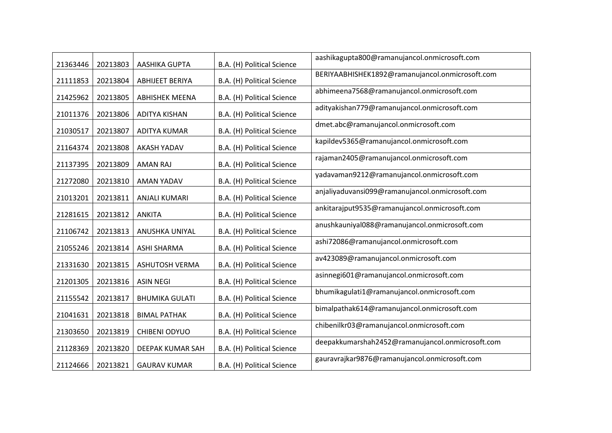| 21363446 | 20213803 | AASHIKA GUPTA          | B.A. (H) Political Science | aashikagupta800@ramanujancol.onmicrosoft.com     |
|----------|----------|------------------------|----------------------------|--------------------------------------------------|
| 21111853 | 20213804 | <b>ABHIJEET BERIYA</b> | B.A. (H) Political Science | BERIYAABHISHEK1892@ramanujancol.onmicrosoft.com  |
| 21425962 | 20213805 | <b>ABHISHEK MEENA</b>  | B.A. (H) Political Science | abhimeena7568@ramanujancol.onmicrosoft.com       |
| 21011376 | 20213806 | <b>ADITYA KISHAN</b>   | B.A. (H) Political Science | adityakishan779@ramanujancol.onmicrosoft.com     |
| 21030517 | 20213807 | ADITYA KUMAR           | B.A. (H) Political Science | dmet.abc@ramanujancol.onmicrosoft.com            |
| 21164374 | 20213808 | <b>AKASH YADAV</b>     | B.A. (H) Political Science | kapildev5365@ramanujancol.onmicrosoft.com        |
| 21137395 | 20213809 | <b>AMAN RAJ</b>        | B.A. (H) Political Science | rajaman2405@ramanujancol.onmicrosoft.com         |
| 21272080 | 20213810 | <b>AMAN YADAV</b>      | B.A. (H) Political Science | yadavaman9212@ramanujancol.onmicrosoft.com       |
| 21013201 | 20213811 | <b>ANJALI KUMARI</b>   | B.A. (H) Political Science | anjaliyaduvansi099@ramanujancol.onmicrosoft.com  |
| 21281615 | 20213812 | <b>ANKITA</b>          | B.A. (H) Political Science | ankitarajput9535@ramanujancol.onmicrosoft.com    |
| 21106742 | 20213813 | ANUSHKA UNIYAL         | B.A. (H) Political Science | anushkauniyal088@ramanujancol.onmicrosoft.com    |
| 21055246 | 20213814 | <b>ASHI SHARMA</b>     | B.A. (H) Political Science | ashi72086@ramanujancol.onmicrosoft.com           |
| 21331630 | 20213815 | <b>ASHUTOSH VERMA</b>  | B.A. (H) Political Science | av423089@ramanujancol.onmicrosoft.com            |
| 21201305 | 20213816 | <b>ASIN NEGI</b>       | B.A. (H) Political Science | asinnegi601@ramanujancol.onmicrosoft.com         |
| 21155542 | 20213817 | <b>BHUMIKA GULATI</b>  | B.A. (H) Political Science | bhumikagulati1@ramanujancol.onmicrosoft.com      |
| 21041631 | 20213818 | <b>BIMAL PATHAK</b>    | B.A. (H) Political Science | bimalpathak614@ramanujancol.onmicrosoft.com      |
| 21303650 | 20213819 | <b>CHIBENI ODYUO</b>   | B.A. (H) Political Science | chibenilkr03@ramanujancol.onmicrosoft.com        |
| 21128369 | 20213820 | DEEPAK KUMAR SAH       | B.A. (H) Political Science | deepakkumarshah2452@ramanujancol.onmicrosoft.com |
| 21124666 | 20213821 | <b>GAURAV KUMAR</b>    | B.A. (H) Political Science | gauravrajkar9876@ramanujancol.onmicrosoft.com    |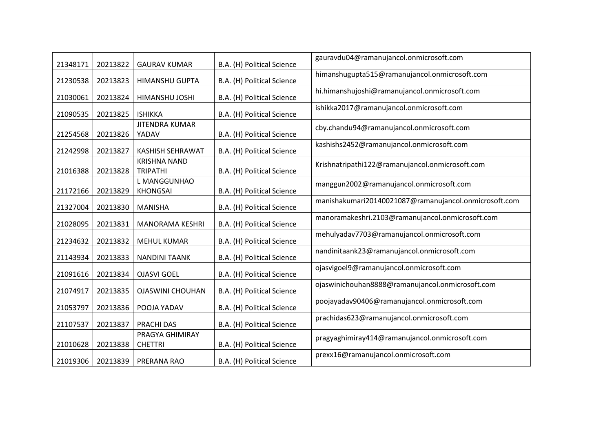| 21348171 | 20213822 | <b>GAURAV KUMAR</b>                    | B.A. (H) Political Science | gauravdu04@ramanujancol.onmicrosoft.com               |
|----------|----------|----------------------------------------|----------------------------|-------------------------------------------------------|
| 21230538 | 20213823 | HIMANSHU GUPTA                         | B.A. (H) Political Science | himanshugupta515@ramanujancol.onmicrosoft.com         |
| 21030061 | 20213824 | HIMANSHU JOSHI                         | B.A. (H) Political Science | hi.himanshujoshi@ramanujancol.onmicrosoft.com         |
| 21090535 | 20213825 | <b>ISHIKKA</b>                         | B.A. (H) Political Science | ishikka2017@ramanujancol.onmicrosoft.com              |
| 21254568 | 20213826 | <b>JITENDRA KUMAR</b><br>YADAV         | B.A. (H) Political Science | cby.chandu94@ramanujancol.onmicrosoft.com             |
| 21242998 | 20213827 | <b>KASHISH SEHRAWAT</b>                | B.A. (H) Political Science | kashishs2452@ramanujancol.onmicrosoft.com             |
| 21016388 | 20213828 | <b>KRISHNA NAND</b><br><b>TRIPATHI</b> | B.A. (H) Political Science | Krishnatripathi122@ramanujancol.onmicrosoft.com       |
| 21172166 | 20213829 | L MANGGUNHAO<br><b>KHONGSAI</b>        | B.A. (H) Political Science | manggun2002@ramanujancol.onmicrosoft.com              |
| 21327004 | 20213830 | <b>MANISHA</b>                         | B.A. (H) Political Science | manishakumari20140021087@ramanujancol.onmicrosoft.com |
| 21028095 | 20213831 | MANORAMA KESHRI                        | B.A. (H) Political Science | manoramakeshri.2103@ramanujancol.onmicrosoft.com      |
| 21234632 | 20213832 | <b>MEHUL KUMAR</b>                     | B.A. (H) Political Science | mehulyadav7703@ramanujancol.onmicrosoft.com           |
| 21143934 | 20213833 | <b>NANDINI TAANK</b>                   | B.A. (H) Political Science | nandinitaank23@ramanujancol.onmicrosoft.com           |
| 21091616 | 20213834 | <b>OJASVI GOEL</b>                     | B.A. (H) Political Science | ojasvigoel9@ramanujancol.onmicrosoft.com              |
| 21074917 | 20213835 | <b>OJASWINI CHOUHAN</b>                | B.A. (H) Political Science | ojaswinichouhan8888@ramanujancol.onmicrosoft.com      |
| 21053797 | 20213836 | POOJA YADAV                            | B.A. (H) Political Science | poojayadav90406@ramanujancol.onmicrosoft.com          |
| 21107537 | 20213837 | <b>PRACHI DAS</b>                      | B.A. (H) Political Science | prachidas623@ramanujancol.onmicrosoft.com             |
| 21010628 | 20213838 | PRAGYA GHIMIRAY<br><b>CHETTRI</b>      | B.A. (H) Political Science | pragyaghimiray414@ramanujancol.onmicrosoft.com        |
| 21019306 | 20213839 | PRERANA RAO                            | B.A. (H) Political Science | prexx16@ramanujancol.onmicrosoft.com                  |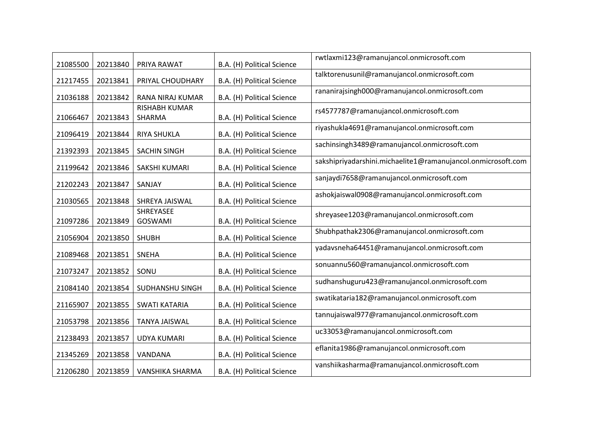| 21085500 | 20213840 | PRIYA RAWAT                    | B.A. (H) Political Science | rwtlaxmi123@ramanujancol.onmicrosoft.com                     |
|----------|----------|--------------------------------|----------------------------|--------------------------------------------------------------|
| 21217455 | 20213841 | PRIYAL CHOUDHARY               | B.A. (H) Political Science | talktorenusunil@ramanujancol.onmicrosoft.com                 |
| 21036188 | 20213842 | RANA NIRAJ KUMAR               | B.A. (H) Political Science | rananirajsingh000@ramanujancol.onmicrosoft.com               |
| 21066467 | 20213843 | <b>RISHABH KUMAR</b><br>SHARMA | B.A. (H) Political Science | rs4577787@ramanujancol.onmicrosoft.com                       |
| 21096419 | 20213844 | RIYA SHUKLA                    | B.A. (H) Political Science | riyashukla4691@ramanujancol.onmicrosoft.com                  |
| 21392393 | 20213845 | <b>SACHIN SINGH</b>            | B.A. (H) Political Science | sachinsingh3489@ramanujancol.onmicrosoft.com                 |
| 21199642 | 20213846 | SAKSHI KUMARI                  | B.A. (H) Political Science | sakshipriyadarshini.michaelite1@ramanujancol.onmicrosoft.com |
| 21202243 | 20213847 | SANJAY                         | B.A. (H) Political Science | sanjaydi7658@ramanujancol.onmicrosoft.com                    |
| 21030565 | 20213848 | SHREYA JAISWAL                 | B.A. (H) Political Science | ashokjaiswal0908@ramanujancol.onmicrosoft.com                |
| 21097286 | 20213849 | SHREYASEE<br>GOSWAMI           | B.A. (H) Political Science | shreyasee1203@ramanujancol.onmicrosoft.com                   |
| 21056904 | 20213850 | <b>SHUBH</b>                   | B.A. (H) Political Science | Shubhpathak2306@ramanujancol.onmicrosoft.com                 |
| 21089468 | 20213851 | <b>SNEHA</b>                   | B.A. (H) Political Science | yadavsneha64451@ramanujancol.onmicrosoft.com                 |
| 21073247 | 20213852 | SONU                           | B.A. (H) Political Science | sonuannu560@ramanujancol.onmicrosoft.com                     |
| 21084140 | 20213854 | SUDHANSHU SINGH                | B.A. (H) Political Science | sudhanshuguru423@ramanujancol.onmicrosoft.com                |
| 21165907 | 20213855 | <b>SWATI KATARIA</b>           | B.A. (H) Political Science | swatikataria182@ramanujancol.onmicrosoft.com                 |
| 21053798 | 20213856 | <b>TANYA JAISWAL</b>           | B.A. (H) Political Science | tannujaiswal977@ramanujancol.onmicrosoft.com                 |
| 21238493 | 20213857 | <b>UDYA KUMARI</b>             | B.A. (H) Political Science | uc33053@ramanujancol.onmicrosoft.com                         |
| 21345269 | 20213858 | VANDANA                        | B.A. (H) Political Science | eflanita1986@ramanujancol.onmicrosoft.com                    |
| 21206280 | 20213859 | VANSHIKA SHARMA                | B.A. (H) Political Science | vanshiikasharma@ramanujancol.onmicrosoft.com                 |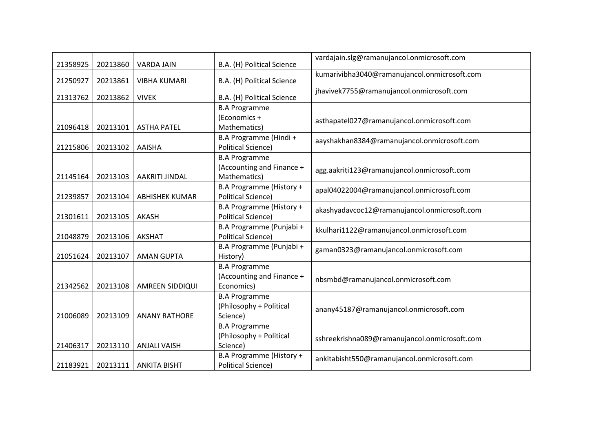| 21358925 | 20213860 | <b>VARDA JAIN</b>     | B.A. (H) Political Science | vardajain.slg@ramanujancol.onmicrosoft.com    |
|----------|----------|-----------------------|----------------------------|-----------------------------------------------|
| 21250927 | 20213861 | <b>VIBHA KUMARI</b>   | B.A. (H) Political Science | kumarivibha3040@ramanujancol.onmicrosoft.com  |
| 21313762 | 20213862 | <b>VIVEK</b>          | B.A. (H) Political Science | jhavivek7755@ramanujancol.onmicrosoft.com     |
|          |          |                       | <b>B.A Programme</b>       |                                               |
|          |          |                       | (Economics +               | asthapatel027@ramanujancol.onmicrosoft.com    |
| 21096418 | 20213101 | <b>ASTHA PATEL</b>    | Mathematics)               |                                               |
|          |          |                       | B.A Programme (Hindi +     | aayshakhan8384@ramanujancol.onmicrosoft.com   |
| 21215806 | 20213102 | AAISHA                | <b>Political Science)</b>  |                                               |
|          |          |                       | <b>B.A Programme</b>       |                                               |
|          |          |                       | (Accounting and Finance +  | agg.aakriti123@ramanujancol.onmicrosoft.com   |
| 21145164 | 20213103 | AAKRITI JINDAL        | Mathematics)               |                                               |
|          |          |                       | B.A Programme (History +   | apal04022004@ramanujancol.onmicrosoft.com     |
| 21239857 | 20213104 | <b>ABHISHEK KUMAR</b> | <b>Political Science)</b>  |                                               |
|          |          |                       | B.A Programme (History +   | akashyadavcoc12@ramanujancol.onmicrosoft.com  |
| 21301611 | 20213105 | AKASH                 | <b>Political Science)</b>  |                                               |
|          |          |                       | B.A Programme (Punjabi +   | kkulhari1122@ramanujancol.onmicrosoft.com     |
| 21048879 | 20213106 | <b>AKSHAT</b>         | <b>Political Science)</b>  |                                               |
|          |          |                       | B.A Programme (Punjabi +   | gaman0323@ramanujancol.onmicrosoft.com        |
| 21051624 | 20213107 | <b>AMAN GUPTA</b>     | History)                   |                                               |
|          |          |                       | <b>B.A Programme</b>       |                                               |
|          |          |                       | (Accounting and Finance +  | nbsmbd@ramanujancol.onmicrosoft.com           |
| 21342562 | 20213108 | AMREEN SIDDIQUI       | Economics)                 |                                               |
|          |          |                       | <b>B.A Programme</b>       |                                               |
|          |          |                       | (Philosophy + Political    | anany45187@ramanujancol.onmicrosoft.com       |
| 21006089 | 20213109 | <b>ANANY RATHORE</b>  | Science)                   |                                               |
|          |          |                       | <b>B.A Programme</b>       |                                               |
|          |          |                       | (Philosophy + Political    | sshreekrishna089@ramanujancol.onmicrosoft.com |
| 21406317 | 20213110 | <b>ANJALI VAISH</b>   | Science)                   |                                               |
|          |          |                       | B.A Programme (History +   | ankitabisht550@ramanujancol.onmicrosoft.com   |
| 21183921 | 20213111 | <b>ANKITA BISHT</b>   | <b>Political Science)</b>  |                                               |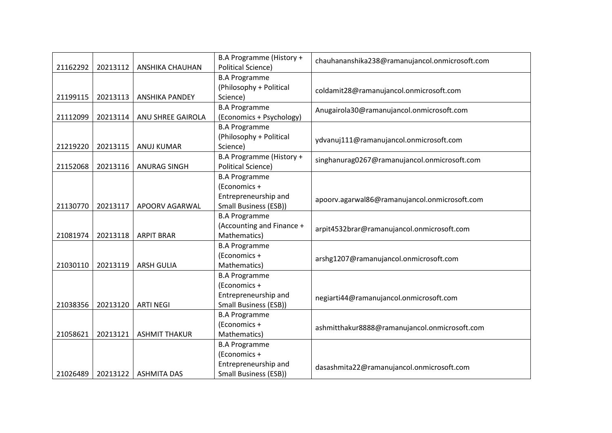| 21162292 | 20213112 | ANSHIKA CHAUHAN      | B.A Programme (History +<br><b>Political Science)</b> | chauhananshika238@ramanujancol.onmicrosoft.com |
|----------|----------|----------------------|-------------------------------------------------------|------------------------------------------------|
|          |          |                      | <b>B.A Programme</b>                                  |                                                |
|          |          |                      | (Philosophy + Political                               | coldamit28@ramanujancol.onmicrosoft.com        |
| 21199115 | 20213113 | ANSHIKA PANDEY       | Science)                                              |                                                |
|          |          |                      | <b>B.A Programme</b>                                  | Anugairola30@ramanujancol.onmicrosoft.com      |
| 21112099 | 20213114 | ANU SHREE GAIROLA    | (Economics + Psychology)                              |                                                |
|          |          |                      | <b>B.A Programme</b>                                  |                                                |
|          |          |                      | (Philosophy + Political                               | ydvanuj111@ramanujancol.onmicrosoft.com        |
| 21219220 | 20213115 | <b>ANUJ KUMAR</b>    | Science)                                              |                                                |
|          |          |                      | B.A Programme (History +                              | singhanurag0267@ramanujancol.onmicrosoft.com   |
| 21152068 | 20213116 | <b>ANURAG SINGH</b>  | <b>Political Science)</b>                             |                                                |
|          |          |                      | <b>B.A Programme</b>                                  |                                                |
|          |          |                      | (Economics +                                          |                                                |
|          |          |                      | Entrepreneurship and                                  | apoorv.agarwal86@ramanujancol.onmicrosoft.com  |
| 21130770 | 20213117 | APOORV AGARWAL       | <b>Small Business (ESB))</b>                          |                                                |
|          |          |                      | <b>B.A Programme</b>                                  |                                                |
|          |          |                      | (Accounting and Finance +                             | arpit4532brar@ramanujancol.onmicrosoft.com     |
| 21081974 | 20213118 | <b>ARPIT BRAR</b>    | Mathematics)                                          |                                                |
|          |          |                      | <b>B.A Programme</b>                                  |                                                |
|          |          |                      | (Economics +                                          | arshg1207@ramanujancol.onmicrosoft.com         |
| 21030110 | 20213119 | <b>ARSH GULIA</b>    | Mathematics)                                          |                                                |
|          |          |                      | <b>B.A Programme</b>                                  |                                                |
|          |          |                      | (Economics +                                          |                                                |
|          |          |                      | Entrepreneurship and                                  | negiarti44@ramanujancol.onmicrosoft.com        |
| 21038356 | 20213120 | <b>ARTI NEGI</b>     | <b>Small Business (ESB))</b>                          |                                                |
|          |          |                      | <b>B.A Programme</b>                                  |                                                |
|          |          |                      | (Economics +                                          | ashmitthakur8888@ramanujancol.onmicrosoft.com  |
| 21058621 | 20213121 | <b>ASHMIT THAKUR</b> | Mathematics)                                          |                                                |
|          |          |                      | <b>B.A Programme</b>                                  |                                                |
|          |          |                      | (Economics +                                          |                                                |
|          |          |                      | Entrepreneurship and                                  | dasashmita22@ramanujancol.onmicrosoft.com      |
| 21026489 | 20213122 | <b>ASHMITA DAS</b>   | <b>Small Business (ESB))</b>                          |                                                |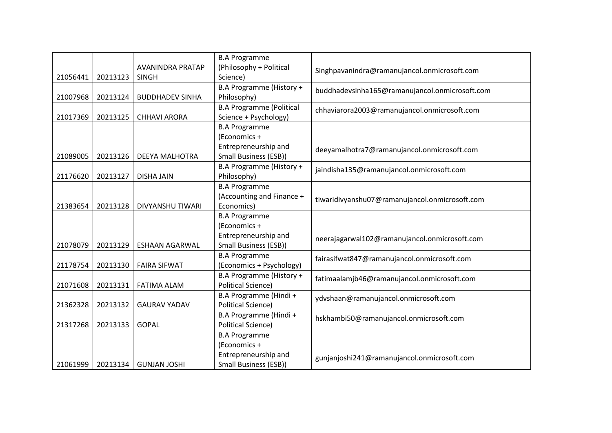|          |          |                                         | <b>B.A Programme</b>                |                                                |
|----------|----------|-----------------------------------------|-------------------------------------|------------------------------------------------|
| 21056441 | 20213123 | <b>AVANINDRA PRATAP</b><br><b>SINGH</b> | (Philosophy + Political<br>Science) | Singhpavanindra@ramanujancol.onmicrosoft.com   |
|          |          |                                         | B.A Programme (History +            |                                                |
| 21007968 | 20213124 | <b>BUDDHADEV SINHA</b>                  | Philosophy)                         | buddhadevsinha165@ramanujancol.onmicrosoft.com |
|          |          |                                         | <b>B.A Programme (Political</b>     | chhaviarora2003@ramanujancol.onmicrosoft.com   |
| 21017369 | 20213125 | <b>CHHAVI ARORA</b>                     | Science + Psychology)               |                                                |
|          |          |                                         | <b>B.A Programme</b>                |                                                |
|          |          |                                         | (Economics +                        |                                                |
|          |          |                                         | Entrepreneurship and                | deeyamalhotra7@ramanujancol.onmicrosoft.com    |
| 21089005 | 20213126 | <b>DEEYA MALHOTRA</b>                   | <b>Small Business (ESB))</b>        |                                                |
|          |          |                                         | B.A Programme (History +            | jaindisha135@ramanujancol.onmicrosoft.com      |
| 21176620 | 20213127 | <b>DISHA JAIN</b>                       | Philosophy)                         |                                                |
|          |          |                                         | <b>B.A Programme</b>                |                                                |
|          |          |                                         | (Accounting and Finance +           | tiwaridivyanshu07@ramanujancol.onmicrosoft.com |
| 21383654 | 20213128 | <b>DIVYANSHU TIWARI</b>                 | Economics)                          |                                                |
|          |          |                                         | <b>B.A Programme</b>                |                                                |
|          |          |                                         | (Economics +                        |                                                |
|          |          |                                         | Entrepreneurship and                | neerajagarwal102@ramanujancol.onmicrosoft.com  |
| 21078079 | 20213129 | <b>ESHAAN AGARWAL</b>                   | Small Business (ESB))               |                                                |
|          |          |                                         | <b>B.A Programme</b>                | fairasifwat847@ramanujancol.onmicrosoft.com    |
| 21178754 | 20213130 | <b>FAIRA SIFWAT</b>                     | (Economics + Psychology)            |                                                |
|          |          |                                         | B.A Programme (History +            | fatimaalamjb46@ramanujancol.onmicrosoft.com    |
| 21071608 | 20213131 | <b>FATIMA ALAM</b>                      | <b>Political Science)</b>           |                                                |
|          |          |                                         | B.A Programme (Hindi +              | ydvshaan@ramanujancol.onmicrosoft.com          |
| 21362328 | 20213132 | <b>GAURAV YADAV</b>                     | <b>Political Science)</b>           |                                                |
|          |          |                                         | B.A Programme (Hindi +              | hskhambi50@ramanujancol.onmicrosoft.com        |
| 21317268 | 20213133 | <b>GOPAL</b>                            | <b>Political Science)</b>           |                                                |
|          |          |                                         | <b>B.A Programme</b>                |                                                |
|          |          |                                         | (Economics +                        |                                                |
|          |          |                                         | Entrepreneurship and                | gunjanjoshi241@ramanujancol.onmicrosoft.com    |
| 21061999 | 20213134 | <b>GUNJAN JOSHI</b>                     | <b>Small Business (ESB))</b>        |                                                |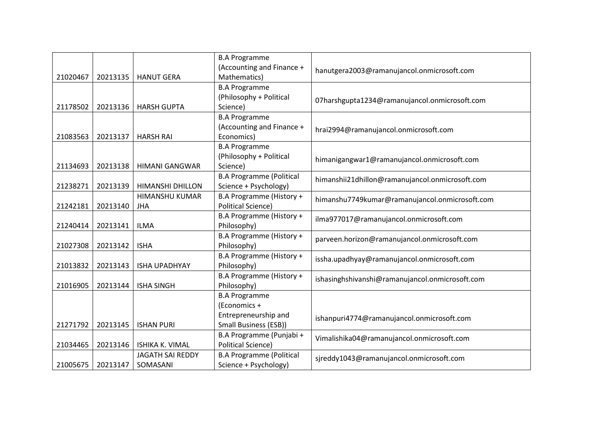|          |          |                         | <b>B.A Programme</b><br>(Accounting and Finance + | hanutgera2003@ramanujancol.onmicrosoft.com      |
|----------|----------|-------------------------|---------------------------------------------------|-------------------------------------------------|
| 21020467 | 20213135 | <b>HANUT GERA</b>       | Mathematics)                                      |                                                 |
|          |          |                         | <b>B.A Programme</b>                              |                                                 |
|          |          |                         | (Philosophy + Political                           | 07harshgupta1234@ramanujancol.onmicrosoft.com   |
| 21178502 | 20213136 | <b>HARSH GUPTA</b>      | Science)                                          |                                                 |
|          |          |                         | <b>B.A Programme</b>                              |                                                 |
|          |          |                         | (Accounting and Finance +                         | hrai2994@ramanujancol.onmicrosoft.com           |
| 21083563 | 20213137 | <b>HARSH RAI</b>        | Economics)                                        |                                                 |
|          |          |                         | <b>B.A Programme</b>                              |                                                 |
|          |          |                         | (Philosophy + Political                           | himanigangwar1@ramanujancol.onmicrosoft.com     |
| 21134693 | 20213138 | <b>HIMANI GANGWAR</b>   | Science)                                          |                                                 |
|          |          |                         | <b>B.A Programme (Political</b>                   | himanshii21dhillon@ramanujancol.onmicrosoft.com |
| 21238271 | 20213139 | <b>HIMANSHI DHILLON</b> | Science + Psychology)                             |                                                 |
|          |          | HIMANSHU KUMAR          | B.A Programme (History +                          | himanshu7749kumar@ramanujancol.onmicrosoft.com  |
| 21242181 | 20213140 | <b>JHA</b>              | <b>Political Science)</b>                         |                                                 |
|          |          |                         | B.A Programme (History +                          | ilma977017@ramanujancol.onmicrosoft.com         |
| 21240414 | 20213141 | <b>ILMA</b>             | Philosophy)                                       |                                                 |
|          |          |                         | B.A Programme (History +                          | parveen.horizon@ramanujancol.onmicrosoft.com    |
| 21027308 | 20213142 | <b>ISHA</b>             | Philosophy)                                       |                                                 |
|          |          |                         | B.A Programme (History +                          | issha.upadhyay@ramanujancol.onmicrosoft.com     |
| 21013832 | 20213143 | <b>ISHA UPADHYAY</b>    | Philosophy)                                       |                                                 |
|          |          |                         | B.A Programme (History +                          | ishasinghshivanshi@ramanujancol.onmicrosoft.com |
| 21016905 | 20213144 | <b>ISHA SINGH</b>       | Philosophy)                                       |                                                 |
|          |          |                         | <b>B.A Programme</b>                              |                                                 |
|          |          |                         | (Economics +                                      |                                                 |
|          |          |                         | Entrepreneurship and                              | ishanpuri4774@ramanujancol.onmicrosoft.com      |
| 21271792 | 20213145 | <b>ISHAN PURI</b>       | <b>Small Business (ESB))</b>                      |                                                 |
|          |          |                         | B.A Programme (Punjabi +                          | Vimalishika04@ramanujancol.onmicrosoft.com      |
| 21034465 | 20213146 | <b>ISHIKA K. VIMAL</b>  | <b>Political Science)</b>                         |                                                 |
|          |          | <b>JAGATH SAI REDDY</b> | <b>B.A Programme (Political</b>                   | sjreddy1043@ramanujancol.onmicrosoft.com        |
| 21005675 | 20213147 | SOMASANI                | Science + Psychology)                             |                                                 |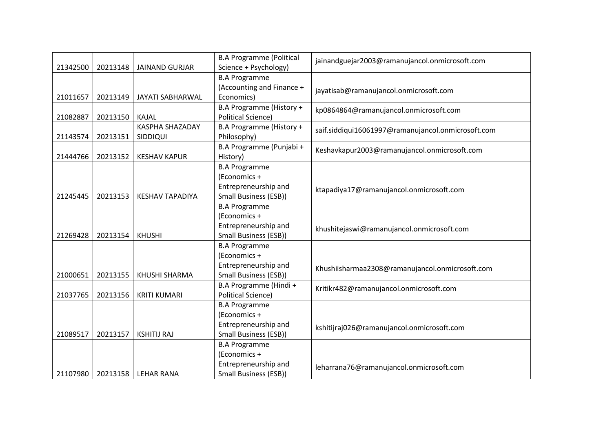|          |          |                        | <b>B.A Programme (Political</b> | jainandguejar2003@ramanujancol.onmicrosoft.com     |
|----------|----------|------------------------|---------------------------------|----------------------------------------------------|
| 21342500 | 20213148 | <b>JAINAND GURJAR</b>  | Science + Psychology)           |                                                    |
|          |          |                        | <b>B.A Programme</b>            |                                                    |
|          |          |                        | (Accounting and Finance +       | jayatisab@ramanujancol.onmicrosoft.com             |
| 21011657 | 20213149 | JAYATI SABHARWAL       | Economics)                      |                                                    |
|          |          |                        | B.A Programme (History +        | kp0864864@ramanujancol.onmicrosoft.com             |
| 21082887 | 20213150 | KAJAL                  | <b>Political Science)</b>       |                                                    |
|          |          | <b>KASPHA SHAZADAY</b> | B.A Programme (History +        | saif.siddiqui16061997@ramanujancol.onmicrosoft.com |
| 21143574 | 20213151 | SIDDIQUI               | Philosophy)                     |                                                    |
|          |          |                        | B.A Programme (Punjabi +        | Keshavkapur2003@ramanujancol.onmicrosoft.com       |
| 21444766 | 20213152 | <b>KESHAV KAPUR</b>    | History)                        |                                                    |
|          |          |                        | <b>B.A Programme</b>            |                                                    |
|          |          |                        | (Economics +                    |                                                    |
|          |          |                        | Entrepreneurship and            | ktapadiya17@ramanujancol.onmicrosoft.com           |
| 21245445 | 20213153 | <b>KESHAV TAPADIYA</b> | <b>Small Business (ESB))</b>    |                                                    |
|          |          |                        | <b>B.A Programme</b>            |                                                    |
|          |          |                        | (Economics +                    |                                                    |
|          |          |                        | Entrepreneurship and            | khushitejaswi@ramanujancol.onmicrosoft.com         |
| 21269428 | 20213154 | <b>KHUSHI</b>          | <b>Small Business (ESB))</b>    |                                                    |
|          |          |                        | <b>B.A Programme</b>            |                                                    |
|          |          |                        | (Economics +                    |                                                    |
|          |          |                        | Entrepreneurship and            | Khushiisharmaa2308@ramanujancol.onmicrosoft.com    |
| 21000651 | 20213155 | <b>KHUSHI SHARMA</b>   | <b>Small Business (ESB))</b>    |                                                    |
|          |          |                        | B.A Programme (Hindi +          | Kritikr482@ramanujancol.onmicrosoft.com            |
| 21037765 | 20213156 | <b>KRITI KUMARI</b>    | <b>Political Science)</b>       |                                                    |
|          |          |                        | <b>B.A Programme</b>            |                                                    |
|          |          |                        | (Economics +                    |                                                    |
|          |          |                        | Entrepreneurship and            | kshitijraj026@ramanujancol.onmicrosoft.com         |
| 21089517 | 20213157 | <b>KSHITIJ RAJ</b>     | Small Business (ESB))           |                                                    |
|          |          |                        | <b>B.A Programme</b>            |                                                    |
|          |          |                        | (Economics +                    |                                                    |
|          |          |                        | Entrepreneurship and            | leharrana76@ramanujancol.onmicrosoft.com           |
| 21107980 | 20213158 | <b>LEHAR RANA</b>      | Small Business (ESB))           |                                                    |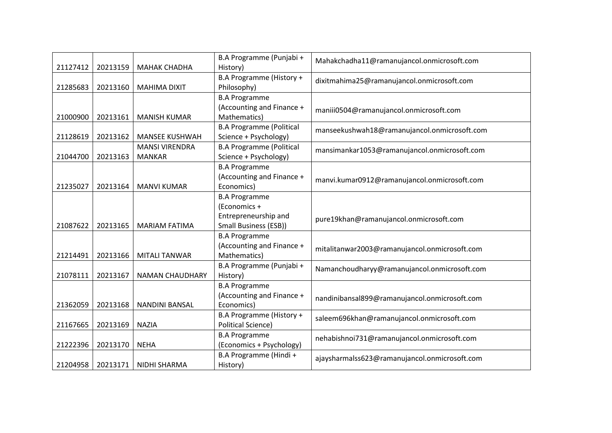| 21127412 | 20213159 | <b>MAHAK CHADHA</b>    | B.A Programme (Punjabi +<br>History)    | Mahakchadha11@ramanujancol.onmicrosoft.com    |
|----------|----------|------------------------|-----------------------------------------|-----------------------------------------------|
| 21285683 | 20213160 | <b>MAHIMA DIXIT</b>    | B.A Programme (History +<br>Philosophy) | dixitmahima25@ramanujancol.onmicrosoft.com    |
|          |          |                        | <b>B.A Programme</b>                    |                                               |
|          |          |                        | (Accounting and Finance +               | maniii0504@ramanujancol.onmicrosoft.com       |
| 21000900 | 20213161 | <b>MANISH KUMAR</b>    | Mathematics)                            |                                               |
|          |          |                        | <b>B.A Programme (Political</b>         | manseekushwah18@ramanujancol.onmicrosoft.com  |
| 21128619 | 20213162 | <b>MANSEE KUSHWAH</b>  | Science + Psychology)                   |                                               |
|          |          | <b>MANSI VIRENDRA</b>  | <b>B.A Programme (Political</b>         | mansimankar1053@ramanujancol.onmicrosoft.com  |
| 21044700 | 20213163 | <b>MANKAR</b>          | Science + Psychology)                   |                                               |
|          |          |                        | <b>B.A Programme</b>                    |                                               |
|          |          |                        | (Accounting and Finance +               | manvi.kumar0912@ramanujancol.onmicrosoft.com  |
| 21235027 | 20213164 | <b>MANVI KUMAR</b>     | Economics)                              |                                               |
|          |          |                        | <b>B.A Programme</b>                    |                                               |
|          |          |                        | (Economics +                            |                                               |
|          |          |                        | Entrepreneurship and                    | pure19khan@ramanujancol.onmicrosoft.com       |
| 21087622 | 20213165 | <b>MARIAM FATIMA</b>   | <b>Small Business (ESB))</b>            |                                               |
|          |          |                        | <b>B.A Programme</b>                    |                                               |
|          |          |                        | (Accounting and Finance +               | mitalitanwar2003@ramanujancol.onmicrosoft.com |
| 21214491 | 20213166 | <b>MITALI TANWAR</b>   | Mathematics)                            |                                               |
|          |          |                        | B.A Programme (Punjabi +                | Namanchoudharyy@ramanujancol.onmicrosoft.com  |
| 21078111 | 20213167 | <b>NAMAN CHAUDHARY</b> | History)                                |                                               |
|          |          |                        | <b>B.A Programme</b>                    |                                               |
|          |          |                        | (Accounting and Finance +               | nandinibansal899@ramanujancol.onmicrosoft.com |
| 21362059 | 20213168 | <b>NANDINI BANSAL</b>  | Economics)                              |                                               |
|          |          |                        | B.A Programme (History +                | saleem696khan@ramanujancol.onmicrosoft.com    |
| 21167665 | 20213169 | <b>NAZIA</b>           | <b>Political Science)</b>               |                                               |
|          |          |                        | <b>B.A Programme</b>                    | nehabishnoi731@ramanujancol.onmicrosoft.com   |
| 21222396 | 20213170 | <b>NEHA</b>            | (Economics + Psychology)                |                                               |
|          |          |                        | B.A Programme (Hindi +                  | ajaysharmalss623@ramanujancol.onmicrosoft.com |
| 21204958 | 20213171 | NIDHI SHARMA           | History)                                |                                               |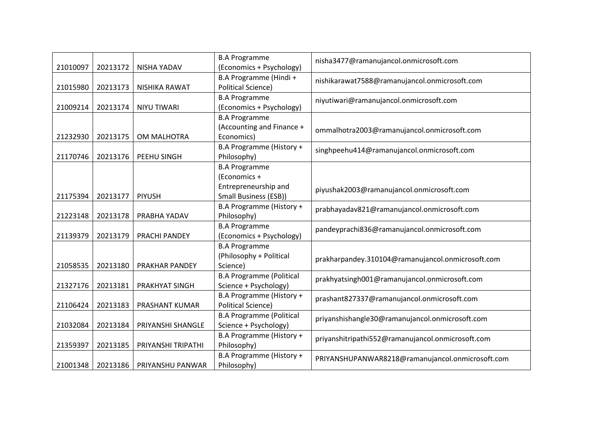| 21010097 | 20213172 | <b>NISHA YADAV</b>   | <b>B.A Programme</b><br>(Economics + Psychology)                                      | nisha3477@ramanujancol.onmicrosoft.com            |
|----------|----------|----------------------|---------------------------------------------------------------------------------------|---------------------------------------------------|
| 21015980 | 20213173 | NISHIKA RAWAT        | B.A Programme (Hindi +<br><b>Political Science)</b>                                   | nishikarawat7588@ramanujancol.onmicrosoft.com     |
| 21009214 | 20213174 | <b>NIYU TIWARI</b>   | <b>B.A Programme</b><br>(Economics + Psychology)                                      | niyutiwari@ramanujancol.onmicrosoft.com           |
| 21232930 | 20213175 | OM MALHOTRA          | <b>B.A Programme</b><br>(Accounting and Finance +<br>Economics)                       | ommalhotra2003@ramanujancol.onmicrosoft.com       |
| 21170746 | 20213176 | PEEHU SINGH          | B.A Programme (History +<br>Philosophy)                                               | singhpeehu414@ramanujancol.onmicrosoft.com        |
| 21175394 | 20213177 | <b>PIYUSH</b>        | <b>B.A Programme</b><br>(Economics +<br>Entrepreneurship and<br>Small Business (ESB)) | piyushak2003@ramanujancol.onmicrosoft.com         |
| 21223148 | 20213178 | PRABHA YADAV         | B.A Programme (History +<br>Philosophy)                                               | prabhayadav821@ramanujancol.onmicrosoft.com       |
| 21139379 | 20213179 | <b>PRACHI PANDEY</b> | <b>B.A Programme</b><br>(Economics + Psychology)                                      | pandeyprachi836@ramanujancol.onmicrosoft.com      |
| 21058535 | 20213180 | PRAKHAR PANDEY       | <b>B.A Programme</b><br>(Philosophy + Political<br>Science)                           | prakharpandey.310104@ramanujancol.onmicrosoft.com |
| 21327176 | 20213181 | PRAKHYAT SINGH       | <b>B.A Programme (Political</b><br>Science + Psychology)                              | prakhyatsingh001@ramanujancol.onmicrosoft.com     |
| 21106424 | 20213183 | PRASHANT KUMAR       | B.A Programme (History +<br><b>Political Science)</b>                                 | prashant827337@ramanujancol.onmicrosoft.com       |
| 21032084 | 20213184 | PRIYANSHI SHANGLE    | <b>B.A Programme (Political</b><br>Science + Psychology)                              | priyanshishangle30@ramanujancol.onmicrosoft.com   |
| 21359397 | 20213185 | PRIYANSHI TRIPATHI   | B.A Programme (History +<br>Philosophy)                                               | priyanshitripathi552@ramanujancol.onmicrosoft.com |
| 21001348 | 20213186 | PRIYANSHU PANWAR     | B.A Programme (History +<br>Philosophy)                                               | PRIYANSHUPANWAR8218@ramanujancol.onmicrosoft.com  |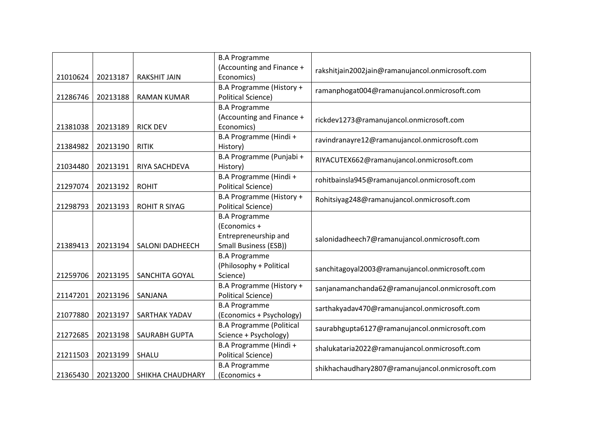|          |          |                        | <b>B.A Programme</b>                                  |                                                  |
|----------|----------|------------------------|-------------------------------------------------------|--------------------------------------------------|
| 21010624 | 20213187 | <b>RAKSHIT JAIN</b>    | (Accounting and Finance +<br>Economics)               | rakshitjain2002jain@ramanujancol.onmicrosoft.com |
|          |          |                        | B.A Programme (History +                              |                                                  |
| 21286746 | 20213188 | <b>RAMAN KUMAR</b>     | <b>Political Science)</b>                             | ramanphogat004@ramanujancol.onmicrosoft.com      |
|          |          |                        | <b>B.A Programme</b>                                  |                                                  |
|          |          |                        | (Accounting and Finance +                             | rickdev1273@ramanujancol.onmicrosoft.com         |
| 21381038 | 20213189 | <b>RICK DEV</b>        | Economics)                                            |                                                  |
|          |          |                        | B.A Programme (Hindi +                                | ravindranayre12@ramanujancol.onmicrosoft.com     |
| 21384982 | 20213190 | <b>RITIK</b>           | History)                                              |                                                  |
|          |          |                        | B.A Programme (Punjabi +                              | RIYACUTEX662@ramanujancol.onmicrosoft.com        |
| 21034480 | 20213191 | RIYA SACHDEVA          | History)                                              |                                                  |
|          |          |                        | B.A Programme (Hindi +                                | rohitbainsla945@ramanujancol.onmicrosoft.com     |
| 21297074 | 20213192 | <b>ROHIT</b>           | <b>Political Science)</b>                             |                                                  |
|          |          |                        | B.A Programme (History +                              | Rohitsiyag248@ramanujancol.onmicrosoft.com       |
| 21298793 | 20213193 | <b>ROHIT R SIYAG</b>   | <b>Political Science)</b>                             |                                                  |
|          |          |                        | <b>B.A Programme</b>                                  |                                                  |
|          |          |                        | (Economics +                                          |                                                  |
|          |          |                        | Entrepreneurship and                                  | salonidadheech7@ramanujancol.onmicrosoft.com     |
| 21389413 | 20213194 | <b>SALONI DADHEECH</b> | <b>Small Business (ESB))</b>                          |                                                  |
|          |          |                        | <b>B.A Programme</b>                                  |                                                  |
|          |          |                        | (Philosophy + Political                               | sanchitagoyal2003@ramanujancol.onmicrosoft.com   |
| 21259706 | 20213195 | SANCHITA GOYAL         | Science)                                              |                                                  |
| 21147201 | 20213196 | SANJANA                | B.A Programme (History +<br><b>Political Science)</b> | sanjanamanchanda62@ramanujancol.onmicrosoft.com  |
|          |          |                        | <b>B.A Programme</b>                                  |                                                  |
| 21077880 | 20213197 | SARTHAK YADAV          | (Economics + Psychology)                              | sarthakyadav470@ramanujancol.onmicrosoft.com     |
|          |          |                        | <b>B.A Programme (Political</b>                       |                                                  |
| 21272685 | 20213198 | SAURABH GUPTA          | Science + Psychology)                                 | saurabhgupta6127@ramanujancol.onmicrosoft.com    |
|          |          |                        | B.A Programme (Hindi +                                |                                                  |
| 21211503 | 20213199 | SHALU                  | <b>Political Science)</b>                             | shalukataria2022@ramanujancol.onmicrosoft.com    |
|          |          |                        | <b>B.A Programme</b>                                  |                                                  |
| 21365430 | 20213200 | SHIKHA CHAUDHARY       | (Economics +                                          | shikhachaudhary2807@ramanujancol.onmicrosoft.com |
|          |          |                        |                                                       |                                                  |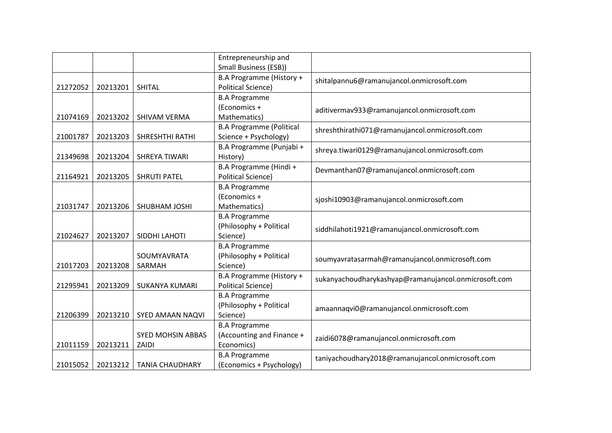|          |          |                          | Entrepreneurship and            |                                                      |
|----------|----------|--------------------------|---------------------------------|------------------------------------------------------|
|          |          |                          | Small Business (ESB))           |                                                      |
|          |          |                          | B.A Programme (History +        | shitalpannu6@ramanujancol.onmicrosoft.com            |
| 21272052 | 20213201 | <b>SHITAL</b>            | <b>Political Science)</b>       |                                                      |
|          |          |                          | <b>B.A Programme</b>            |                                                      |
|          |          |                          | (Economics +                    | aditivermav933@ramanujancol.onmicrosoft.com          |
| 21074169 | 20213202 | <b>SHIVAM VERMA</b>      | Mathematics)                    |                                                      |
|          |          |                          | <b>B.A Programme (Political</b> | shreshthirathi071@ramanujancol.onmicrosoft.com       |
| 21001787 | 20213203 | SHRESHTHI RATHI          | Science + Psychology)           |                                                      |
|          |          |                          | B.A Programme (Punjabi +        | shreya.tiwari0129@ramanujancol.onmicrosoft.com       |
| 21349698 | 20213204 | <b>SHREYA TIWARI</b>     | History)                        |                                                      |
|          |          |                          | B.A Programme (Hindi +          | Devmanthan07@ramanujancol.onmicrosoft.com            |
| 21164921 | 20213205 | <b>SHRUTI PATEL</b>      | <b>Political Science)</b>       |                                                      |
|          |          |                          | <b>B.A Programme</b>            |                                                      |
|          |          |                          | (Economics +                    | sjoshi10903@ramanujancol.onmicrosoft.com             |
| 21031747 | 20213206 | SHUBHAM JOSHI            | Mathematics)                    |                                                      |
|          |          |                          | <b>B.A Programme</b>            |                                                      |
|          |          |                          | (Philosophy + Political         | siddhilahoti1921@ramanujancol.onmicrosoft.com        |
| 21024627 | 20213207 | SIDDHI LAHOTI            | Science)                        |                                                      |
|          |          |                          | <b>B.A Programme</b>            |                                                      |
|          |          | SOUMYAVRATA              | (Philosophy + Political         | soumyavratasarmah@ramanujancol.onmicrosoft.com       |
| 21017203 | 20213208 | SARMAH                   | Science)                        |                                                      |
|          |          |                          | B.A Programme (History +        | sukanyachoudharykashyap@ramanujancol.onmicrosoft.com |
| 21295941 | 20213209 | <b>SUKANYA KUMARI</b>    | <b>Political Science)</b>       |                                                      |
|          |          |                          | <b>B.A Programme</b>            |                                                      |
|          |          |                          | (Philosophy + Political         | amaannaqvi0@ramanujancol.onmicrosoft.com             |
| 21206399 | 20213210 | SYED AMAAN NAQVI         | Science)                        |                                                      |
|          |          |                          | <b>B.A Programme</b>            |                                                      |
|          |          | <b>SYED MOHSIN ABBAS</b> | (Accounting and Finance +       | zaidi6078@ramanujancol.onmicrosoft.com               |
| 21011159 | 20213211 | ZAIDI                    | Economics)                      |                                                      |
|          |          |                          | <b>B.A Programme</b>            | taniyachoudhary2018@ramanujancol.onmicrosoft.com     |
| 21015052 | 20213212 | <b>TANIA CHAUDHARY</b>   | (Economics + Psychology)        |                                                      |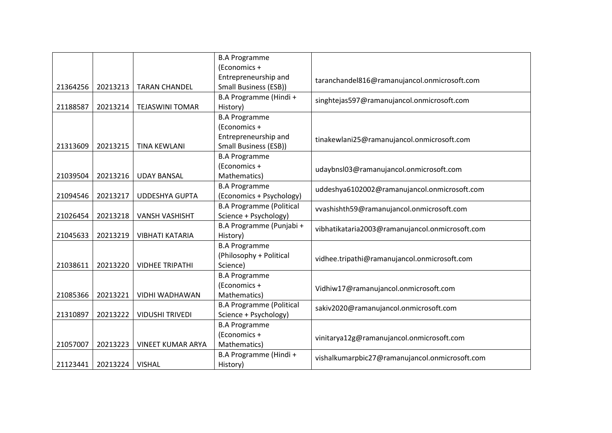|          |          |                          | <b>B.A Programme</b>            |                                                 |
|----------|----------|--------------------------|---------------------------------|-------------------------------------------------|
|          |          |                          | (Economics +                    |                                                 |
|          |          |                          | Entrepreneurship and            |                                                 |
| 21364256 | 20213213 | <b>TARAN CHANDEL</b>     | Small Business (ESB))           | taranchandel816@ramanujancol.onmicrosoft.com    |
|          |          |                          | B.A Programme (Hindi +          |                                                 |
| 21188587 | 20213214 | <b>TEJASWINI TOMAR</b>   | History)                        | singhtejas597@ramanujancol.onmicrosoft.com      |
|          |          |                          | <b>B.A Programme</b>            |                                                 |
|          |          |                          | (Economics +                    |                                                 |
|          |          |                          | Entrepreneurship and            |                                                 |
| 21313609 | 20213215 | <b>TINA KEWLANI</b>      | Small Business (ESB))           | tinakewlani25@ramanujancol.onmicrosoft.com      |
|          |          |                          | <b>B.A Programme</b>            |                                                 |
|          |          |                          | (Economics +                    |                                                 |
|          |          |                          |                                 | udaybnsl03@ramanujancol.onmicrosoft.com         |
| 21039504 | 20213216 | <b>UDAY BANSAL</b>       | Mathematics)                    |                                                 |
|          |          |                          | <b>B.A Programme</b>            | uddeshya6102002@ramanujancol.onmicrosoft.com    |
| 21094546 | 20213217 | <b>UDDESHYA GUPTA</b>    | (Economics + Psychology)        |                                                 |
|          |          |                          | <b>B.A Programme (Political</b> | vvashishth59@ramanujancol.onmicrosoft.com       |
| 21026454 | 20213218 | <b>VANSH VASHISHT</b>    | Science + Psychology)           |                                                 |
|          |          |                          | B.A Programme (Punjabi +        | vibhatikataria2003@ramanujancol.onmicrosoft.com |
| 21045633 | 20213219 | <b>VIBHATI KATARIA</b>   | History)                        |                                                 |
|          |          |                          | <b>B.A Programme</b>            |                                                 |
|          |          |                          | (Philosophy + Political         | vidhee.tripathi@ramanujancol.onmicrosoft.com    |
| 21038611 | 20213220 | <b>VIDHEE TRIPATHI</b>   | Science)                        |                                                 |
|          |          |                          | <b>B.A Programme</b>            |                                                 |
|          |          |                          | (Economics +                    | Vidhiw17@ramanujancol.onmicrosoft.com           |
| 21085366 | 20213221 | VIDHI WADHAWAN           | Mathematics)                    |                                                 |
|          |          |                          | <b>B.A Programme (Political</b> | sakiv2020@ramanujancol.onmicrosoft.com          |
| 21310897 | 20213222 | <b>VIDUSHI TRIVEDI</b>   | Science + Psychology)           |                                                 |
|          |          |                          | <b>B.A Programme</b>            |                                                 |
|          |          |                          | (Economics +                    | vinitarya12g@ramanujancol.onmicrosoft.com       |
| 21057007 | 20213223 | <b>VINEET KUMAR ARYA</b> | Mathematics)                    |                                                 |
|          |          |                          | B.A Programme (Hindi +          |                                                 |
| 21123441 | 20213224 | <b>VISHAL</b>            | History)                        | vishalkumarpbic27@ramanujancol.onmicrosoft.com  |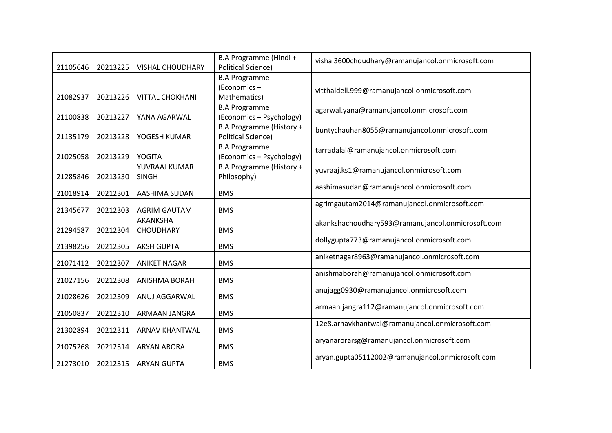| 21105646 | 20213225 | <b>VISHAL CHOUDHARY</b> | B.A Programme (Hindi +<br><b>Political Science)</b> | vishal3600choudhary@ramanujancol.onmicrosoft.com  |
|----------|----------|-------------------------|-----------------------------------------------------|---------------------------------------------------|
|          |          |                         | <b>B.A Programme</b>                                |                                                   |
|          |          |                         | (Economics +                                        |                                                   |
| 21082937 | 20213226 | <b>VITTAL CHOKHANI</b>  | Mathematics)                                        | vitthaldell.999@ramanujancol.onmicrosoft.com      |
|          |          |                         | <b>B.A Programme</b>                                |                                                   |
| 21100838 | 20213227 | YANA AGARWAL            | (Economics + Psychology)                            | agarwal.yana@ramanujancol.onmicrosoft.com         |
|          |          |                         | B.A Programme (History +                            | buntychauhan8055@ramanujancol.onmicrosoft.com     |
| 21135179 | 20213228 | YOGESH KUMAR            | <b>Political Science)</b>                           |                                                   |
|          |          |                         | <b>B.A Programme</b>                                | tarradalal@ramanujancol.onmicrosoft.com           |
| 21025058 | 20213229 | <b>YOGITA</b>           | (Economics + Psychology)                            |                                                   |
|          |          | YUVRAAJ KUMAR           | B.A Programme (History +                            | yuvraaj.ks1@ramanujancol.onmicrosoft.com          |
| 21285846 | 20213230 | <b>SINGH</b>            | Philosophy)                                         |                                                   |
| 21018914 | 20212301 | AASHIMA SUDAN           | <b>BMS</b>                                          | aashimasudan@ramanujancol.onmicrosoft.com         |
| 21345677 | 20212303 | <b>AGRIM GAUTAM</b>     | <b>BMS</b>                                          | agrimgautam2014@ramanujancol.onmicrosoft.com      |
|          |          | AKANKSHA                |                                                     | akankshachoudhary593@ramanujancol.onmicrosoft.com |
| 21294587 | 20212304 | <b>CHOUDHARY</b>        | <b>BMS</b>                                          |                                                   |
| 21398256 | 20212305 | <b>AKSH GUPTA</b>       | <b>BMS</b>                                          | dollygupta773@ramanujancol.onmicrosoft.com        |
|          |          |                         |                                                     | aniketnagar8963@ramanujancol.onmicrosoft.com      |
| 21071412 | 20212307 | <b>ANIKET NAGAR</b>     | <b>BMS</b>                                          |                                                   |
| 21027156 | 20212308 | <b>ANISHMA BORAH</b>    | <b>BMS</b>                                          | anishmaborah@ramanujancol.onmicrosoft.com         |
| 21028626 | 20212309 | ANUJ AGGARWAL           | <b>BMS</b>                                          | anujagg0930@ramanujancol.onmicrosoft.com          |
|          |          |                         |                                                     | armaan.jangra112@ramanujancol.onmicrosoft.com     |
| 21050837 | 20212310 | ARMAAN JANGRA           | <b>BMS</b>                                          |                                                   |
| 21302894 | 20212311 | <b>ARNAV KHANTWAL</b>   | <b>BMS</b>                                          | 12e8.arnavkhantwal@ramanujancol.onmicrosoft.com   |
| 21075268 | 20212314 | <b>ARYAN ARORA</b>      | <b>BMS</b>                                          | aryanarorarsg@ramanujancol.onmicrosoft.com        |
| 21273010 | 20212315 | <b>ARYAN GUPTA</b>      | <b>BMS</b>                                          | aryan.gupta05112002@ramanujancol.onmicrosoft.com  |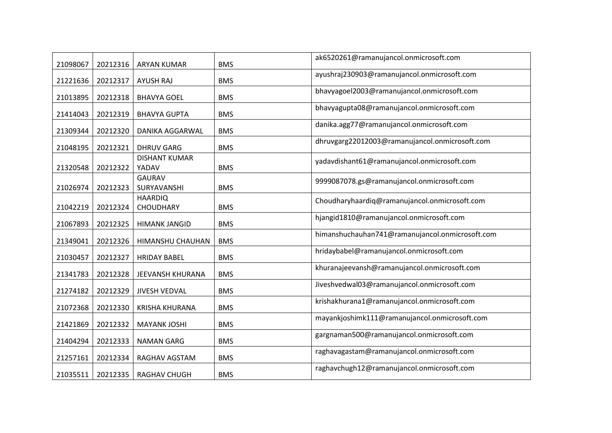| 21098067 | 20212316 | <b>ARYAN KUMAR</b>                 | <b>BMS</b> | ak6520261@ramanujancol.onmicrosoft.com          |
|----------|----------|------------------------------------|------------|-------------------------------------------------|
| 21221636 | 20212317 | <b>AYUSH RAJ</b>                   | <b>BMS</b> | ayushraj230903@ramanujancol.onmicrosoft.com     |
| 21013895 | 20212318 | <b>BHAVYA GOEL</b>                 | <b>BMS</b> | bhavyagoel2003@ramanujancol.onmicrosoft.com     |
| 21414043 | 20212319 | <b>BHAVYA GUPTA</b>                | <b>BMS</b> | bhavyagupta08@ramanujancol.onmicrosoft.com      |
| 21309344 | 20212320 | DANIKA AGGARWAL                    | <b>BMS</b> | danika.agg77@ramanujancol.onmicrosoft.com       |
| 21048195 | 20212321 | <b>DHRUV GARG</b>                  | <b>BMS</b> | dhruvgarg22012003@ramanujancol.onmicrosoft.com  |
| 21320548 | 20212322 | <b>DISHANT KUMAR</b><br>YADAV      | <b>BMS</b> | yadavdishant61@ramanujancol.onmicrosoft.com     |
| 21026974 | 20212323 | GAURAV<br>SURYAVANSHI              | <b>BMS</b> | 9999087078.gs@ramanujancol.onmicrosoft.com      |
| 21042219 | 20212324 | <b>HAARDIQ</b><br><b>CHOUDHARY</b> | <b>BMS</b> | Choudharyhaardiq@ramanujancol.onmicrosoft.com   |
| 21067893 | 20212325 | <b>HIMANK JANGID</b>               | <b>BMS</b> | hjangid1810@ramanujancol.onmicrosoft.com        |
| 21349041 | 20212326 | HIMANSHU CHAUHAN                   | <b>BMS</b> | himanshuchauhan741@ramanujancol.onmicrosoft.com |
| 21030457 | 20212327 | <b>HRIDAY BABEL</b>                | <b>BMS</b> | hridaybabel@ramanujancol.onmicrosoft.com        |
| 21341783 | 20212328 | JEEVANSH KHURANA                   | <b>BMS</b> | khuranajeevansh@ramanujancol.onmicrosoft.com    |
| 21274182 | 20212329 | <b>JIVESH VEDVAL</b>               | <b>BMS</b> | Jiveshvedwal03@ramanujancol.onmicrosoft.com     |
| 21072368 | 20212330 | <b>KRISHA KHURANA</b>              | <b>BMS</b> | krishakhurana1@ramanujancol.onmicrosoft.com     |
| 21421869 | 20212332 | <b>MAYANK JOSHI</b>                | <b>BMS</b> | mayankjoshimk111@ramanujancol.onmicrosoft.com   |
| 21404294 | 20212333 | <b>NAMAN GARG</b>                  | <b>BMS</b> | gargnaman500@ramanujancol.onmicrosoft.com       |
| 21257161 | 20212334 | RAGHAV AGSTAM                      | <b>BMS</b> | raghavagastam@ramanujancol.onmicrosoft.com      |
| 21035511 | 20212335 | <b>RAGHAV CHUGH</b>                | <b>BMS</b> | raghavchugh12@ramanujancol.onmicrosoft.com      |